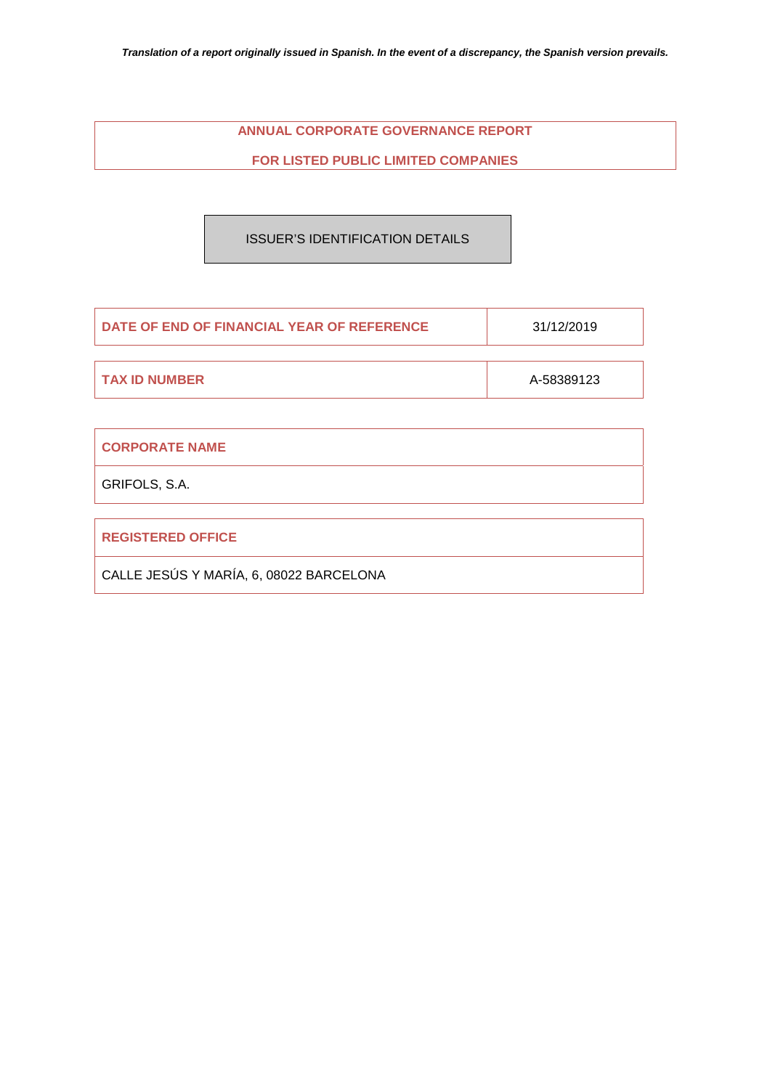# **ANNUAL CORPORATE GOVERNANCE REPORT**

# **FOR LISTED PUBLIC LIMITED COMPANIES**

ISSUER'S IDENTIFICATION DETAILS

| DATE OF END OF FINANCIAL YEAR OF REFERENCE | 31/12/2019 |  |
|--------------------------------------------|------------|--|
|                                            |            |  |
| I TAX ID NUMBER                            | A-58389123 |  |

| <b>CORPORATE NAME</b>                   |
|-----------------------------------------|
| GRIFOLS, S.A.                           |
|                                         |
| <b>REGISTERED OFFICE</b>                |
| CALLE JESÚS Y MARÍA, 6, 08022 BARCELONA |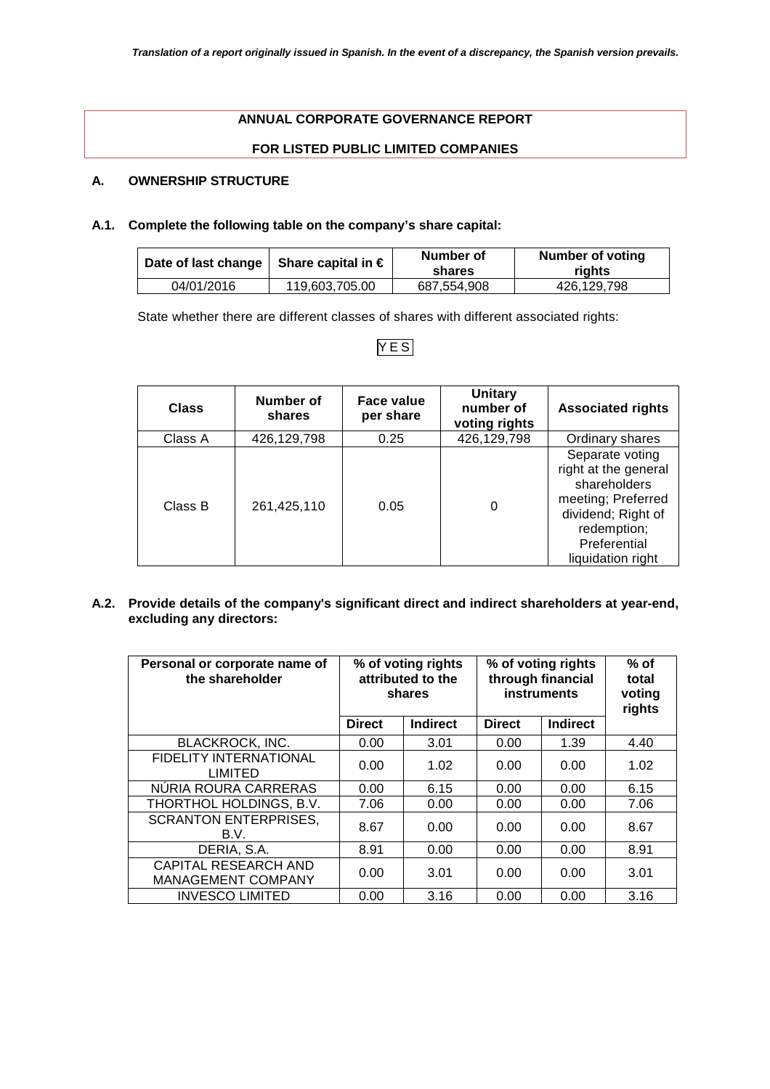# **ANNUAL CORPORATE GOVERNANCE REPORT**

# **FOR LISTED PUBLIC LIMITED COMPANIES**

# **A. OWNERSHIP STRUCTURE**

# **A.1. Complete the following table on the company's share capital:**

| Date of last change   Share capital in $\in$ |                | Number of<br>shares | Number of voting<br>riahts |
|----------------------------------------------|----------------|---------------------|----------------------------|
| 04/01/2016                                   | 119.603.705.00 | 687.554.908         | 426.129.798                |

State whether there are different classes of shares with different associated rights:

# YES

| <b>Class</b> | Number of<br>shares | Face value<br>per share | <b>Unitary</b><br>number of<br>voting rights | <b>Associated rights</b>                                                                                                                                |
|--------------|---------------------|-------------------------|----------------------------------------------|---------------------------------------------------------------------------------------------------------------------------------------------------------|
| Class A      | 426,129,798         | 0.25                    | 426,129,798                                  | Ordinary shares                                                                                                                                         |
| Class B      | 261,425,110         | 0.05                    |                                              | Separate voting<br>right at the general<br>shareholders<br>meeting; Preferred<br>dividend; Right of<br>redemption;<br>Preferential<br>liquidation right |

**A.2. Provide details of the company's significant direct and indirect shareholders at year-end, excluding any directors:** 

| Personal or corporate name of<br>the shareholder         | % of voting rights<br>attributed to the<br>shares |                 | % of voting rights<br>through financial<br>instruments |                 | $%$ of<br>total<br>voting<br>rights |
|----------------------------------------------------------|---------------------------------------------------|-----------------|--------------------------------------------------------|-----------------|-------------------------------------|
|                                                          | <b>Direct</b>                                     | <b>Indirect</b> | <b>Direct</b>                                          | <b>Indirect</b> |                                     |
| <b>BLACKROCK, INC.</b>                                   | 0.00                                              | 3.01            | 0.00                                                   | 1.39            | 4.40                                |
| <b>FIDELITY INTERNATIONAL</b><br><b>LIMITED</b>          | 0.00                                              | 1.02            | 0.00                                                   | 0.00            | 1.02                                |
| NÚRIA ROURA CARRERAS                                     | 0.00                                              | 6.15            | 0.00                                                   | 0.00            | 6.15                                |
| THORTHOL HOLDINGS, B.V.                                  | 7.06                                              | 0.00            | 0.00                                                   | 0.00            | 7.06                                |
| <b>SCRANTON ENTERPRISES,</b><br>B.V.                     | 8.67                                              | 0.00            | 0.00                                                   | 0.00            | 8.67                                |
| DERIA, S.A.                                              | 8.91                                              | 0.00            | 0.00                                                   | 0.00            | 8.91                                |
| <b>CAPITAL RESEARCH AND</b><br><b>MANAGEMENT COMPANY</b> | 0.00                                              | 3.01            | 0.00                                                   | 0.00            | 3.01                                |
| <b>INVESCO LIMITED</b>                                   | 0.00                                              | 3.16            | 0.00                                                   | 0.00            | 3.16                                |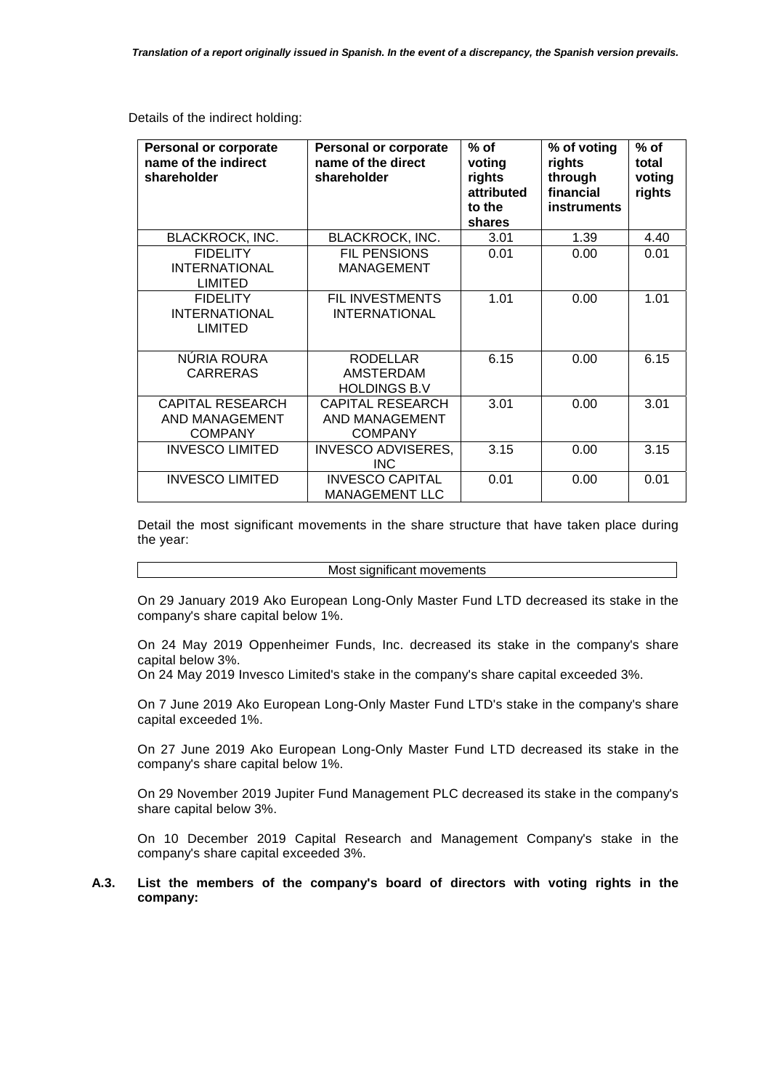Details of the indirect holding:

| <b>Personal or corporate</b><br>name of the indirect<br>shareholder | <b>Personal or corporate</b><br>name of the direct<br>shareholder | $%$ of<br>voting<br>rights<br>attributed<br>to the<br>shares | % of voting<br>rights<br>through<br>financial<br><b>instruments</b> | $%$ of<br>total<br>voting<br>rights |
|---------------------------------------------------------------------|-------------------------------------------------------------------|--------------------------------------------------------------|---------------------------------------------------------------------|-------------------------------------|
| <b>BLACKROCK, INC.</b>                                              | <b>BLACKROCK, INC.</b>                                            | 3.01                                                         | 1.39                                                                | 4.40                                |
| <b>FIDELITY</b><br><b>INTERNATIONAL</b><br><b>LIMITED</b>           | <b>FIL PENSIONS</b><br><b>MANAGEMENT</b>                          | 0.01                                                         | 0.00                                                                | 0.01                                |
| <b>FIDELITY</b><br><b>INTERNATIONAL</b><br><b>LIMITED</b>           | <b>FIL INVESTMENTS</b><br><b>INTERNATIONAL</b>                    | 1.01                                                         | 0.00                                                                | 1.01                                |
| NÚRIA ROURA<br><b>CARRERAS</b>                                      | <b>RODELLAR</b><br>AMSTERDAM<br><b>HOLDINGS B.V</b>               | 6.15                                                         | 0.00                                                                | 6.15                                |
| <b>CAPITAL RESEARCH</b><br>AND MANAGEMENT<br><b>COMPANY</b>         | <b>CAPITAL RESEARCH</b><br>AND MANAGEMENT<br><b>COMPANY</b>       | 3.01                                                         | 0.00                                                                | 3.01                                |
| <b>INVESCO LIMITED</b>                                              | <b>INVESCO ADVISERES,</b><br><b>INC</b>                           | 3.15                                                         | 0.00                                                                | 3.15                                |
| <b>INVESCO LIMITED</b>                                              | <b>INVESCO CAPITAL</b><br><b>MANAGEMENT LLC</b>                   | 0.01                                                         | 0.00                                                                | 0.01                                |

Detail the most significant movements in the share structure that have taken place during the year:

#### Most significant movements

On 29 January 2019 Ako European Long-Only Master Fund LTD decreased its stake in the company's share capital below 1%.

On 24 May 2019 Oppenheimer Funds, Inc. decreased its stake in the company's share capital below 3%.

On 24 May 2019 Invesco Limited's stake in the company's share capital exceeded 3%.

On 7 June 2019 Ako European Long-Only Master Fund LTD's stake in the company's share capital exceeded 1%.

On 27 June 2019 Ako European Long-Only Master Fund LTD decreased its stake in the company's share capital below 1%.

On 29 November 2019 Jupiter Fund Management PLC decreased its stake in the company's share capital below 3%.

On 10 December 2019 Capital Research and Management Company's stake in the company's share capital exceeded 3%.

## **A.3. List the members of the company's board of directors with voting rights in the company:**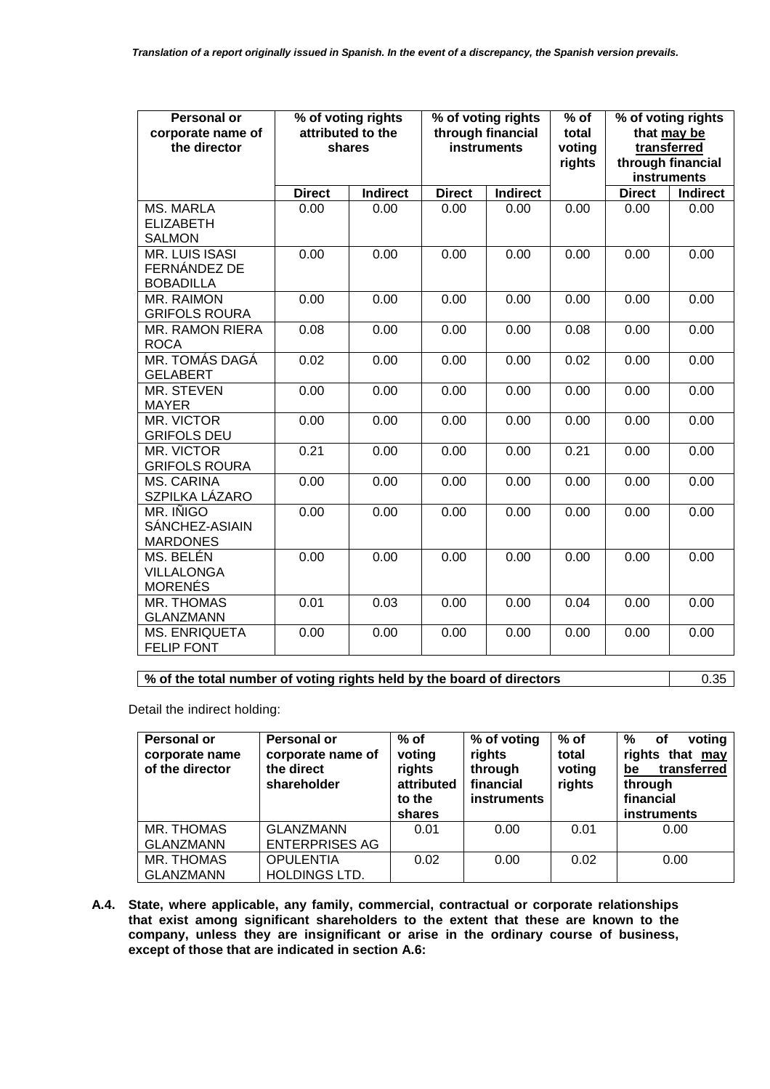| <b>Personal or</b><br>corporate name of<br>the director   |               | % of voting rights<br>attributed to the<br><b>instruments</b><br>shares |               | % of voting rights<br>through financial |      |               |                 |  | % of voting rights<br>that may be<br>transferred<br>through financial<br>instruments |
|-----------------------------------------------------------|---------------|-------------------------------------------------------------------------|---------------|-----------------------------------------|------|---------------|-----------------|--|--------------------------------------------------------------------------------------|
|                                                           | <b>Direct</b> | <b>Indirect</b>                                                         | <b>Direct</b> | <b>Indirect</b>                         |      | <b>Direct</b> | <b>Indirect</b> |  |                                                                                      |
| <b>MS. MARLA</b><br><b>ELIZABETH</b><br><b>SALMON</b>     | 0.00          | 0.00                                                                    | 0.00          | 0.00                                    | 0.00 | 0.00          | 0.00            |  |                                                                                      |
| <b>MR. LUIS ISASI</b><br>FERNÁNDEZ DE<br><b>BOBADILLA</b> | 0.00          | 0.00                                                                    | 0.00          | 0.00                                    | 0.00 | 0.00          | 0.00            |  |                                                                                      |
| MR. RAIMON<br><b>GRIFOLS ROURA</b>                        | 0.00          | 0.00                                                                    | 0.00          | 0.00                                    | 0.00 | 0.00          | 0.00            |  |                                                                                      |
| <b>MR. RAMON RIERA</b><br><b>ROCA</b>                     | 0.08          | 0.00                                                                    | 0.00          | 0.00                                    | 0.08 | 0.00          | 0.00            |  |                                                                                      |
| MR. TOMÁS DAGÁ<br><b>GELABERT</b>                         | 0.02          | 0.00                                                                    | 0.00          | 0.00                                    | 0.02 | 0.00          | 0.00            |  |                                                                                      |
| MR. STEVEN<br><b>MAYER</b>                                | 0.00          | 0.00                                                                    | 0.00          | 0.00                                    | 0.00 | 0.00          | 0.00            |  |                                                                                      |
| MR. VICTOR<br><b>GRIFOLS DEU</b>                          | 0.00          | 0.00                                                                    | 0.00          | 0.00                                    | 0.00 | 0.00          | 0.00            |  |                                                                                      |
| MR. VICTOR<br><b>GRIFOLS ROURA</b>                        | 0.21          | 0.00                                                                    | 0.00          | 0.00                                    | 0.21 | 0.00          | 0.00            |  |                                                                                      |
| <b>MS. CARINA</b><br>SZPILKA LÁZARO                       | 0.00          | 0.00                                                                    | 0.00          | 0.00                                    | 0.00 | 0.00          | 0.00            |  |                                                                                      |
| MR. IÑIGO<br>SÁNCHEZ-ASIAIN<br><b>MARDONES</b>            | 0.00          | 0.00                                                                    | 0.00          | 0.00                                    | 0.00 | 0.00          | 0.00            |  |                                                                                      |
| MS. BELÉN<br><b>VILLALONGA</b><br><b>MORENÉS</b>          | 0.00          | 0.00                                                                    | 0.00          | 0.00                                    | 0.00 | 0.00          | 0.00            |  |                                                                                      |
| <b>MR. THOMAS</b><br><b>GLANZMANN</b>                     | 0.01          | 0.03                                                                    | 0.00          | 0.00                                    | 0.04 | 0.00          | 0.00            |  |                                                                                      |
| <b>MS. ENRIQUETA</b><br><b>FELIP FONT</b>                 | 0.00          | 0.00                                                                    | 0.00          | 0.00                                    | 0.00 | 0.00          | 0.00            |  |                                                                                      |

# **% of the total number of voting rights held by the board of directors** 0.35

Detail the indirect holding:

| Personal or<br>corporate name<br>of the director | <b>Personal or</b><br>corporate name of<br>the direct<br>shareholder | $%$ of<br>voting<br>rights<br>attributed<br>to the<br>shares | % of voting<br>rights<br>through<br>financial<br><b>instruments</b> | $%$ of<br>total<br>voting<br>rights | %<br>voting<br>оf<br>rights that may<br>be<br>transferred<br>through<br>financial<br><b>instruments</b> |
|--------------------------------------------------|----------------------------------------------------------------------|--------------------------------------------------------------|---------------------------------------------------------------------|-------------------------------------|---------------------------------------------------------------------------------------------------------|
| MR. THOMAS<br><b>GLANZMANN</b>                   | <b>GLANZMANN</b><br><b>ENTERPRISES AG</b>                            | 0.01                                                         | 0.00                                                                | 0.01                                | 0.00                                                                                                    |
| MR. THOMAS<br><b>GLANZMANN</b>                   | <b>OPULENTIA</b><br><b>HOLDINGS LTD.</b>                             | 0.02                                                         | 0.00                                                                | 0.02                                | 0.00                                                                                                    |

**A.4. State, where applicable, any family, commercial, contractual or corporate relationships that exist among significant shareholders to the extent that these are known to the company, unless they are insignificant or arise in the ordinary course of business, except of those that are indicated in section A.6:**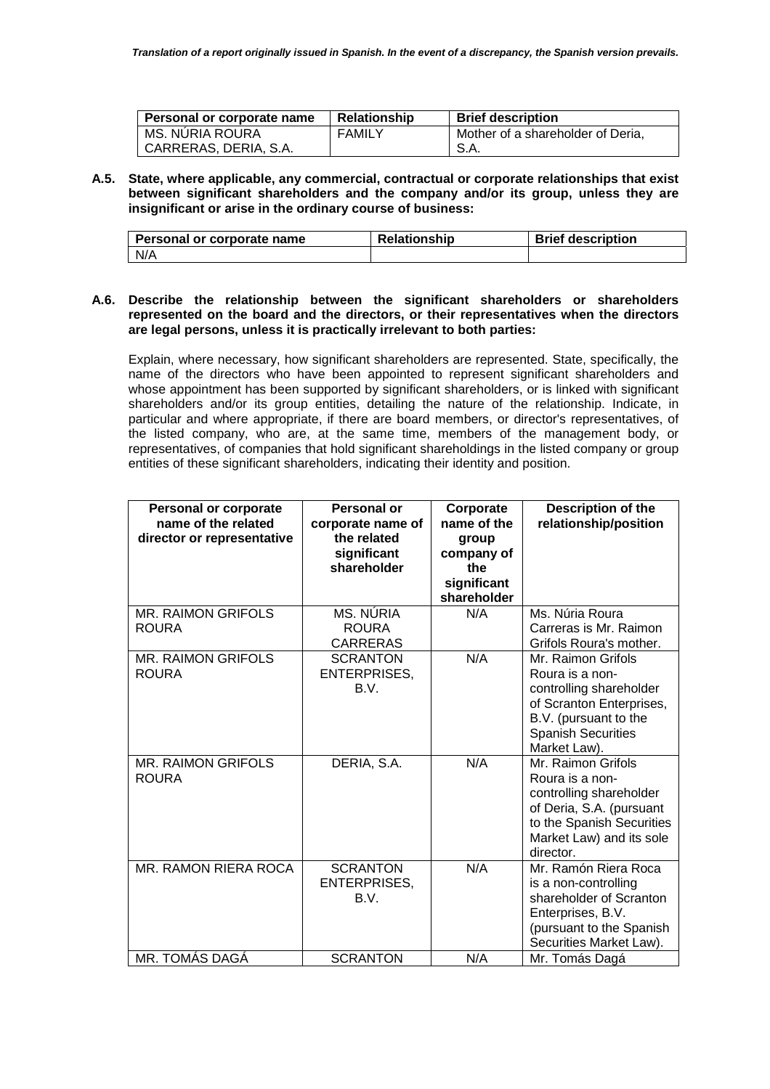| Personal or corporate name | <b>Relationship</b> | <b>Brief description</b>          |
|----------------------------|---------------------|-----------------------------------|
| <b>MS. NURIA ROURA</b>     | <b>FAMILY</b>       | Mother of a shareholder of Deria. |
| CARRERAS, DERIA, S.A.      |                     | S.A.                              |

**A.5. State, where applicable, any commercial, contractual or corporate relationships that exist between significant shareholders and the company and/or its group, unless they are insignificant or arise in the ordinary course of business:** 

| Personal or corporate name | <b>Relationship</b> | <b>Brief description</b> |
|----------------------------|---------------------|--------------------------|
| N/A                        |                     |                          |

## **A.6. Describe the relationship between the significant shareholders or shareholders represented on the board and the directors, or their representatives when the directors are legal persons, unless it is practically irrelevant to both parties:**

Explain, where necessary, how significant shareholders are represented. State, specifically, the name of the directors who have been appointed to represent significant shareholders and whose appointment has been supported by significant shareholders, or is linked with significant shareholders and/or its group entities, detailing the nature of the relationship. Indicate, in particular and where appropriate, if there are board members, or director's representatives, of the listed company, who are, at the same time, members of the management body, or representatives, of companies that hold significant shareholdings in the listed company or group entities of these significant shareholders, indicating their identity and position.

| <b>Personal or corporate</b><br>name of the related<br>director or representative | <b>Personal or</b><br>corporate name of<br>the related<br>significant<br>shareholder | Corporate<br>name of the<br>group<br>company of<br>the<br>significant<br>shareholder | Description of the<br>relationship/position                                                                                                                        |
|-----------------------------------------------------------------------------------|--------------------------------------------------------------------------------------|--------------------------------------------------------------------------------------|--------------------------------------------------------------------------------------------------------------------------------------------------------------------|
| <b>MR. RAIMON GRIFOLS</b><br><b>ROURA</b>                                         | MS. NÚRIA<br><b>ROURA</b><br><b>CARRERAS</b>                                         | N/A                                                                                  | Ms. Núria Roura<br>Carreras is Mr. Raimon<br>Grifols Roura's mother.                                                                                               |
| <b>MR. RAIMON GRIFOLS</b><br><b>ROURA</b>                                         | <b>SCRANTON</b><br><b>ENTERPRISES,</b><br>B.V.                                       | N/A                                                                                  | Mr. Raimon Grifols<br>Roura is a non-<br>controlling shareholder<br>of Scranton Enterprises,<br>B.V. (pursuant to the<br><b>Spanish Securities</b><br>Market Law). |
| <b>MR. RAIMON GRIFOLS</b><br><b>ROURA</b>                                         | DERIA, S.A.                                                                          | N/A                                                                                  | Mr. Raimon Grifols<br>Roura is a non-<br>controlling shareholder<br>of Deria, S.A. (pursuant<br>to the Spanish Securities<br>Market Law) and its sole<br>director. |
| MR. RAMON RIERA ROCA                                                              | <b>SCRANTON</b><br><b>ENTERPRISES,</b><br>B.V.                                       | N/A                                                                                  | Mr. Ramón Riera Roca<br>is a non-controlling<br>shareholder of Scranton<br>Enterprises, B.V.<br>(pursuant to the Spanish<br>Securities Market Law).                |
| MR. TOMÁS DAGÁ                                                                    | <b>SCRANTON</b>                                                                      | N/A                                                                                  | Mr. Tomás Dagá                                                                                                                                                     |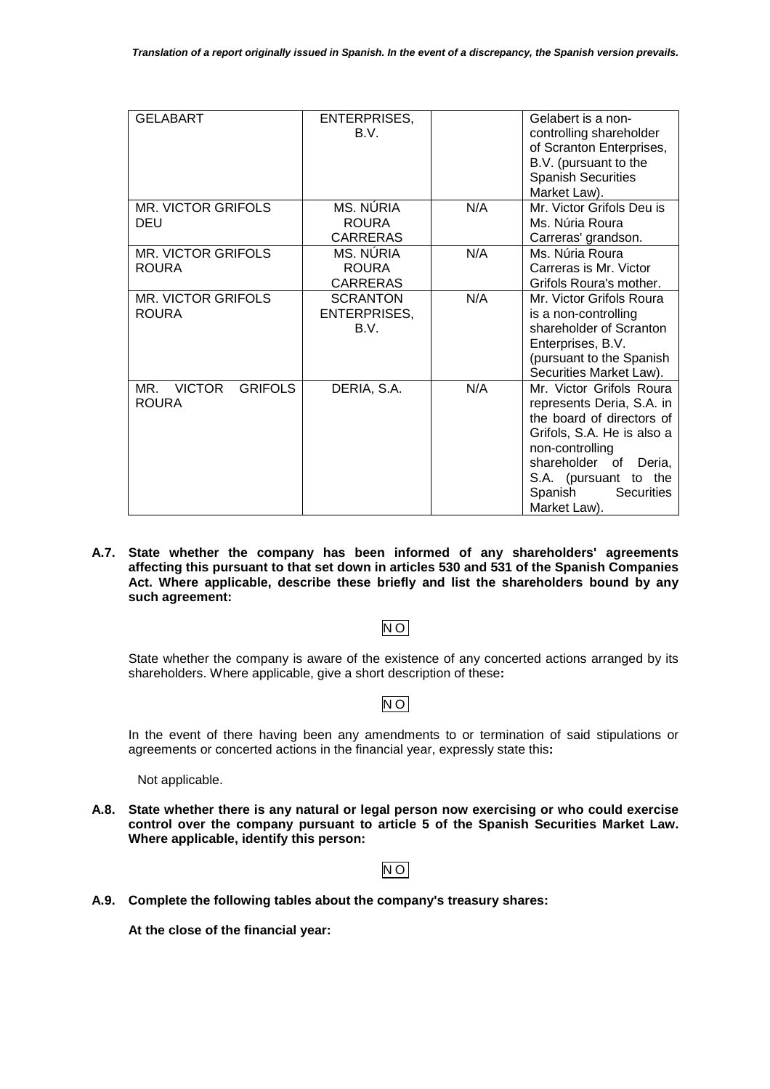| <b>GELABART</b>                                        | ENTERPRISES,<br>B.V.                           |     | Gelabert is a non-<br>controlling shareholder<br>of Scranton Enterprises,<br>B.V. (pursuant to the<br><b>Spanish Securities</b><br>Market Law).                                                                                      |
|--------------------------------------------------------|------------------------------------------------|-----|--------------------------------------------------------------------------------------------------------------------------------------------------------------------------------------------------------------------------------------|
| MR. VICTOR GRIFOLS<br>DEU                              | MS. NÚRIA<br><b>ROURA</b><br><b>CARRERAS</b>   | N/A | Mr. Victor Grifols Deu is<br>Ms. Núria Roura<br>Carreras' grandson.                                                                                                                                                                  |
| MR. VICTOR GRIFOLS<br>ROURA                            | MS. NÚRIA<br><b>ROURA</b><br><b>CARRERAS</b>   | N/A | Ms. Núria Roura<br>Carreras is Mr. Victor<br>Grifols Roura's mother.                                                                                                                                                                 |
| MR. VICTOR GRIFOLS<br><b>ROURA</b>                     | <b>SCRANTON</b><br><b>ENTERPRISES,</b><br>B.V. | N/A | Mr. Victor Grifols Roura<br>is a non-controlling<br>shareholder of Scranton<br>Enterprises, B.V.<br>(pursuant to the Spanish<br>Securities Market Law).                                                                              |
| <b>VICTOR</b><br><b>GRIFOLS</b><br>MR.<br><b>ROURA</b> | DERIA, S.A.                                    | N/A | Mr. Victor Grifols Roura<br>represents Deria, S.A. in<br>the board of directors of<br>Grifols, S.A. He is also a<br>non-controlling<br>shareholder of<br>Deria.<br>S.A. (pursuant to<br>the<br>Spanish<br>Securities<br>Market Law). |

**A.7. State whether the company has been informed of any shareholders' agreements affecting this pursuant to that set down in articles 530 and 531 of the Spanish Companies Act. Where applicable, describe these briefly and list the shareholders bound by any such agreement:** 

# NO

State whether the company is aware of the existence of any concerted actions arranged by its shareholders. Where applicable, give a short description of these**:**

# NO

In the event of there having been any amendments to or termination of said stipulations or agreements or concerted actions in the financial year, expressly state this**:**

Not applicable.

**A.8. State whether there is any natural or legal person now exercising or who could exercise control over the company pursuant to article 5 of the Spanish Securities Market Law. Where applicable, identify this person:** 

# NO

**A.9. Complete the following tables about the company's treasury shares:** 

**At the close of the financial year:**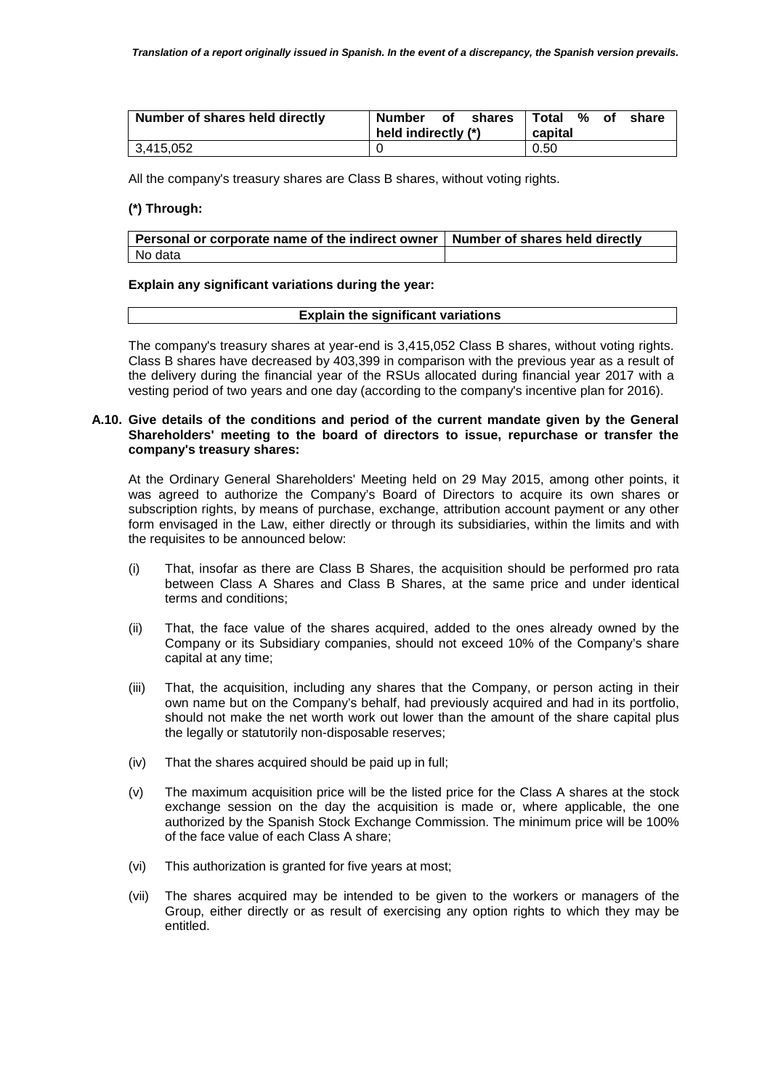| Number of shares held directly | Number<br>shares<br>οf<br>held indirectly (*) | l Total %<br>оf<br>share<br>capital |
|--------------------------------|-----------------------------------------------|-------------------------------------|
| 3,415,052                      |                                               | 0.50                                |

All the company's treasury shares are Class B shares, without voting rights.

## **(\*) Through:**

| $\mid$ Personal or corporate name of the indirect owner $\mid$ Number of shares held directly |  |
|-----------------------------------------------------------------------------------------------|--|
| l No data                                                                                     |  |

#### **Explain any significant variations during the year:**

| <b>Explain the significant variations</b> |
|-------------------------------------------|
|                                           |

The company's treasury shares at year-end is 3,415,052 Class B shares, without voting rights. Class B shares have decreased by 403,399 in comparison with the previous year as a result of the delivery during the financial year of the RSUs allocated during financial year 2017 with a vesting period of two years and one day (according to the company's incentive plan for 2016).

#### **A.10. Give details of the conditions and period of the current mandate given by the General Shareholders' meeting to the board of directors to issue, repurchase or transfer the company's treasury shares:**

At the Ordinary General Shareholders' Meeting held on 29 May 2015, among other points, it was agreed to authorize the Company's Board of Directors to acquire its own shares or subscription rights, by means of purchase, exchange, attribution account payment or any other form envisaged in the Law, either directly or through its subsidiaries, within the limits and with the requisites to be announced below:

- (i) That, insofar as there are Class B Shares, the acquisition should be performed pro rata between Class A Shares and Class B Shares, at the same price and under identical terms and conditions;
- (ii) That, the face value of the shares acquired, added to the ones already owned by the Company or its Subsidiary companies, should not exceed 10% of the Company's share capital at any time;
- (iii) That, the acquisition, including any shares that the Company, or person acting in their own name but on the Company's behalf, had previously acquired and had in its portfolio, should not make the net worth work out lower than the amount of the share capital plus the legally or statutorily non-disposable reserves;
- (iv) That the shares acquired should be paid up in full;
- (v) The maximum acquisition price will be the listed price for the Class A shares at the stock exchange session on the day the acquisition is made or, where applicable, the one authorized by the Spanish Stock Exchange Commission. The minimum price will be 100% of the face value of each Class A share;
- (vi) This authorization is granted for five years at most;
- (vii) The shares acquired may be intended to be given to the workers or managers of the Group, either directly or as result of exercising any option rights to which they may be entitled.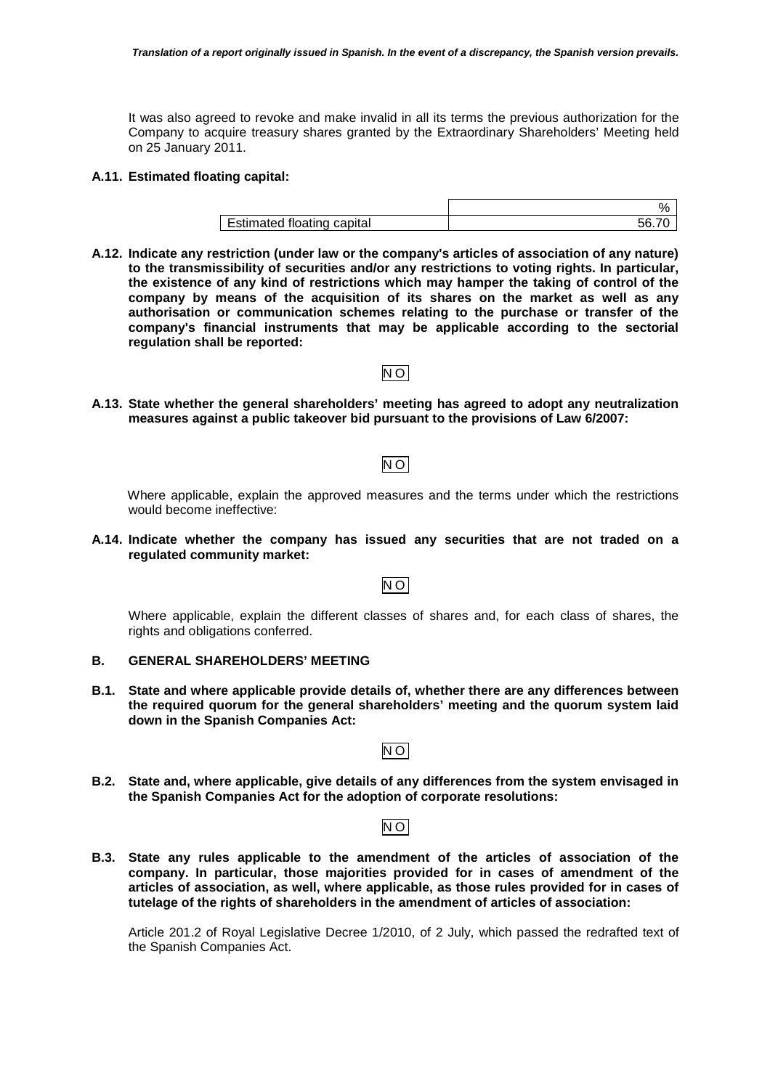It was also agreed to revoke and make invalid in all its terms the previous authorization for the Company to acquire treasury shares granted by the Extraordinary Shareholders' Meeting held on 25 January 2011.

## **A.11. Estimated floating capital:**

|                                   | 70 |
|-----------------------------------|----|
| <b>Estimated floating capital</b> |    |
|                                   |    |

- **A.12. Indicate any restriction (under law or the company's articles of association of any nature) to the transmissibility of securities and/or any restrictions to voting rights. In particular, the existence of any kind of restrictions which may hamper the taking of control of the company by means of the acquisition of its shares on the market as well as any authorisation or communication schemes relating to the purchase or transfer of the company's financial instruments that may be applicable according to the sectorial regulation shall be reported:**
- **A.13. State whether the general shareholders' meeting has agreed to adopt any neutralization measures against a public takeover bid pursuant to the provisions of Law 6/2007:**

NO

# NO

Where applicable, explain the approved measures and the terms under which the restrictions would become ineffective:

**A.14. Indicate whether the company has issued any securities that are not traded on a regulated community market:** 

NO

Where applicable, explain the different classes of shares and, for each class of shares, the rights and obligations conferred.

## **B. GENERAL SHAREHOLDERS' MEETING**

**B.1. State and where applicable provide details of, whether there are any differences between the required quorum for the general shareholders' meeting and the quorum system laid down in the Spanish Companies Act:** 

NO

**B.2. State and, where applicable, give details of any differences from the system envisaged in the Spanish Companies Act for the adoption of corporate resolutions:** 

| ۰. |
|----|
|----|

**B.3. State any rules applicable to the amendment of the articles of association of the company. In particular, those majorities provided for in cases of amendment of the articles of association, as well, where applicable, as those rules provided for in cases of tutelage of the rights of shareholders in the amendment of articles of association:** 

Article 201.2 of Royal Legislative Decree 1/2010, of 2 July, which passed the redrafted text of the Spanish Companies Act.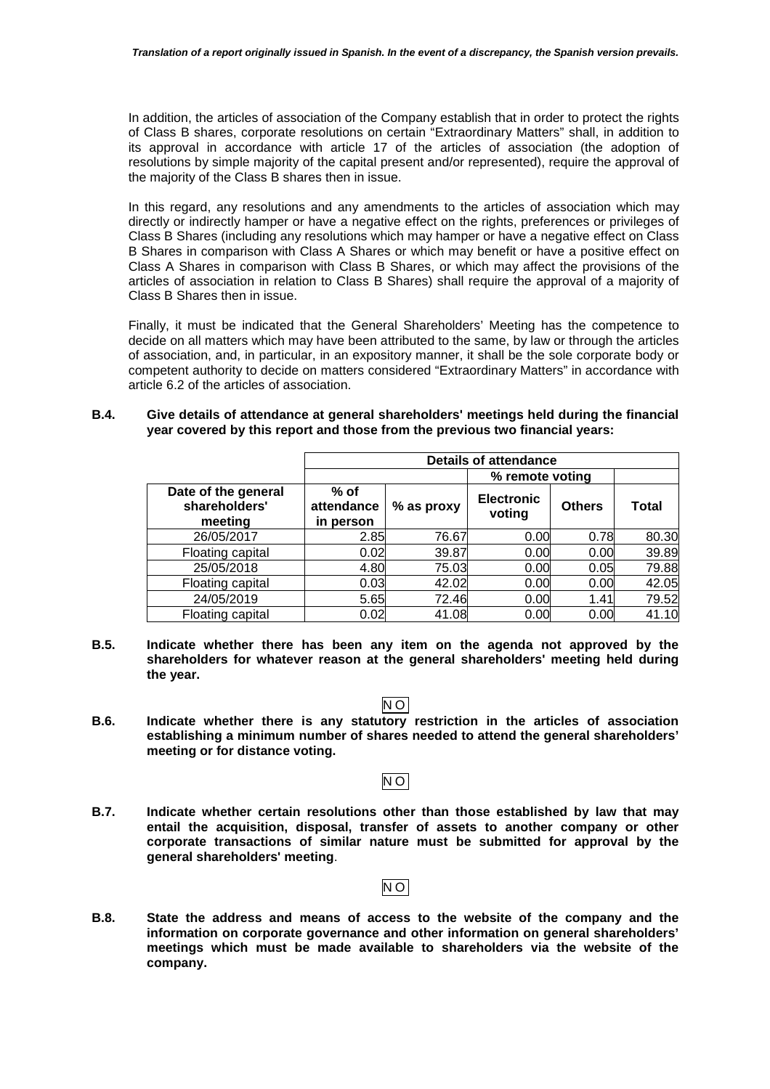In addition, the articles of association of the Company establish that in order to protect the rights of Class B shares, corporate resolutions on certain "Extraordinary Matters" shall, in addition to its approval in accordance with article 17 of the articles of association (the adoption of resolutions by simple majority of the capital present and/or represented), require the approval of the majority of the Class B shares then in issue.

In this regard, any resolutions and any amendments to the articles of association which may directly or indirectly hamper or have a negative effect on the rights, preferences or privileges of Class B Shares (including any resolutions which may hamper or have a negative effect on Class B Shares in comparison with Class A Shares or which may benefit or have a positive effect on Class A Shares in comparison with Class B Shares, or which may affect the provisions of the articles of association in relation to Class B Shares) shall require the approval of a majority of Class B Shares then in issue.

Finally, it must be indicated that the General Shareholders' Meeting has the competence to decide on all matters which may have been attributed to the same, by law or through the articles of association, and, in particular, in an expository manner, it shall be the sole corporate body or competent authority to decide on matters considered "Extraordinary Matters" in accordance with article 6.2 of the articles of association.

#### **B.4. Give details of attendance at general shareholders' meetings held during the financial year covered by this report and those from the previous two financial years:**

|                                                 | <b>Details of attendance</b>      |            |                             |               |       |
|-------------------------------------------------|-----------------------------------|------------|-----------------------------|---------------|-------|
|                                                 |                                   |            | % remote voting             |               |       |
| Date of the general<br>shareholders'<br>meeting | $%$ of<br>attendance<br>in person | % as proxy | <b>Electronic</b><br>voting | <b>Others</b> | Total |
| 26/05/2017                                      | 2.85                              | 76.67      | 0.00                        | 0.78          | 80.30 |
| Floating capital                                | 0.02                              | 39.87      | 0.00                        | 0.00          | 39.89 |
| 25/05/2018                                      | 4.80                              | 75.03      | 0.00                        | 0.05          | 79.88 |
| Floating capital                                | 0.03                              | 42.02      | 0.00                        | 0.00          | 42.05 |
| 24/05/2019                                      | 5.65                              | 72.46      | 0.00                        | 1.41          | 79.52 |
| Floating capital                                | 0.02                              | 41.08      | 0.00                        | 0.00          | 41.10 |

**B.5. Indicate whether there has been any item on the agenda not approved by the shareholders for whatever reason at the general shareholders' meeting held during the year.** 

## NO

**B.6. Indicate whether there is any statutory restriction in the articles of association establishing a minimum number of shares needed to attend the general shareholders' meeting or for distance voting.**

## NO

**B.7. Indicate whether certain resolutions other than those established by law that may entail the acquisition, disposal, transfer of assets to another company or other corporate transactions of similar nature must be submitted for approval by the general shareholders' meeting**.

#### NO

**B.8. State the address and means of access to the website of the company and the information on corporate governance and other information on general shareholders' meetings which must be made available to shareholders via the website of the company.**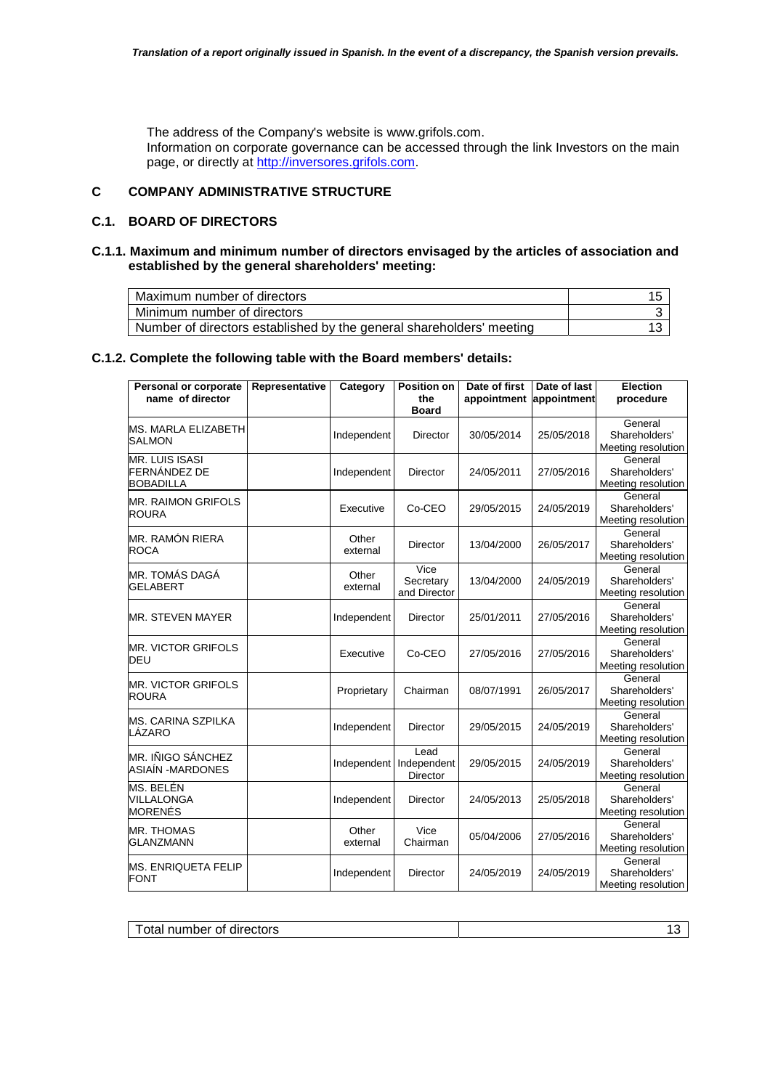The address of the Company's website is www.grifols.com.

Information on corporate governance can be accessed through the link Investors on the main page, or directly at http://inversores.grifols.com.

# **C COMPANY ADMINISTRATIVE STRUCTURE**

## **C.1. BOARD OF DIRECTORS**

## **C.1.1. Maximum and minimum number of directors envisaged by the articles of association and established by the general shareholders' meeting:**

| Maximum number of directors                                          |  |
|----------------------------------------------------------------------|--|
| Minimum number of directors                                          |  |
| Number of directors established by the general shareholders' meeting |  |

### **C.1.2. Complete the following table with the Board members' details:**

| Personal or corporate                                     | Representative | Category          | <b>Position on</b>                     | Date of first | Date of last | <b>Election</b>                                |
|-----------------------------------------------------------|----------------|-------------------|----------------------------------------|---------------|--------------|------------------------------------------------|
| name of director                                          |                |                   | the<br><b>Board</b>                    | appointment   | appointment  | procedure                                      |
| <b>MS. MARLA ELIZABETH</b><br><b>SALMON</b>               |                | Independent       | Director                               | 30/05/2014    | 25/05/2018   | General<br>Shareholders'<br>Meeting resolution |
| <b>MR. LUIS ISASI</b><br>FERNÁNDEZ DE<br><b>BOBADILLA</b> |                | Independent       | Director                               | 24/05/2011    | 27/05/2016   | General<br>Shareholders'<br>Meeting resolution |
| <b>MR. RAIMON GRIFOLS</b><br><b>ROURA</b>                 |                | Executive         | Co-CEO                                 | 29/05/2015    | 24/05/2019   | General<br>Shareholders'<br>Meeting resolution |
| MR. RAMÓN RIERA<br><b>ROCA</b>                            |                | Other<br>external | Director                               | 13/04/2000    | 26/05/2017   | General<br>Shareholders'<br>Meeting resolution |
| MR. TOMÁS DAGÁ<br><b>GELABERT</b>                         |                | Other<br>external | Vice<br>Secretary<br>and Director      | 13/04/2000    | 24/05/2019   | General<br>Shareholders'<br>Meeting resolution |
| <b>MR. STEVEN MAYER</b>                                   |                | Independent       | <b>Director</b>                        | 25/01/2011    | 27/05/2016   | General<br>Shareholders'<br>Meeting resolution |
| <b>MR. VICTOR GRIFOLS</b><br>DEU                          |                | Executive         | Co-CEO                                 | 27/05/2016    | 27/05/2016   | General<br>Shareholders'<br>Meeting resolution |
| <b>MR. VICTOR GRIFOLS</b><br><b>ROURA</b>                 |                | Proprietary       | Chairman                               | 08/07/1991    | 26/05/2017   | General<br>Shareholders'<br>Meeting resolution |
| <b>MS. CARINA SZPILKA</b><br>LÁZARO                       |                | Independent       | <b>Director</b>                        | 29/05/2015    | 24/05/2019   | General<br>Shareholders'<br>Meeting resolution |
| MR. IÑIGO SÁNCHEZ<br>ASIAÍN - MARDONES                    |                | Independent       | Lead<br>Independent<br><b>Director</b> | 29/05/2015    | 24/05/2019   | General<br>Shareholders'<br>Meeting resolution |
| MS. BELÉN<br>VILLALONGA<br>MORENÉS                        |                | Independent       | Director                               | 24/05/2013    | 25/05/2018   | General<br>Shareholders'<br>Meeting resolution |
| <b>MR. THOMAS</b><br><b>GLANZMANN</b>                     |                | Other<br>external | Vice<br>Chairman                       | 05/04/2006    | 27/05/2016   | General<br>Shareholders'<br>Meeting resolution |
| <b>MS. ENRIQUETA FELIP</b><br><b>FONT</b>                 |                | Independent       | Director                               | 24/05/2019    | 24/05/2019   | General<br>Shareholders'<br>Meeting resolution |

Total number of directors 13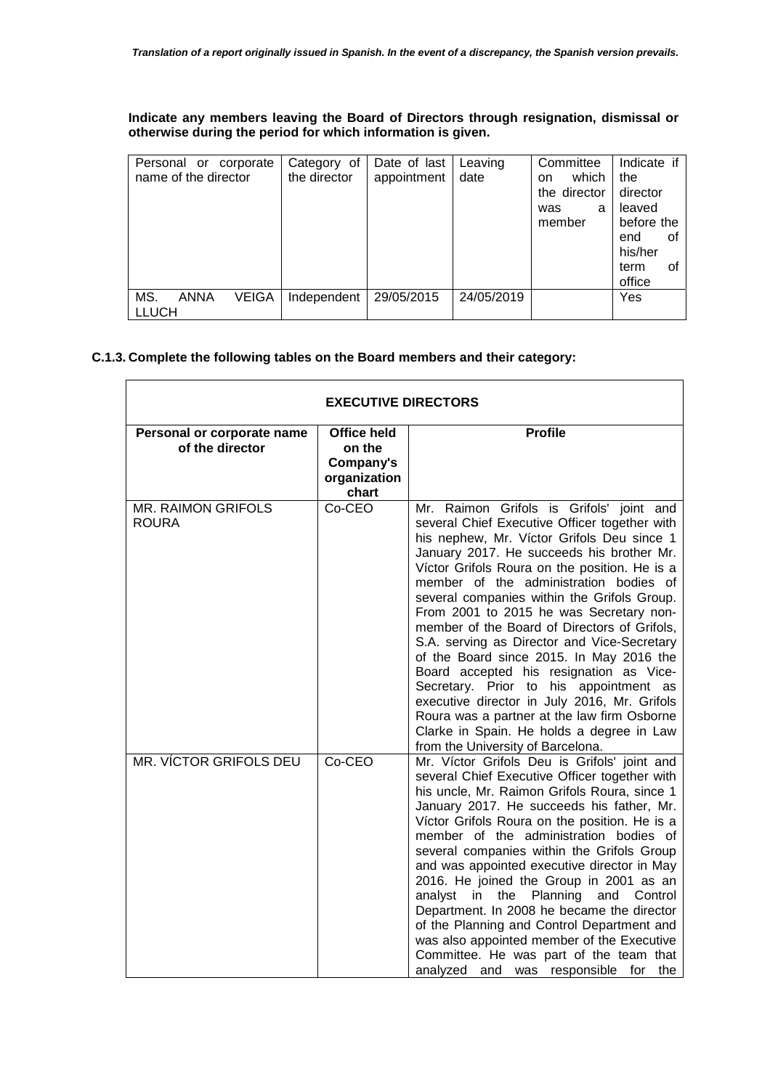# **Indicate any members leaving the Board of Directors through resignation, dismissal or otherwise during the period for which information is given.**

| Personal or corporate<br>name of the director | Category of<br>the director | Date of last<br>appointment | Leaving<br>date | Committee<br>which<br>on.<br>the director<br>was<br>a<br>member | Indicate if<br>the<br>director<br>leaved<br>before the<br>end<br>οt<br>his/her<br>οt |
|-----------------------------------------------|-----------------------------|-----------------------------|-----------------|-----------------------------------------------------------------|--------------------------------------------------------------------------------------|
|                                               |                             |                             |                 |                                                                 | term<br>office                                                                       |
| MS.<br><b>VEIGA</b><br>ANNA<br><b>LLUCH</b>   | Independent                 | 29/05/2015                  | 24/05/2019      |                                                                 | Yes                                                                                  |

# **C.1.3. Complete the following tables on the Board members and their category:**

| <b>EXECUTIVE DIRECTORS</b>                    |                                                                    |                                                                                                                                                                                                                                                                                                                                                                                                                                                                                                                                                                                                                                                                                                                                                                                            |  |  |  |  |
|-----------------------------------------------|--------------------------------------------------------------------|--------------------------------------------------------------------------------------------------------------------------------------------------------------------------------------------------------------------------------------------------------------------------------------------------------------------------------------------------------------------------------------------------------------------------------------------------------------------------------------------------------------------------------------------------------------------------------------------------------------------------------------------------------------------------------------------------------------------------------------------------------------------------------------------|--|--|--|--|
| Personal or corporate name<br>of the director | <b>Office held</b><br>on the<br>Company's<br>organization<br>chart | <b>Profile</b>                                                                                                                                                                                                                                                                                                                                                                                                                                                                                                                                                                                                                                                                                                                                                                             |  |  |  |  |
| <b>MR. RAIMON GRIFOLS</b><br><b>ROURA</b>     | Co-CEO                                                             | Mr. Raimon Grifols is Grifols' joint and<br>several Chief Executive Officer together with<br>his nephew, Mr. Víctor Grifols Deu since 1<br>January 2017. He succeeds his brother Mr.<br>Víctor Grifols Roura on the position. He is a<br>member of the administration bodies of<br>several companies within the Grifols Group.<br>From 2001 to 2015 he was Secretary non-<br>member of the Board of Directors of Grifols,<br>S.A. serving as Director and Vice-Secretary<br>of the Board since 2015. In May 2016 the<br>Board accepted his resignation as Vice-<br>Secretary. Prior to his appointment as<br>executive director in July 2016, Mr. Grifols<br>Roura was a partner at the law firm Osborne<br>Clarke in Spain. He holds a degree in Law<br>from the University of Barcelona. |  |  |  |  |
| MR. VÍCTOR GRIFOLS DEU                        | Co-CEO                                                             | Mr. Víctor Grifols Deu is Grifols' joint and<br>several Chief Executive Officer together with<br>his uncle, Mr. Raimon Grifols Roura, since 1<br>January 2017. He succeeds his father, Mr.<br>Víctor Grifols Roura on the position. He is a<br>member of the administration bodies of<br>several companies within the Grifols Group<br>and was appointed executive director in May<br>2016. He joined the Group in 2001 as an<br>in the Planning and Control<br>analyst<br>Department. In 2008 he became the director<br>of the Planning and Control Department and<br>was also appointed member of the Executive<br>Committee. He was part of the team that<br>analyzed and was responsible for<br>the                                                                                    |  |  |  |  |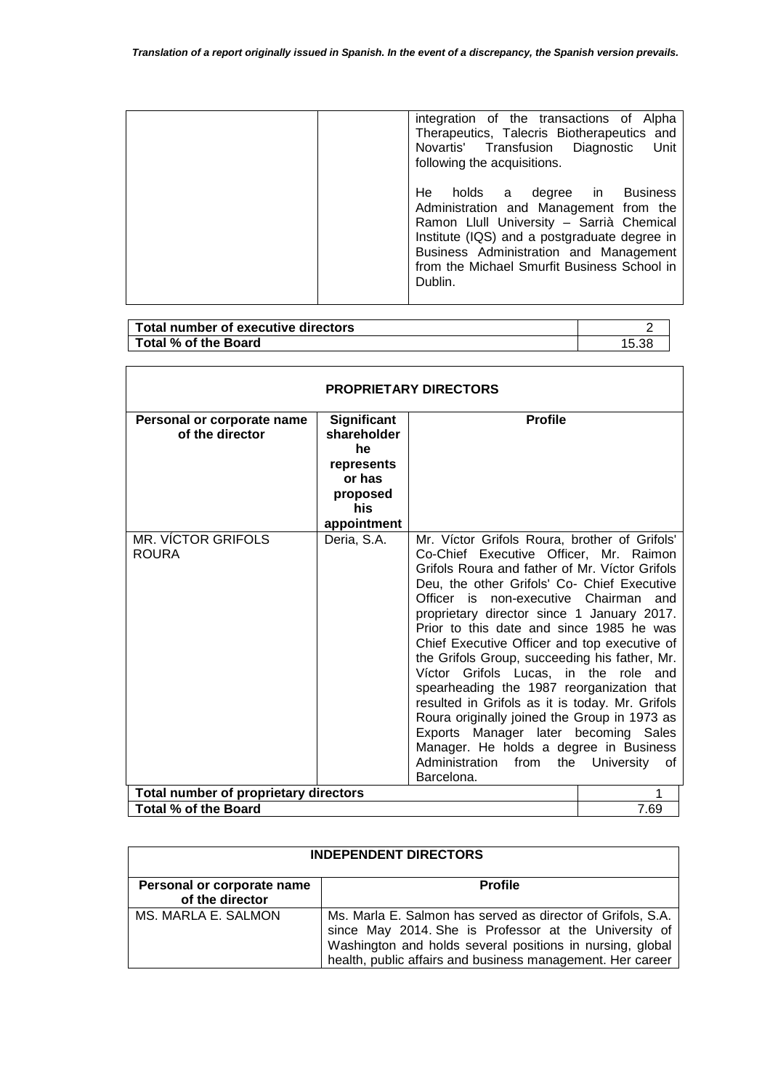| integration of the transactions of Alpha<br>Therapeutics, Talecris Biotherapeutics and<br>Novartis' Transfusion Diagnostic<br>Unit<br>following the acquisitions.                                                                                                           |
|-----------------------------------------------------------------------------------------------------------------------------------------------------------------------------------------------------------------------------------------------------------------------------|
| holds a degree in Business<br>He.<br>Administration and Management from the<br>Ramon Llull University - Sarrià Chemical<br>Institute (IQS) and a postgraduate degree in<br>Business Administration and Management<br>from the Michael Smurfit Business School in<br>Dublin. |

| Total number of executive directors |       |
|-------------------------------------|-------|
| Total % of the Board                | 5.38، |

 $\mathbf{r}$ 

| <b>PROPRIETARY DIRECTORS</b>                  |                                                                                                   |                                                                                                                                                                                                                                                                                                                                                                                                                                                                                                                                                                                                                                                                                                                                                       |                         |  |  |
|-----------------------------------------------|---------------------------------------------------------------------------------------------------|-------------------------------------------------------------------------------------------------------------------------------------------------------------------------------------------------------------------------------------------------------------------------------------------------------------------------------------------------------------------------------------------------------------------------------------------------------------------------------------------------------------------------------------------------------------------------------------------------------------------------------------------------------------------------------------------------------------------------------------------------------|-------------------------|--|--|
| Personal or corporate name<br>of the director | <b>Significant</b><br>shareholder<br>he<br>represents<br>or has<br>proposed<br>his<br>appointment | <b>Profile</b>                                                                                                                                                                                                                                                                                                                                                                                                                                                                                                                                                                                                                                                                                                                                        |                         |  |  |
| <b>MR. VÍCTOR GRIFOLS</b><br><b>ROURA</b>     | Deria, S.A.                                                                                       | Mr. Víctor Grifols Roura, brother of Grifols'<br>Co-Chief Executive Officer, Mr. Raimon<br>Grifols Roura and father of Mr. Victor Grifols<br>Deu, the other Grifols' Co- Chief Executive<br>Officer is non-executive Chairman<br>proprietary director since 1 January 2017.<br>Prior to this date and since 1985 he was<br>Chief Executive Officer and top executive of<br>the Grifols Group, succeeding his father, Mr.<br>Grifols Lucas, in the role and<br>Víctor<br>spearheading the 1987 reorganization that<br>resulted in Grifols as it is today. Mr. Grifols<br>Roura originally joined the Group in 1973 as<br>Exports Manager later becoming Sales<br>Manager. He holds a degree in Business<br>Administration<br>from<br>the<br>Barcelona. | and<br>University<br>0t |  |  |
| Total number of proprietary directors         | 1                                                                                                 |                                                                                                                                                                                                                                                                                                                                                                                                                                                                                                                                                                                                                                                                                                                                                       |                         |  |  |
| Total % of the Board                          |                                                                                                   |                                                                                                                                                                                                                                                                                                                                                                                                                                                                                                                                                                                                                                                                                                                                                       | 7.69                    |  |  |

| <b>INDEPENDENT DIRECTORS</b>                  |                                                                                                                                                                                                                                                 |  |  |
|-----------------------------------------------|-------------------------------------------------------------------------------------------------------------------------------------------------------------------------------------------------------------------------------------------------|--|--|
| Personal or corporate name<br>of the director | <b>Profile</b>                                                                                                                                                                                                                                  |  |  |
| MS. MARLA E. SALMON                           | Ms. Marla E. Salmon has served as director of Grifols, S.A.<br>since May 2014. She is Professor at the University of<br>Washington and holds several positions in nursing, global<br>health, public affairs and business management. Her career |  |  |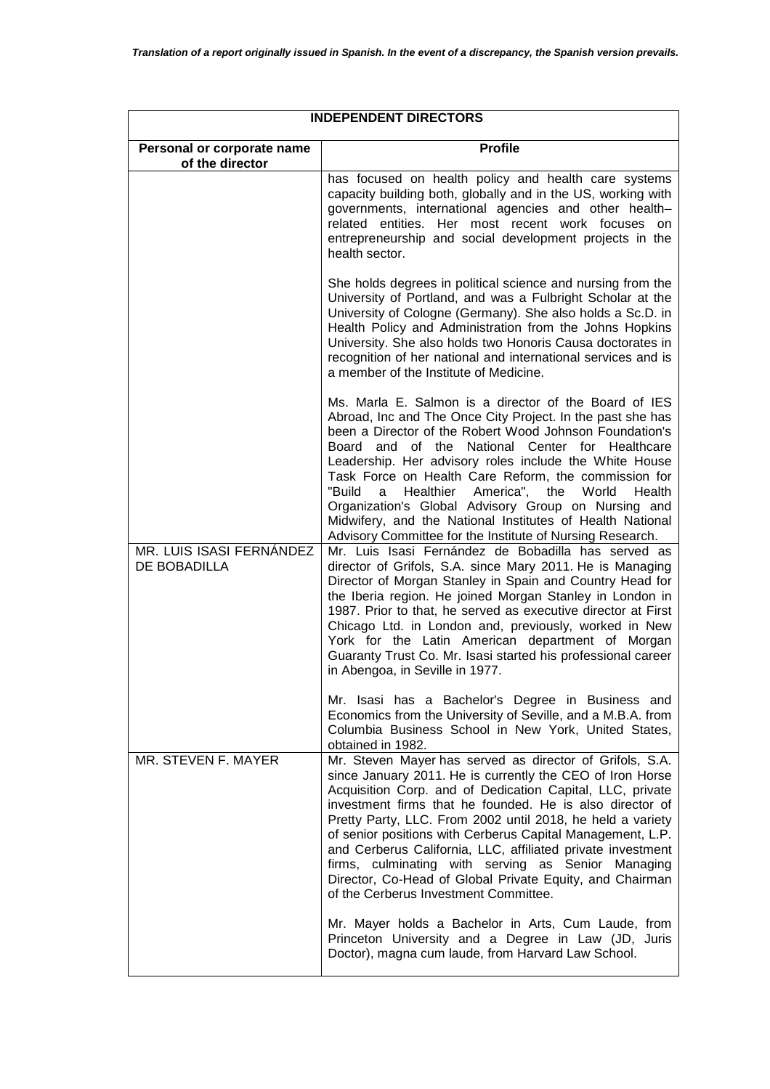| <b>INDEPENDENT DIRECTORS</b>                  |                                                                                                                                                                                                                                                                                                                                                                                                                                                                                                                                                                                                         |  |  |
|-----------------------------------------------|---------------------------------------------------------------------------------------------------------------------------------------------------------------------------------------------------------------------------------------------------------------------------------------------------------------------------------------------------------------------------------------------------------------------------------------------------------------------------------------------------------------------------------------------------------------------------------------------------------|--|--|
| Personal or corporate name<br>of the director | <b>Profile</b>                                                                                                                                                                                                                                                                                                                                                                                                                                                                                                                                                                                          |  |  |
|                                               | has focused on health policy and health care systems<br>capacity building both, globally and in the US, working with<br>governments, international agencies and other health-<br>related entities. Her most recent work focuses<br><b>on</b><br>entrepreneurship and social development projects in the<br>health sector.                                                                                                                                                                                                                                                                               |  |  |
|                                               | She holds degrees in political science and nursing from the<br>University of Portland, and was a Fulbright Scholar at the<br>University of Cologne (Germany). She also holds a Sc.D. in<br>Health Policy and Administration from the Johns Hopkins<br>University. She also holds two Honoris Causa doctorates in<br>recognition of her national and international services and is<br>a member of the Institute of Medicine.                                                                                                                                                                             |  |  |
|                                               | Ms. Marla E. Salmon is a director of the Board of IES<br>Abroad, Inc and The Once City Project. In the past she has<br>been a Director of the Robert Wood Johnson Foundation's<br>and of the National Center for Healthcare<br>Board<br>Leadership. Her advisory roles include the White House<br>Task Force on Health Care Reform, the commission for<br>America", the<br>World<br>"Build<br>Healthier<br>Health<br>a<br>Organization's Global Advisory Group on Nursing and<br>Midwifery, and the National Institutes of Health National<br>Advisory Committee for the Institute of Nursing Research. |  |  |
| MR. LUIS ISASI FERNÁNDEZ<br>DE BOBADILLA      | Mr. Luis Isasi Fernández de Bobadilla has served as<br>director of Grifols, S.A. since Mary 2011. He is Managing<br>Director of Morgan Stanley in Spain and Country Head for<br>the Iberia region. He joined Morgan Stanley in London in<br>1987. Prior to that, he served as executive director at First<br>Chicago Ltd. in London and, previously, worked in New<br>York for the Latin American department of Morgan<br>Guaranty Trust Co. Mr. Isasi started his professional career<br>in Abengoa, in Seville in 1977.                                                                               |  |  |
|                                               | Mr. Isasi has a Bachelor's Degree in Business and<br>Economics from the University of Seville, and a M.B.A. from<br>Columbia Business School in New York, United States,<br>obtained in 1982.                                                                                                                                                                                                                                                                                                                                                                                                           |  |  |
| MR. STEVEN F. MAYER                           | Mr. Steven Mayer has served as director of Grifols, S.A.<br>since January 2011. He is currently the CEO of Iron Horse<br>Acquisition Corp. and of Dedication Capital, LLC, private<br>investment firms that he founded. He is also director of<br>Pretty Party, LLC. From 2002 until 2018, he held a variety<br>of senior positions with Cerberus Capital Management, L.P.<br>and Cerberus California, LLC, affiliated private investment<br>firms, culminating with serving as Senior Managing<br>Director, Co-Head of Global Private Equity, and Chairman<br>of the Cerberus Investment Committee.    |  |  |
|                                               | Mr. Mayer holds a Bachelor in Arts, Cum Laude, from<br>Princeton University and a Degree in Law (JD, Juris<br>Doctor), magna cum laude, from Harvard Law School.                                                                                                                                                                                                                                                                                                                                                                                                                                        |  |  |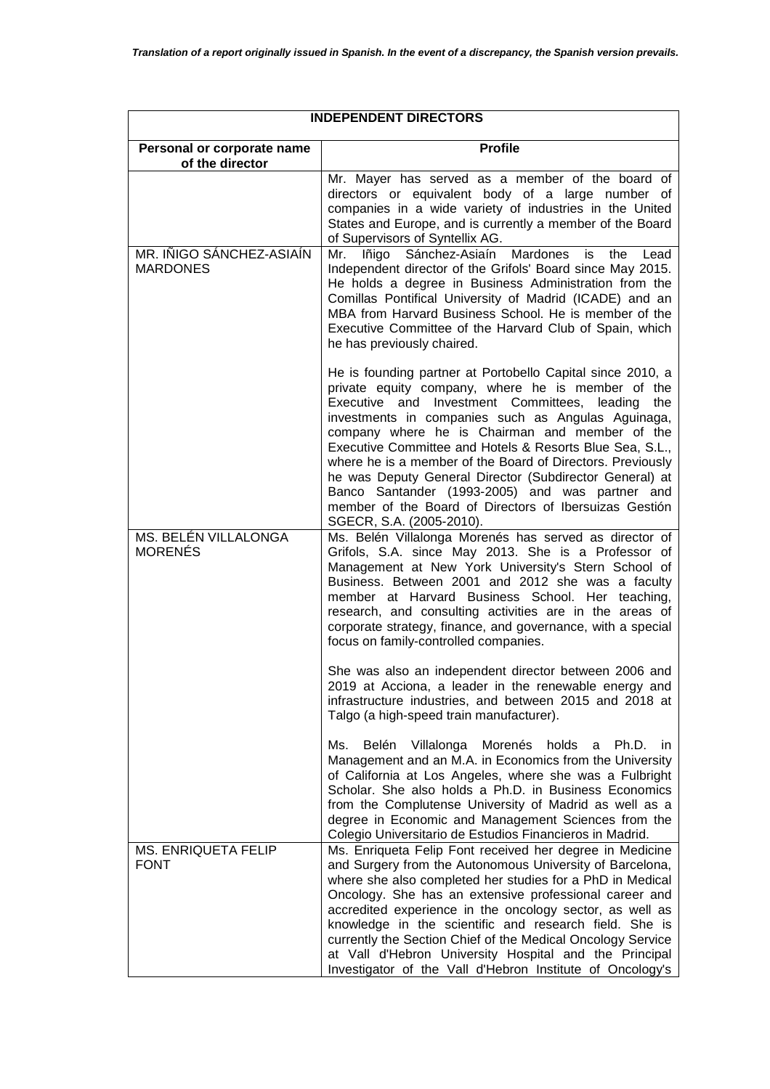| <b>INDEPENDENT DIRECTORS</b>                  |                                                                                                                                                                                                                                                                                                                                                                                                                                                                                                                                                                                                              |  |  |
|-----------------------------------------------|--------------------------------------------------------------------------------------------------------------------------------------------------------------------------------------------------------------------------------------------------------------------------------------------------------------------------------------------------------------------------------------------------------------------------------------------------------------------------------------------------------------------------------------------------------------------------------------------------------------|--|--|
| Personal or corporate name<br>of the director | <b>Profile</b>                                                                                                                                                                                                                                                                                                                                                                                                                                                                                                                                                                                               |  |  |
|                                               | Mr. Mayer has served as a member of the board of<br>directors or equivalent body of a large number of<br>companies in a wide variety of industries in the United<br>States and Europe, and is currently a member of the Board<br>of Supervisors of Syntellix AG.                                                                                                                                                                                                                                                                                                                                             |  |  |
| MR. IÑIGO SÁNCHEZ-ASIAÍN<br><b>MARDONES</b>   | Mr. Iñigo Sánchez-Asiaín Mardones<br>the<br>is<br>Lead<br>Independent director of the Grifols' Board since May 2015.<br>He holds a degree in Business Administration from the<br>Comillas Pontifical University of Madrid (ICADE) and an<br>MBA from Harvard Business School. He is member of the<br>Executive Committee of the Harvard Club of Spain, which<br>he has previously chaired.                                                                                                                                                                                                                   |  |  |
|                                               | He is founding partner at Portobello Capital since 2010, a<br>private equity company, where he is member of the<br>Executive and Investment Committees, leading<br>the<br>investments in companies such as Angulas Aguinaga,<br>company where he is Chairman and member of the<br>Executive Committee and Hotels & Resorts Blue Sea, S.L.,<br>where he is a member of the Board of Directors. Previously<br>he was Deputy General Director (Subdirector General) at<br>Banco Santander (1993-2005) and was partner and<br>member of the Board of Directors of Ibersuizas Gestión<br>SGECR, S.A. (2005-2010). |  |  |
| MS. BELÉN VILLALONGA<br><b>MORENÉS</b>        | Ms. Belén Villalonga Morenés has served as director of<br>Grifols, S.A. since May 2013. She is a Professor of<br>Management at New York University's Stern School of<br>Business. Between 2001 and 2012 she was a faculty<br>member at Harvard Business School. Her teaching,<br>research, and consulting activities are in the areas of<br>corporate strategy, finance, and governance, with a special<br>focus on family-controlled companies.                                                                                                                                                             |  |  |
|                                               | She was also an independent director between 2006 and<br>2019 at Acciona, a leader in the renewable energy and<br>infrastructure industries, and between 2015 and 2018 at<br>Talgo (a high-speed train manufacturer).                                                                                                                                                                                                                                                                                                                                                                                        |  |  |
|                                               | Villalonga Morenés holds<br>Belén<br>Ms. I<br>a Ph.D.<br>-in<br>Management and an M.A. in Economics from the University<br>of California at Los Angeles, where she was a Fulbright<br>Scholar. She also holds a Ph.D. in Business Economics<br>from the Complutense University of Madrid as well as a<br>degree in Economic and Management Sciences from the<br>Colegio Universitario de Estudios Financieros in Madrid.                                                                                                                                                                                     |  |  |
| MS. ENRIQUETA FELIP<br><b>FONT</b>            | Ms. Enriqueta Felip Font received her degree in Medicine<br>and Surgery from the Autonomous University of Barcelona,<br>where she also completed her studies for a PhD in Medical<br>Oncology. She has an extensive professional career and<br>accredited experience in the oncology sector, as well as<br>knowledge in the scientific and research field. She is<br>currently the Section Chief of the Medical Oncology Service<br>at Vall d'Hebron University Hospital and the Principal<br>Investigator of the Vall d'Hebron Institute of Oncology's                                                      |  |  |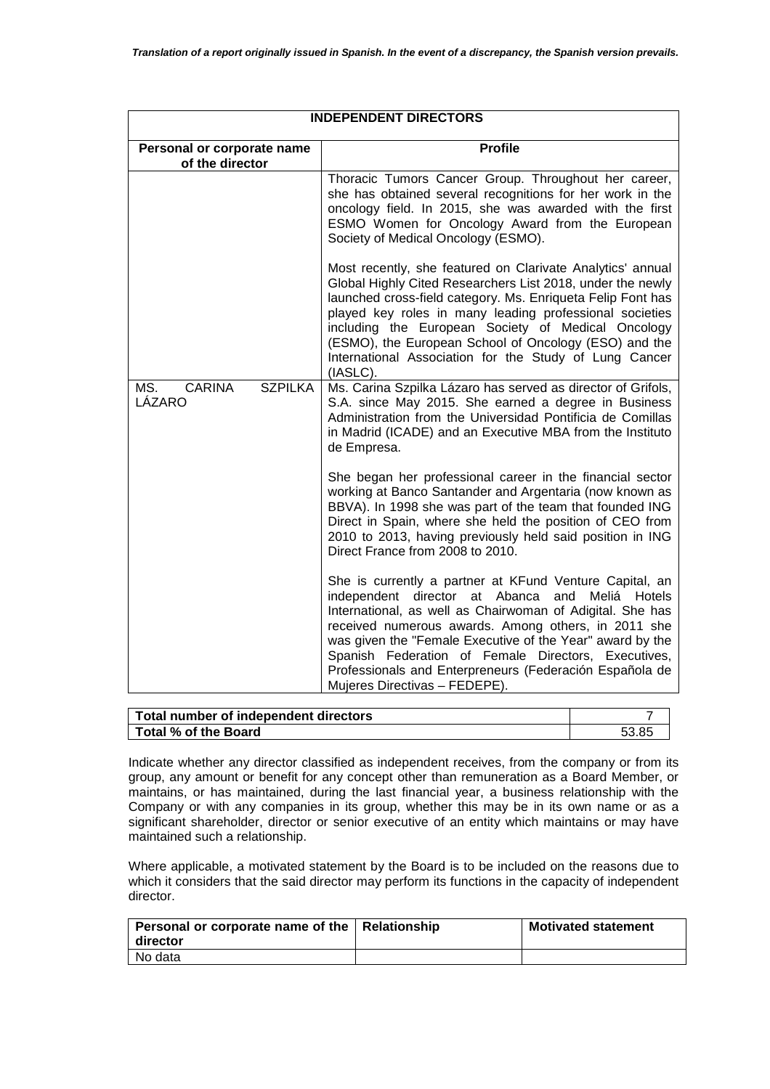| Personal or corporate name<br>of the director    | <b>Profile</b>                                                                                                                                                                                                                                                                                                                                                                                                                                    |
|--------------------------------------------------|---------------------------------------------------------------------------------------------------------------------------------------------------------------------------------------------------------------------------------------------------------------------------------------------------------------------------------------------------------------------------------------------------------------------------------------------------|
|                                                  |                                                                                                                                                                                                                                                                                                                                                                                                                                                   |
|                                                  | Thoracic Tumors Cancer Group. Throughout her career,<br>she has obtained several recognitions for her work in the<br>oncology field. In 2015, she was awarded with the first<br>ESMO Women for Oncology Award from the European<br>Society of Medical Oncology (ESMO).                                                                                                                                                                            |
|                                                  | Most recently, she featured on Clarivate Analytics' annual<br>Global Highly Cited Researchers List 2018, under the newly<br>launched cross-field category. Ms. Enriqueta Felip Font has<br>played key roles in many leading professional societies<br>including the European Society of Medical Oncology<br>(ESMO), the European School of Oncology (ESO) and the<br>International Association for the Study of Lung Cancer<br>(IASLC).           |
| <b>SZPILKA</b><br>MS.<br><b>CARINA</b><br>LÁZARO | Ms. Carina Szpilka Lázaro has served as director of Grifols,<br>S.A. since May 2015. She earned a degree in Business<br>Administration from the Universidad Pontificia de Comillas<br>in Madrid (ICADE) and an Executive MBA from the Instituto<br>de Empresa.                                                                                                                                                                                    |
|                                                  | She began her professional career in the financial sector<br>working at Banco Santander and Argentaria (now known as<br>BBVA). In 1998 she was part of the team that founded ING<br>Direct in Spain, where she held the position of CEO from<br>2010 to 2013, having previously held said position in ING<br>Direct France from 2008 to 2010.                                                                                                     |
|                                                  | She is currently a partner at KFund Venture Capital, an<br>independent director at Abanca and<br>Meliá Hotels<br>International, as well as Chairwoman of Adigital. She has<br>received numerous awards. Among others, in 2011 she<br>was given the "Female Executive of the Year" award by the<br>Spanish Federation of Female Directors, Executives,<br>Professionals and Enterpreneurs (Federación Española de<br>Mujeres Directivas - FEDEPE). |

| Total number of independent directors |       |
|---------------------------------------|-------|
| Total % of the Board                  | 53.85 |

Indicate whether any director classified as independent receives, from the company or from its group, any amount or benefit for any concept other than remuneration as a Board Member, or maintains, or has maintained, during the last financial year, a business relationship with the Company or with any companies in its group, whether this may be in its own name or as a significant shareholder, director or senior executive of an entity which maintains or may have maintained such a relationship.

Where applicable, a motivated statement by the Board is to be included on the reasons due to which it considers that the said director may perform its functions in the capacity of independent director.

| Personal or corporate name of the   Relationship<br>l director | <b>Motivated statement</b> |
|----------------------------------------------------------------|----------------------------|
| No data                                                        |                            |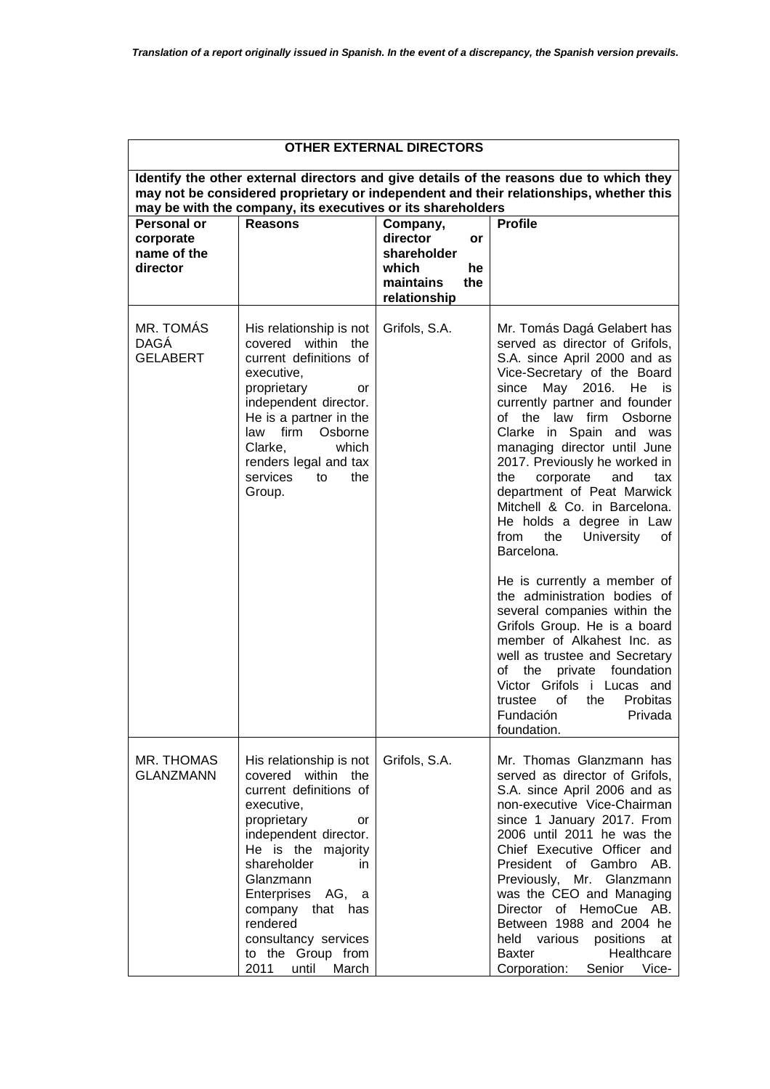| <b>OTHER EXTERNAL DIRECTORS</b>                                                                                                                                                                                                                  |                                                                                                                                                                                                                                                                                                                          |                                                                                              |                                                                                                                                                                                                                                                                                                                                                                                                                                                                                                                                                                                                                                                                                                                                                                                                                                                                                                                                                     |  |  |
|--------------------------------------------------------------------------------------------------------------------------------------------------------------------------------------------------------------------------------------------------|--------------------------------------------------------------------------------------------------------------------------------------------------------------------------------------------------------------------------------------------------------------------------------------------------------------------------|----------------------------------------------------------------------------------------------|-----------------------------------------------------------------------------------------------------------------------------------------------------------------------------------------------------------------------------------------------------------------------------------------------------------------------------------------------------------------------------------------------------------------------------------------------------------------------------------------------------------------------------------------------------------------------------------------------------------------------------------------------------------------------------------------------------------------------------------------------------------------------------------------------------------------------------------------------------------------------------------------------------------------------------------------------------|--|--|
| Identify the other external directors and give details of the reasons due to which they<br>may not be considered proprietary or independent and their relationships, whether this<br>may be with the company, its executives or its shareholders |                                                                                                                                                                                                                                                                                                                          |                                                                                              |                                                                                                                                                                                                                                                                                                                                                                                                                                                                                                                                                                                                                                                                                                                                                                                                                                                                                                                                                     |  |  |
| <b>Personal or</b><br>corporate<br>name of the<br>director                                                                                                                                                                                       | <b>Reasons</b>                                                                                                                                                                                                                                                                                                           | Company,<br>director<br>or<br>shareholder<br>which<br>he<br>maintains<br>the<br>relationship | <b>Profile</b>                                                                                                                                                                                                                                                                                                                                                                                                                                                                                                                                                                                                                                                                                                                                                                                                                                                                                                                                      |  |  |
| MR. TOMÁS<br><b>DAGÁ</b><br><b>GELABERT</b>                                                                                                                                                                                                      | His relationship is not<br>covered within the<br>current definitions of<br>executive,<br>proprietary<br>or<br>independent director.<br>He is a partner in the<br>firm<br>law<br>Osborne<br>Clarke,<br>which<br>renders legal and tax<br>services<br>the<br>to<br>Group.                                                  | Grifols, S.A.                                                                                | Mr. Tomás Dagá Gelabert has<br>served as director of Grifols,<br>S.A. since April 2000 and as<br>Vice-Secretary of the Board<br>May 2016.<br>since<br>He<br>is<br>currently partner and founder<br>of the law firm<br>Osborne<br>Clarke in Spain and was<br>managing director until June<br>2017. Previously he worked in<br>the<br>corporate<br>and<br>tax<br>department of Peat Marwick<br>Mitchell & Co. in Barcelona.<br>He holds a degree in Law<br>from<br>the<br>University<br>οf<br>Barcelona.<br>He is currently a member of<br>the administration bodies of<br>several companies within the<br>Grifols Group. He is a board<br>member of Alkahest Inc. as<br>well as trustee and Secretary<br>of<br>the private foundation<br>Victor Grifols i Lucas and<br>of<br>the<br>Probitas<br>trustee<br>Fundación a comunita a la comunita de la comunita de la comunita de la comunitación de la comunitación de la c<br>Privada.<br>foundation. |  |  |
| MR. THOMAS<br><b>GLANZMANN</b>                                                                                                                                                                                                                   | His relationship is not<br>covered within the<br>current definitions of<br>executive,<br>proprietary<br>or<br>independent director.<br>He is the majority<br>shareholder<br>in.<br>Glanzmann<br>Enterprises AG, a<br>company that has<br>rendered<br>consultancy services<br>to the Group from<br>2011<br>March<br>until | Grifols, S.A.                                                                                | Mr. Thomas Glanzmann has<br>served as director of Grifols,<br>S.A. since April 2006 and as<br>non-executive Vice-Chairman<br>since 1 January 2017. From<br>2006 until 2011 he was the<br>Chief Executive Officer and<br>President of Gambro AB.<br>Previously, Mr. Glanzmann<br>was the CEO and Managing<br>Director of HemoCue AB.<br>Between 1988 and 2004 he<br>held various positions at<br><b>Baxter</b><br>Healthcare<br>Corporation:<br>Senior Vice-                                                                                                                                                                                                                                                                                                                                                                                                                                                                                         |  |  |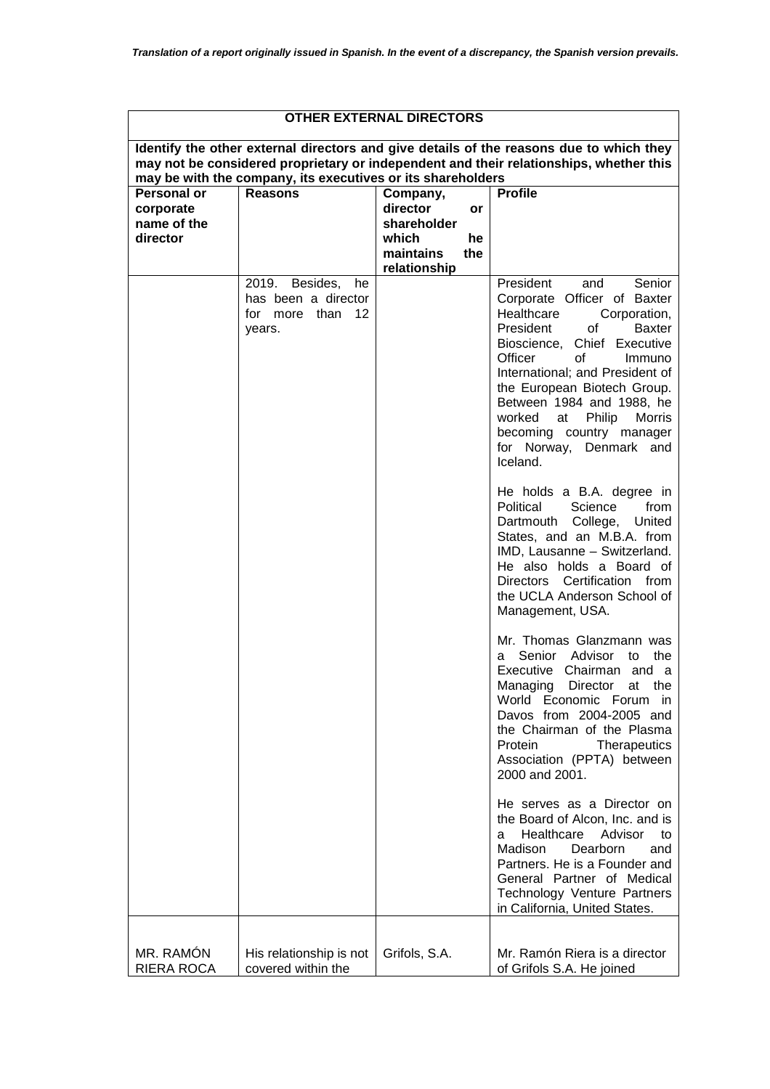| <b>OTHER EXTERNAL DIRECTORS</b>                            |                                                                                 |                                                                                              |                                                                                                                                                                                                                                                                                                                                                                                                                                                                                                                                                                                                                                                                                                                                                                                                                                                                                                                                                                                                                                                                                                                                                                                                                               |  |
|------------------------------------------------------------|---------------------------------------------------------------------------------|----------------------------------------------------------------------------------------------|-------------------------------------------------------------------------------------------------------------------------------------------------------------------------------------------------------------------------------------------------------------------------------------------------------------------------------------------------------------------------------------------------------------------------------------------------------------------------------------------------------------------------------------------------------------------------------------------------------------------------------------------------------------------------------------------------------------------------------------------------------------------------------------------------------------------------------------------------------------------------------------------------------------------------------------------------------------------------------------------------------------------------------------------------------------------------------------------------------------------------------------------------------------------------------------------------------------------------------|--|
|                                                            | may be with the company, its executives or its shareholders                     |                                                                                              | Identify the other external directors and give details of the reasons due to which they<br>may not be considered proprietary or independent and their relationships, whether this                                                                                                                                                                                                                                                                                                                                                                                                                                                                                                                                                                                                                                                                                                                                                                                                                                                                                                                                                                                                                                             |  |
| <b>Personal or</b><br>corporate<br>name of the<br>director | <b>Reasons</b>                                                                  | Company,<br>director<br>or<br>shareholder<br>which<br>he<br>maintains<br>the<br>relationship | <b>Profile</b>                                                                                                                                                                                                                                                                                                                                                                                                                                                                                                                                                                                                                                                                                                                                                                                                                                                                                                                                                                                                                                                                                                                                                                                                                |  |
|                                                            | 2019.<br>Besides,<br>he<br>has been a director<br>12<br>for more than<br>years. |                                                                                              | President<br>Senior<br>and<br>Corporate Officer of Baxter<br>Healthcare<br>Corporation,<br>President<br>of<br><b>Baxter</b><br>Bioscience, Chief Executive<br>Officer<br>of<br>Immuno<br>International; and President of<br>the European Biotech Group.<br>Between 1984 and 1988, he<br>Philip<br>Morris<br>worked<br>at<br>becoming country manager<br>for Norway, Denmark and<br>Iceland.<br>He holds a B.A. degree in<br>Political<br>Science<br>from<br>Dartmouth College,<br>United<br>States, and an M.B.A. from<br>IMD, Lausanne - Switzerland.<br>He also holds a Board of<br>Directors Certification from<br>the UCLA Anderson School of<br>Management, USA.<br>Mr. Thomas Glanzmann was<br>Senior Advisor<br>to the<br>a.<br>Executive Chairman and a<br>Managing Director at the<br>World Economic Forum in<br>Davos from 2004-2005 and<br>the Chairman of the Plasma<br>Protein<br>Therapeutics<br>Association (PPTA) between<br>2000 and 2001.<br>He serves as a Director on<br>the Board of Alcon, Inc. and is<br>Healthcare<br>Advisor<br>to<br>a<br>Madison<br>Dearborn<br>and<br>Partners. He is a Founder and<br>General Partner of Medical<br>Technology Venture Partners<br>in California, United States. |  |
| MR. RAMÓN<br>RIERA ROCA                                    | His relationship is not<br>covered within the                                   | Grifols, S.A.                                                                                | Mr. Ramón Riera is a director<br>of Grifols S.A. He joined                                                                                                                                                                                                                                                                                                                                                                                                                                                                                                                                                                                                                                                                                                                                                                                                                                                                                                                                                                                                                                                                                                                                                                    |  |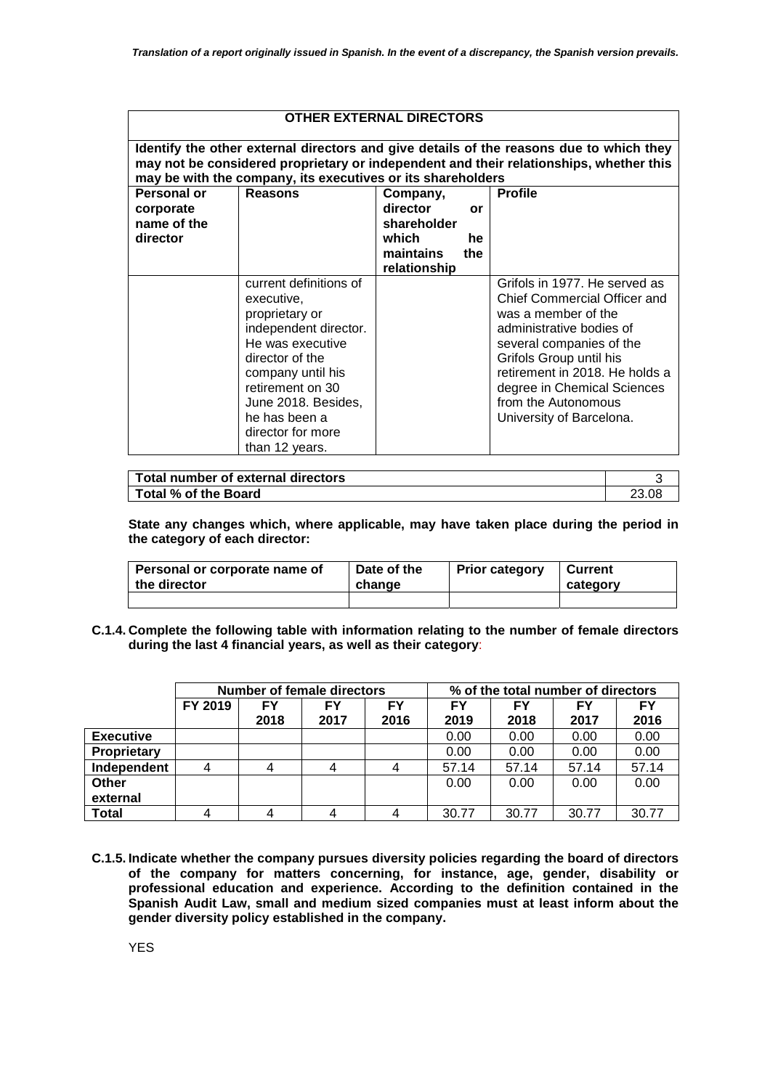| <b>OTHER EXTERNAL DIRECTORS</b> |                                                             |                           |     |                                                                                                                                                                                   |  |
|---------------------------------|-------------------------------------------------------------|---------------------------|-----|-----------------------------------------------------------------------------------------------------------------------------------------------------------------------------------|--|
|                                 | may be with the company, its executives or its shareholders |                           |     | Identify the other external directors and give details of the reasons due to which they<br>may not be considered proprietary or independent and their relationships, whether this |  |
| Personal or<br>corporate        | <b>Reasons</b>                                              | Company,<br>director      | or  | <b>Profile</b>                                                                                                                                                                    |  |
| name of the                     |                                                             | shareholder               |     |                                                                                                                                                                                   |  |
| director                        |                                                             | which                     | he  |                                                                                                                                                                                   |  |
|                                 |                                                             | maintains<br>relationship | the |                                                                                                                                                                                   |  |
|                                 | current definitions of                                      |                           |     | Grifols in 1977. He served as                                                                                                                                                     |  |
|                                 | executive,                                                  |                           |     | Chief Commercial Officer and                                                                                                                                                      |  |
|                                 | proprietary or                                              |                           |     | was a member of the                                                                                                                                                               |  |
|                                 | independent director.                                       |                           |     | administrative bodies of                                                                                                                                                          |  |
|                                 | He was executive                                            |                           |     | several companies of the                                                                                                                                                          |  |
|                                 | director of the                                             |                           |     | Grifols Group until his                                                                                                                                                           |  |
|                                 | company until his                                           |                           |     | retirement in 2018. He holds a                                                                                                                                                    |  |
|                                 | retirement on 30                                            |                           |     | degree in Chemical Sciences<br>from the Autonomous                                                                                                                                |  |
|                                 | June 2018. Besides,<br>he has been a                        |                           |     | University of Barcelona.                                                                                                                                                          |  |
|                                 | director for more                                           |                           |     |                                                                                                                                                                                   |  |
|                                 | than 12 years.                                              |                           |     |                                                                                                                                                                                   |  |

| Total number of external directors |  |
|------------------------------------|--|
| Total % of the Board               |  |

**State any changes which, where applicable, may have taken place during the period in the category of each director:** 

| Personal or corporate name of | Date of the | <b>Prior category</b> | Current  |
|-------------------------------|-------------|-----------------------|----------|
| the director                  | change      |                       | category |
|                               |             |                       |          |

**C.1.4. Complete the following table with information relating to the number of female directors during the last 4 financial years, as well as their category**:

|                    | Number of female directors |      |      | % of the total number of directors |           |       |       |       |
|--------------------|----------------------------|------|------|------------------------------------|-----------|-------|-------|-------|
|                    | FY 2019                    | FY   | FY   | FY                                 | <b>FY</b> | FΥ    | FΥ    | FΥ    |
|                    |                            | 2018 | 2017 | 2016                               | 2019      | 2018  | 2017  | 2016  |
| <b>Executive</b>   |                            |      |      |                                    | 0.00      | 0.00  | 0.00  | 0.00  |
| <b>Proprietary</b> |                            |      |      |                                    | 0.00      | 0.00  | 0.00  | 0.00  |
| Independent        |                            |      |      |                                    | 57.14     | 57.14 | 57.14 | 57.14 |
| Other              |                            |      |      |                                    | 0.00      | 0.00  | 0.00  | 0.00  |
| external           |                            |      |      |                                    |           |       |       |       |
| <b>Total</b>       |                            |      |      |                                    | 30.77     | 30.77 | 30.77 | 30.77 |

**C.1.5. Indicate whether the company pursues diversity policies regarding the board of directors of the company for matters concerning, for instance, age, gender, disability or professional education and experience. According to the definition contained in the Spanish Audit Law, small and medium sized companies must at least inform about the gender diversity policy established in the company.**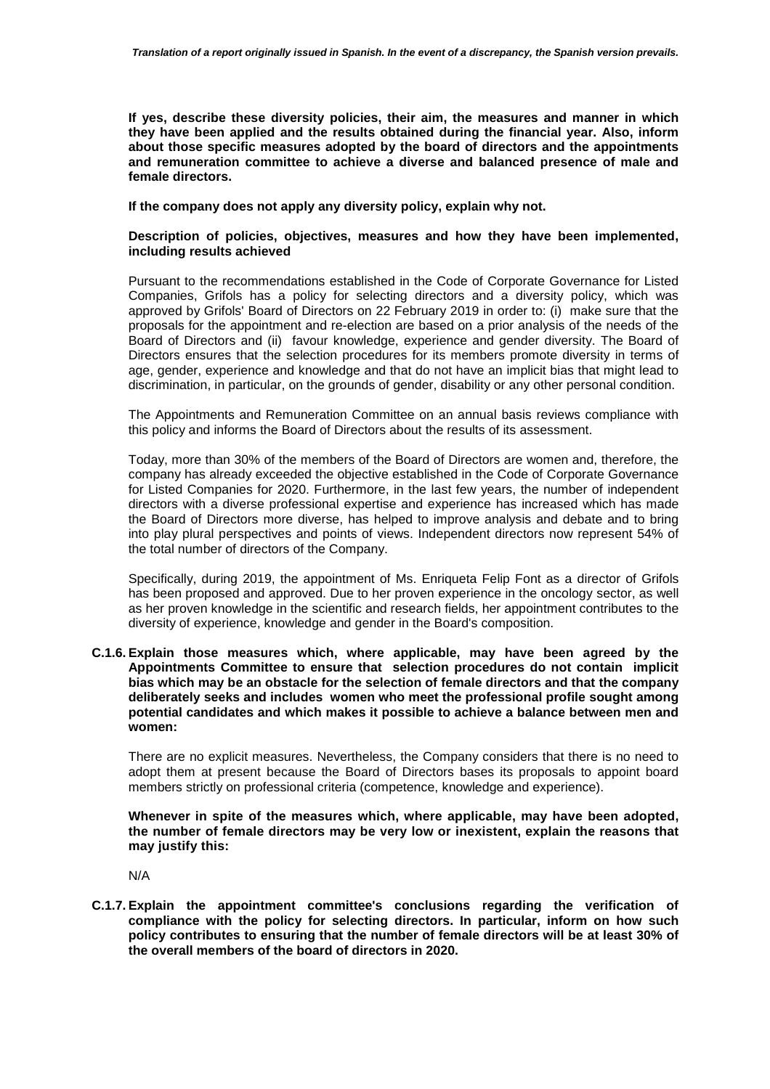**If yes, describe these diversity policies, their aim, the measures and manner in which they have been applied and the results obtained during the financial year. Also, inform about those specific measures adopted by the board of directors and the appointments and remuneration committee to achieve a diverse and balanced presence of male and female directors.** 

**If the company does not apply any diversity policy, explain why not.** 

## **Description of policies, objectives, measures and how they have been implemented, including results achieved**

Pursuant to the recommendations established in the Code of Corporate Governance for Listed Companies, Grifols has a policy for selecting directors and a diversity policy, which was approved by Grifols' Board of Directors on 22 February 2019 in order to: (i) make sure that the proposals for the appointment and re-election are based on a prior analysis of the needs of the Board of Directors and (ii) favour knowledge, experience and gender diversity. The Board of Directors ensures that the selection procedures for its members promote diversity in terms of age, gender, experience and knowledge and that do not have an implicit bias that might lead to discrimination, in particular, on the grounds of gender, disability or any other personal condition.

The Appointments and Remuneration Committee on an annual basis reviews compliance with this policy and informs the Board of Directors about the results of its assessment.

Today, more than 30% of the members of the Board of Directors are women and, therefore, the company has already exceeded the objective established in the Code of Corporate Governance for Listed Companies for 2020. Furthermore, in the last few years, the number of independent directors with a diverse professional expertise and experience has increased which has made the Board of Directors more diverse, has helped to improve analysis and debate and to bring into play plural perspectives and points of views. Independent directors now represent 54% of the total number of directors of the Company.

Specifically, during 2019, the appointment of Ms. Enriqueta Felip Font as a director of Grifols has been proposed and approved. Due to her proven experience in the oncology sector, as well as her proven knowledge in the scientific and research fields, her appointment contributes to the diversity of experience, knowledge and gender in the Board's composition.

**C.1.6. Explain those measures which, where applicable, may have been agreed by the Appointments Committee to ensure that selection procedures do not contain implicit bias which may be an obstacle for the selection of female directors and that the company deliberately seeks and includes women who meet the professional profile sought among potential candidates and which makes it possible to achieve a balance between men and women:** 

There are no explicit measures. Nevertheless, the Company considers that there is no need to adopt them at present because the Board of Directors bases its proposals to appoint board members strictly on professional criteria (competence, knowledge and experience).

**Whenever in spite of the measures which, where applicable, may have been adopted, the number of female directors may be very low or inexistent, explain the reasons that may justify this:** 

N/A

**C.1.7. Explain the appointment committee's conclusions regarding the verification of compliance with the policy for selecting directors. In particular, inform on how such policy contributes to ensuring that the number of female directors will be at least 30% of the overall members of the board of directors in 2020.**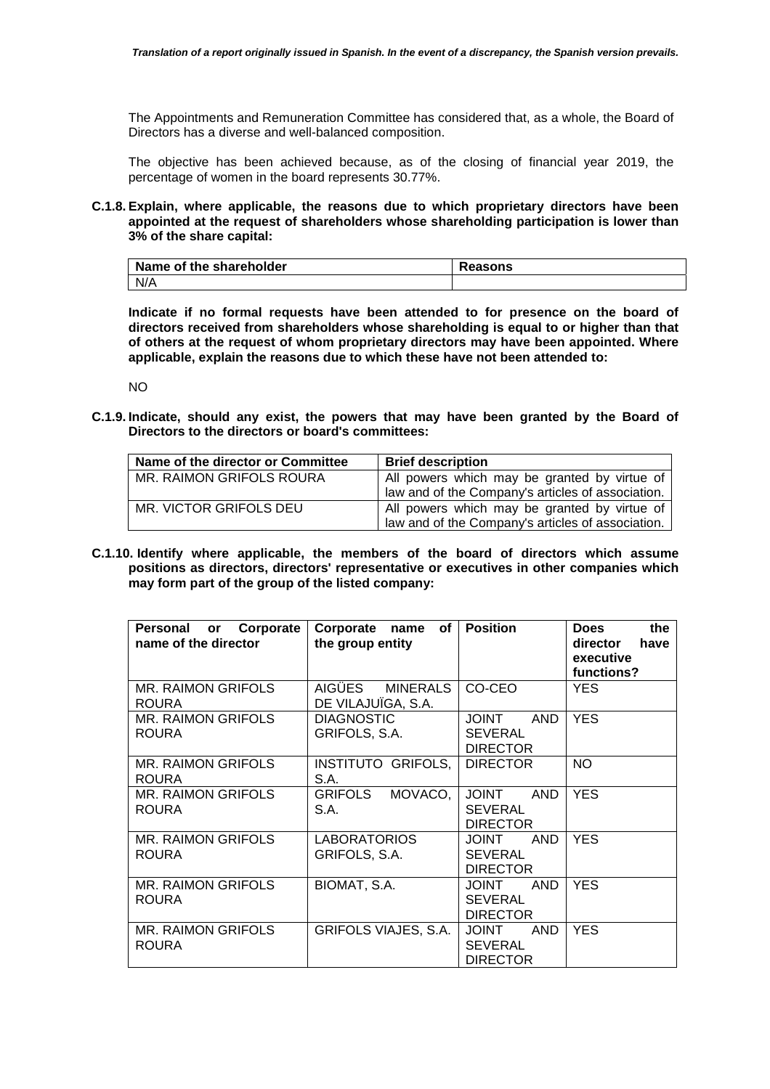The Appointments and Remuneration Committee has considered that, as a whole, the Board of Directors has a diverse and well-balanced composition.

The objective has been achieved because, as of the closing of financial year 2019, the percentage of women in the board represents 30.77%.

## **C.1.8. Explain, where applicable, the reasons due to which proprietary directors have been appointed at the request of shareholders whose shareholding participation is lower than 3% of the share capital:**

| Name of the shareholder | Reasons |
|-------------------------|---------|
| N/A                     |         |

**Indicate if no formal requests have been attended to for presence on the board of directors received from shareholders whose shareholding is equal to or higher than that of others at the request of whom proprietary directors may have been appointed. Where applicable, explain the reasons due to which these have not been attended to:** 

NO

**C.1.9. Indicate, should any exist, the powers that may have been granted by the Board of Directors to the directors or board's committees:** 

| Name of the director or Committee | <b>Brief description</b>                                                                          |
|-----------------------------------|---------------------------------------------------------------------------------------------------|
| MR. RAIMON GRIFOLS ROURA          | All powers which may be granted by virtue of<br>law and of the Company's articles of association. |
| MR. VICTOR GRIFOLS DEU            | All powers which may be granted by virtue of<br>law and of the Company's articles of association. |

**C.1.10. Identify where applicable, the members of the board of directors which assume positions as directors, directors' representative or executives in other companies which may form part of the group of the listed company:** 

| Corporate<br>Personal<br>or<br>name of the director | of<br>Corporate<br>name<br>the group entity | <b>Position</b>                                                 | <b>Does</b><br>the<br>director<br>have<br>executive<br>functions? |
|-----------------------------------------------------|---------------------------------------------|-----------------------------------------------------------------|-------------------------------------------------------------------|
| MR. RAIMON GRIFOLS<br><b>ROURA</b>                  | AIGÜES<br>MINERALS<br>DE VILAJUÏGA, S.A.    | CO-CEO                                                          | <b>YES</b>                                                        |
| MR. RAIMON GRIFOLS<br><b>ROURA</b>                  | <b>DIAGNOSTIC</b><br>GRIFOLS, S.A.          | <b>TUIOL</b><br><b>AND</b><br><b>SEVERAL</b><br><b>DIRECTOR</b> | <b>YES</b>                                                        |
| MR. RAIMON GRIFOLS<br><b>ROURA</b>                  | INSTITUTO GRIFOLS,<br>S.A.                  | <b>DIRECTOR</b>                                                 | <b>NO</b>                                                         |
| <b>MR. RAIMON GRIFOLS</b><br><b>ROURA</b>           | <b>GRIFOLS</b><br>MOVACO,<br>S.A.           | <b>JOINT</b><br><b>AND</b><br><b>SEVERAL</b><br><b>DIRECTOR</b> | <b>YES</b>                                                        |
| MR. RAIMON GRIFOLS<br><b>ROURA</b>                  | <b>LABORATORIOS</b><br>GRIFOLS, S.A.        | <b>AND</b><br><b>TUOL</b><br><b>SEVERAL</b><br><b>DIRECTOR</b>  | <b>YES</b>                                                        |
| <b>MR. RAIMON GRIFOLS</b><br><b>ROURA</b>           | BIOMAT, S.A.                                | <b>JOINT</b><br><b>AND</b><br><b>SEVERAL</b><br><b>DIRECTOR</b> | <b>YES</b>                                                        |
| <b>MR. RAIMON GRIFOLS</b><br><b>ROURA</b>           | <b>GRIFOLS VIAJES, S.A.</b>                 | <b>JOINT</b><br><b>AND</b><br><b>SEVERAL</b><br><b>DIRECTOR</b> | <b>YES</b>                                                        |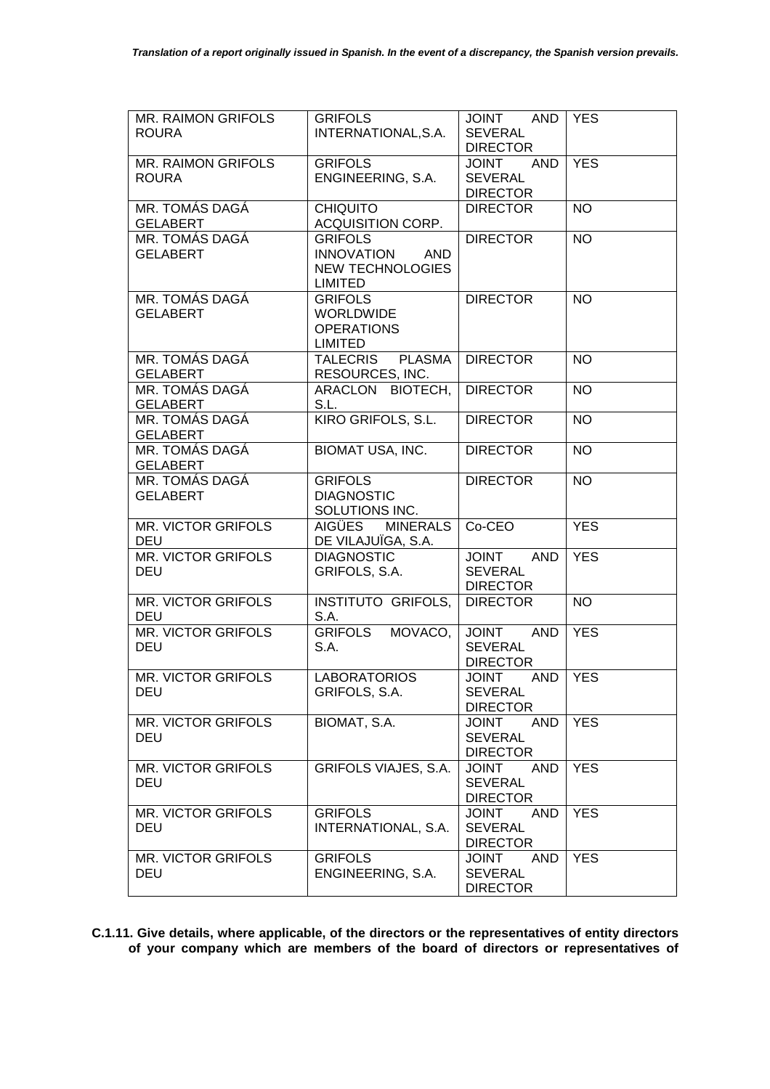| MR. RAIMON GRIFOLS        | <b>GRIFOLS</b>                   | JOINT AND                  | <b>YES</b> |
|---------------------------|----------------------------------|----------------------------|------------|
| <b>ROURA</b>              | INTERNATIONAL, S.A.              | <b>SEVERAL</b>             |            |
|                           |                                  | <b>DIRECTOR</b>            |            |
| MR. RAIMON GRIFOLS        | <b>GRIFOLS</b>                   | <b>JOINT</b><br>AND        | <b>YES</b> |
| <b>ROURA</b>              | ENGINEERING, S.A.                | <b>SEVERAL</b>             |            |
|                           |                                  | <b>DIRECTOR</b>            |            |
| MR. TOMÁS DAGÁ            | <b>CHIQUITO</b>                  | <b>DIRECTOR</b>            | <b>NO</b>  |
| <b>GELABERT</b>           | ACQUISITION CORP.                |                            |            |
| MR. TOMÁS DAGÁ            | <b>GRIFOLS</b>                   | <b>DIRECTOR</b>            | <b>NO</b>  |
| <b>GELABERT</b>           | <b>INNOVATION</b><br>AND         |                            |            |
|                           | <b>NEW TECHNOLOGIES</b>          |                            |            |
|                           | <b>LIMITED</b>                   |                            |            |
| MR. TOMÁS DAGÁ            | <b>GRIFOLS</b>                   | <b>DIRECTOR</b>            | <b>NO</b>  |
| <b>GELABERT</b>           | <b>WORLDWIDE</b>                 |                            |            |
|                           | <b>OPERATIONS</b>                |                            |            |
|                           | <b>LIMITED</b>                   |                            |            |
| MR. TOMÁS DAGÁ            | <b>TALECRIS</b><br><b>PLASMA</b> | <b>DIRECTOR</b>            | <b>NO</b>  |
| <b>GELABERT</b>           | RESOURCES, INC.                  |                            |            |
| MR. TOMÁS DAGÁ            | ARACLON BIOTECH,                 | <b>DIRECTOR</b>            | <b>NO</b>  |
| <b>GELABERT</b>           | S.L.                             |                            |            |
| MR. TOMÁS DAGÁ            | KIRO GRIFOLS, S.L.               | <b>DIRECTOR</b>            | <b>NO</b>  |
| <b>GELABERT</b>           |                                  |                            |            |
| MR. TOMÁS DAGÁ            | <b>BIOMAT USA, INC.</b>          | <b>DIRECTOR</b>            | <b>NO</b>  |
| <b>GELABERT</b>           |                                  |                            |            |
| MR. TOMÁS DAGÁ            | <b>GRIFOLS</b>                   | <b>DIRECTOR</b>            | <b>NO</b>  |
| <b>GELABERT</b>           | <b>DIAGNOSTIC</b>                |                            |            |
|                           | SOLUTIONS INC.                   |                            |            |
| MR. VICTOR GRIFOLS        | <b>AIGÜES</b><br><b>MINERALS</b> | Co-CEO                     | <b>YES</b> |
| <b>DEU</b>                | DE VILAJUÏGA, S.A.               |                            |            |
| MR. VICTOR GRIFOLS        | <b>DIAGNOSTIC</b>                | <b>AND</b><br><b>JOINT</b> | <b>YES</b> |
| <b>DEU</b>                | GRIFOLS, S.A.                    | <b>SEVERAL</b>             |            |
|                           |                                  | <b>DIRECTOR</b>            |            |
| MR. VICTOR GRIFOLS        | INSTITUTO GRIFOLS,               | <b>DIRECTOR</b>            | <b>NO</b>  |
| DEU                       | S.A.                             |                            |            |
| <b>MR. VICTOR GRIFOLS</b> | <b>GRIFOLS</b><br>MOVACO,        | <b>JOINT</b><br><b>AND</b> | <b>YES</b> |
| <b>DEU</b>                | S.A.                             | <b>SEVERAL</b>             |            |
|                           |                                  | <b>DIRECTOR</b>            |            |
| <b>MR. VICTOR GRIFOLS</b> | <b>LABORATORIOS</b>              | <b>JOINT</b><br>AND        | <b>YES</b> |
| <b>DEU</b>                | GRIFOLS, S.A.                    | <b>SEVERAL</b>             |            |
|                           |                                  | <b>DIRECTOR</b>            |            |
| MR. VICTOR GRIFOLS        | BIOMAT, S.A.                     | <b>JOINT</b><br><b>AND</b> | <b>YES</b> |
| DEU                       |                                  | <b>SEVERAL</b>             |            |
|                           |                                  | <b>DIRECTOR</b>            |            |
| <b>MR. VICTOR GRIFOLS</b> | GRIFOLS VIAJES, S.A.             | <b>JOINT</b><br>AND        | <b>YES</b> |
| DEU                       |                                  | <b>SEVERAL</b>             |            |
|                           |                                  | <b>DIRECTOR</b>            |            |
| <b>MR. VICTOR GRIFOLS</b> | <b>GRIFOLS</b>                   | <b>JOINT</b><br><b>AND</b> | <b>YES</b> |
| DEU                       | INTERNATIONAL, S.A.              | <b>SEVERAL</b>             |            |
|                           |                                  | <b>DIRECTOR</b>            |            |
| MR. VICTOR GRIFOLS        | <b>GRIFOLS</b>                   | <b>JOINT</b><br>AND        | <b>YES</b> |
| DEU                       | ENGINEERING, S.A.                | <b>SEVERAL</b>             |            |
|                           |                                  | <b>DIRECTOR</b>            |            |

**C.1.11. Give details, where applicable, of the directors or the representatives of entity directors of your company which are members of the board of directors or representatives of**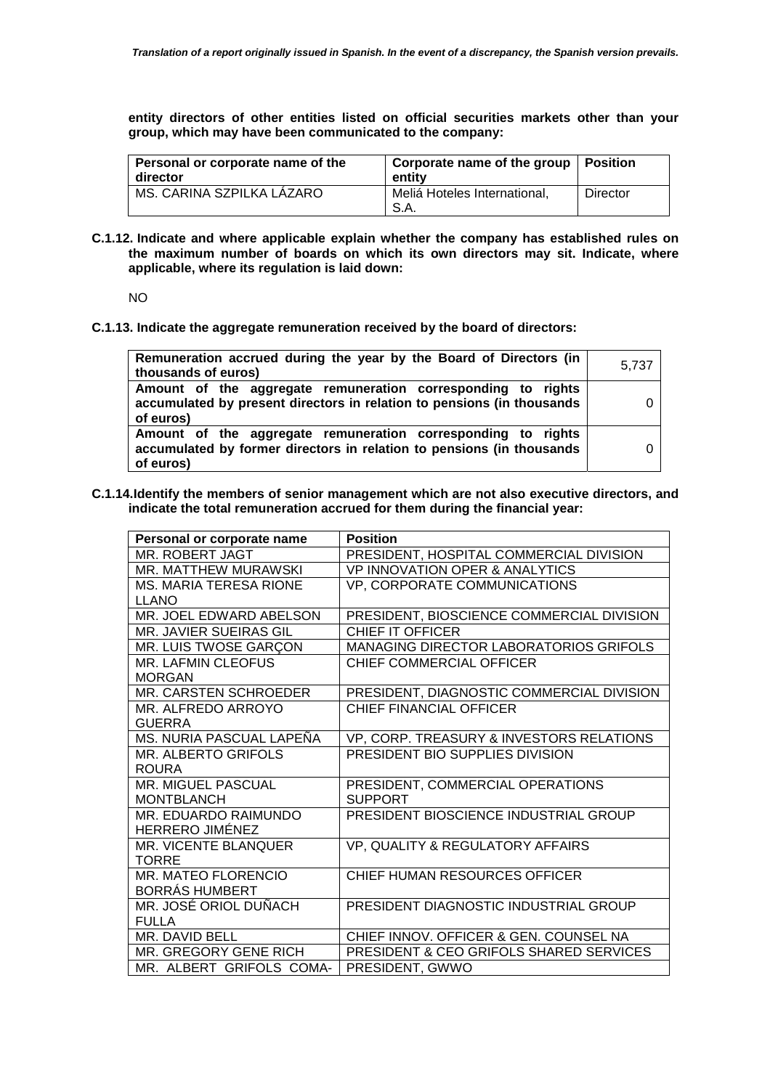**entity directors of other entities listed on official securities markets other than your group, which may have been communicated to the company:** 

| Personal or corporate name of the<br>director | Corporate name of the group   Position<br>entity |          |
|-----------------------------------------------|--------------------------------------------------|----------|
| MS. CARINA SZPILKA LÁZARO                     | Meliá Hoteles International,<br>S.A.             | Director |

**C.1.12. Indicate and where applicable explain whether the company has established rules on the maximum number of boards on which its own directors may sit. Indicate, where applicable, where its regulation is laid down:** 

NO

**C.1.13. Indicate the aggregate remuneration received by the board of directors:** 

| Remuneration accrued during the year by the Board of Directors (in                                                                                  |       |
|-----------------------------------------------------------------------------------------------------------------------------------------------------|-------|
| thousands of euros)                                                                                                                                 | 5,737 |
| Amount of the aggregate remuneration corresponding to rights<br>accumulated by present directors in relation to pensions (in thousands<br>of euros) |       |
| Amount of the aggregate remuneration corresponding to rights                                                                                        |       |
| accumulated by former directors in relation to pensions (in thousands<br>of euros)                                                                  |       |

**C.1.14.Identify the members of senior management which are not also executive directors, and indicate the total remuneration accrued for them during the financial year:** 

| Personal or corporate name    | <b>Position</b>                                    |
|-------------------------------|----------------------------------------------------|
| MR. ROBERT JAGT               | PRESIDENT, HOSPITAL COMMERCIAL DIVISION            |
| MR. MATTHEW MURAWSKI          | <b>VP INNOVATION OPER &amp; ANALYTICS</b>          |
| <b>MS. MARIA TERESA RIONE</b> | VP, CORPORATE COMMUNICATIONS                       |
| <b>LLANO</b>                  |                                                    |
| MR. JOEL EDWARD ABELSON       | PRESIDENT, BIOSCIENCE COMMERCIAL DIVISION          |
| MR. JAVIER SUEIRAS GIL        | <b>CHIEF IT OFFICER</b>                            |
| MR. LUIS TWOSE GARÇON         | MANAGING DIRECTOR LABORATORIOS GRIFOLS             |
| MR. LAFMIN CLEOFUS            | CHIEF COMMERCIAL OFFICER                           |
| <b>MORGAN</b>                 |                                                    |
| MR. CARSTEN SCHROEDER         | PRESIDENT, DIAGNOSTIC COMMERCIAL DIVISION          |
| MR. ALFREDO ARROYO            | <b>CHIEF FINANCIAL OFFICER</b>                     |
| <b>GUERRA</b>                 |                                                    |
| MS. NURIA PASCUAL LAPEÑA      | VP, CORP. TREASURY & INVESTORS RELATIONS           |
| <b>MR. ALBERTO GRIFOLS</b>    | PRESIDENT BIO SUPPLIES DIVISION                    |
| <b>ROURA</b>                  |                                                    |
| <b>MR. MIGUEL PASCUAL</b>     | PRESIDENT, COMMERCIAL OPERATIONS                   |
| <b>MONTBLANCH</b>             | <b>SUPPORT</b>                                     |
| MR. EDUARDO RAIMUNDO          | PRESIDENT BIOSCIENCE INDUSTRIAL GROUP              |
| <b>HERRERO JIMÉNEZ</b>        |                                                    |
| <b>MR. VICENTE BLANQUER</b>   | VP, QUALITY & REGULATORY AFFAIRS                   |
| <b>TORRE</b>                  |                                                    |
| <b>MR. MATEO FLORENCIO</b>    | CHIEF HUMAN RESOURCES OFFICER                      |
| <b>BORRÁS HUMBERT</b>         |                                                    |
| MR. JOSÉ ORIOL DUÑACH         | PRESIDENT DIAGNOSTIC INDUSTRIAL GROUP              |
| <b>FULLA</b>                  |                                                    |
| MR. DAVID BELL                | CHIEF INNOV. OFFICER & GEN. COUNSEL NA             |
| <b>MR. GREGORY GENE RICH</b>  | <b>PRESIDENT &amp; CEO GRIFOLS SHARED SERVICES</b> |
| MR. ALBERT GRIFOLS COMA-      | PRESIDENT, GWWO                                    |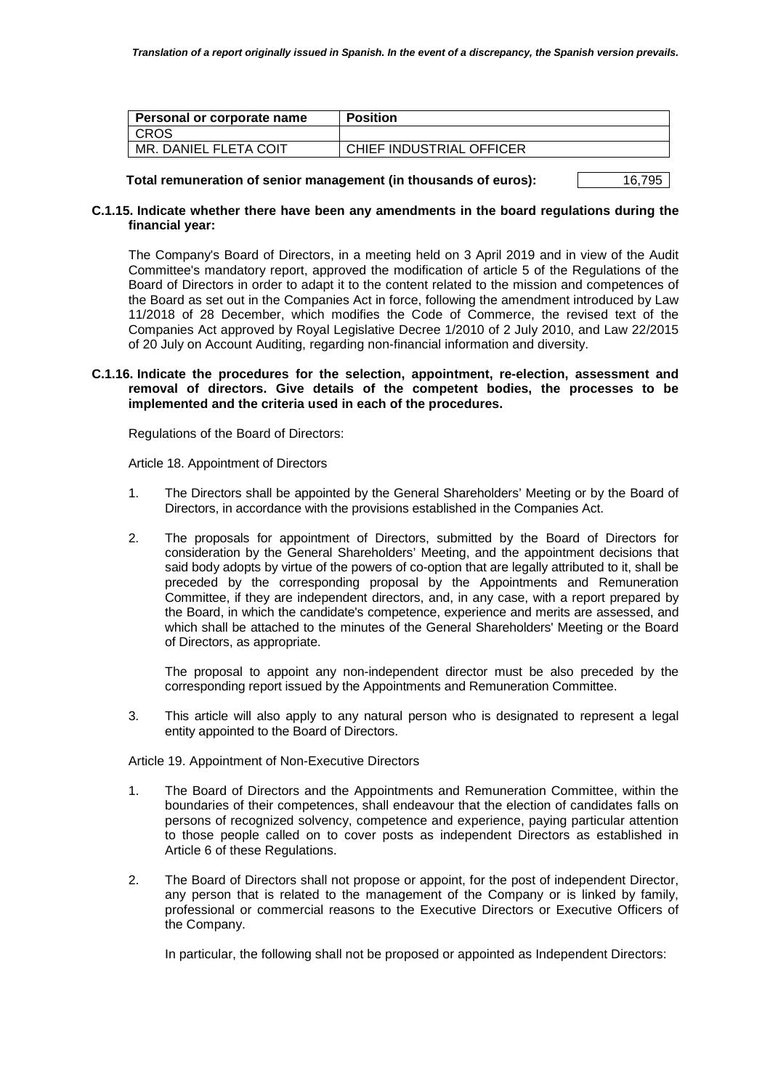| CHIEF INDUSTRIAL OFFICER |
|--------------------------|
|                          |

**Total remuneration of senior management (in thousands of euros):** 16,795

## **C.1.15. Indicate whether there have been any amendments in the board regulations during the financial year:**

The Company's Board of Directors, in a meeting held on 3 April 2019 and in view of the Audit Committee's mandatory report, approved the modification of article 5 of the Regulations of the Board of Directors in order to adapt it to the content related to the mission and competences of the Board as set out in the Companies Act in force, following the amendment introduced by Law 11/2018 of 28 December, which modifies the Code of Commerce, the revised text of the Companies Act approved by Royal Legislative Decree 1/2010 of 2 July 2010, and Law 22/2015 of 20 July on Account Auditing, regarding non-financial information and diversity.

## **C.1.16. Indicate the procedures for the selection, appointment, re-election, assessment and removal of directors. Give details of the competent bodies, the processes to be implemented and the criteria used in each of the procedures.**

Regulations of the Board of Directors:

Article 18. Appointment of Directors

- 1. The Directors shall be appointed by the General Shareholders' Meeting or by the Board of Directors, in accordance with the provisions established in the Companies Act.
- 2. The proposals for appointment of Directors, submitted by the Board of Directors for consideration by the General Shareholders' Meeting, and the appointment decisions that said body adopts by virtue of the powers of co-option that are legally attributed to it, shall be preceded by the corresponding proposal by the Appointments and Remuneration Committee, if they are independent directors, and, in any case, with a report prepared by the Board, in which the candidate's competence, experience and merits are assessed, and which shall be attached to the minutes of the General Shareholders' Meeting or the Board of Directors, as appropriate.

The proposal to appoint any non-independent director must be also preceded by the corresponding report issued by the Appointments and Remuneration Committee.

3. This article will also apply to any natural person who is designated to represent a legal entity appointed to the Board of Directors.

Article 19. Appointment of Non-Executive Directors

- 1. The Board of Directors and the Appointments and Remuneration Committee, within the boundaries of their competences, shall endeavour that the election of candidates falls on persons of recognized solvency, competence and experience, paying particular attention to those people called on to cover posts as independent Directors as established in Article 6 of these Regulations.
- 2. The Board of Directors shall not propose or appoint, for the post of independent Director, any person that is related to the management of the Company or is linked by family, professional or commercial reasons to the Executive Directors or Executive Officers of the Company.

In particular, the following shall not be proposed or appointed as Independent Directors: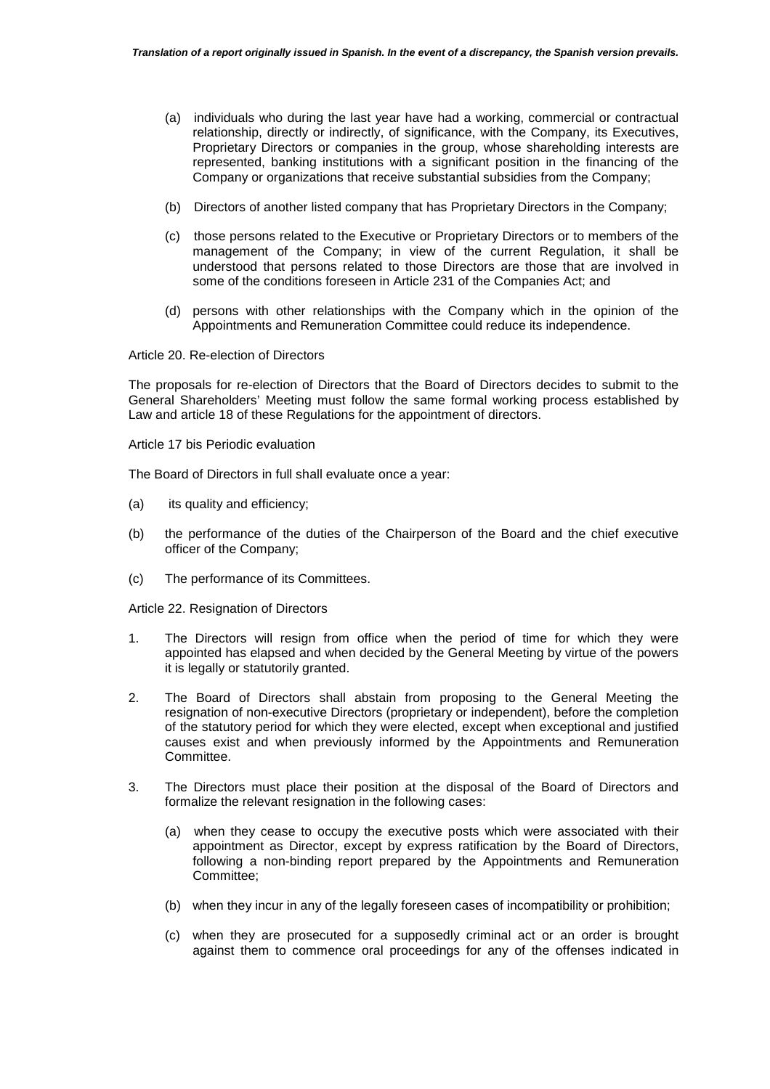- (a) individuals who during the last year have had a working, commercial or contractual relationship, directly or indirectly, of significance, with the Company, its Executives, Proprietary Directors or companies in the group, whose shareholding interests are represented, banking institutions with a significant position in the financing of the Company or organizations that receive substantial subsidies from the Company;
- (b) Directors of another listed company that has Proprietary Directors in the Company;
- (c) those persons related to the Executive or Proprietary Directors or to members of the management of the Company; in view of the current Regulation, it shall be understood that persons related to those Directors are those that are involved in some of the conditions foreseen in Article 231 of the Companies Act; and
- (d) persons with other relationships with the Company which in the opinion of the Appointments and Remuneration Committee could reduce its independence.

Article 20. Re-election of Directors

The proposals for re-election of Directors that the Board of Directors decides to submit to the General Shareholders' Meeting must follow the same formal working process established by Law and article 18 of these Regulations for the appointment of directors.

Article 17 bis Periodic evaluation

The Board of Directors in full shall evaluate once a year:

- (a) its quality and efficiency;
- (b) the performance of the duties of the Chairperson of the Board and the chief executive officer of the Company;
- (c) The performance of its Committees.

Article 22. Resignation of Directors

- 1. The Directors will resign from office when the period of time for which they were appointed has elapsed and when decided by the General Meeting by virtue of the powers it is legally or statutorily granted.
- 2. The Board of Directors shall abstain from proposing to the General Meeting the resignation of non-executive Directors (proprietary or independent), before the completion of the statutory period for which they were elected, except when exceptional and justified causes exist and when previously informed by the Appointments and Remuneration Committee.
- 3. The Directors must place their position at the disposal of the Board of Directors and formalize the relevant resignation in the following cases:
	- (a) when they cease to occupy the executive posts which were associated with their appointment as Director, except by express ratification by the Board of Directors, following a non-binding report prepared by the Appointments and Remuneration Committee;
	- (b) when they incur in any of the legally foreseen cases of incompatibility or prohibition;
	- (c) when they are prosecuted for a supposedly criminal act or an order is brought against them to commence oral proceedings for any of the offenses indicated in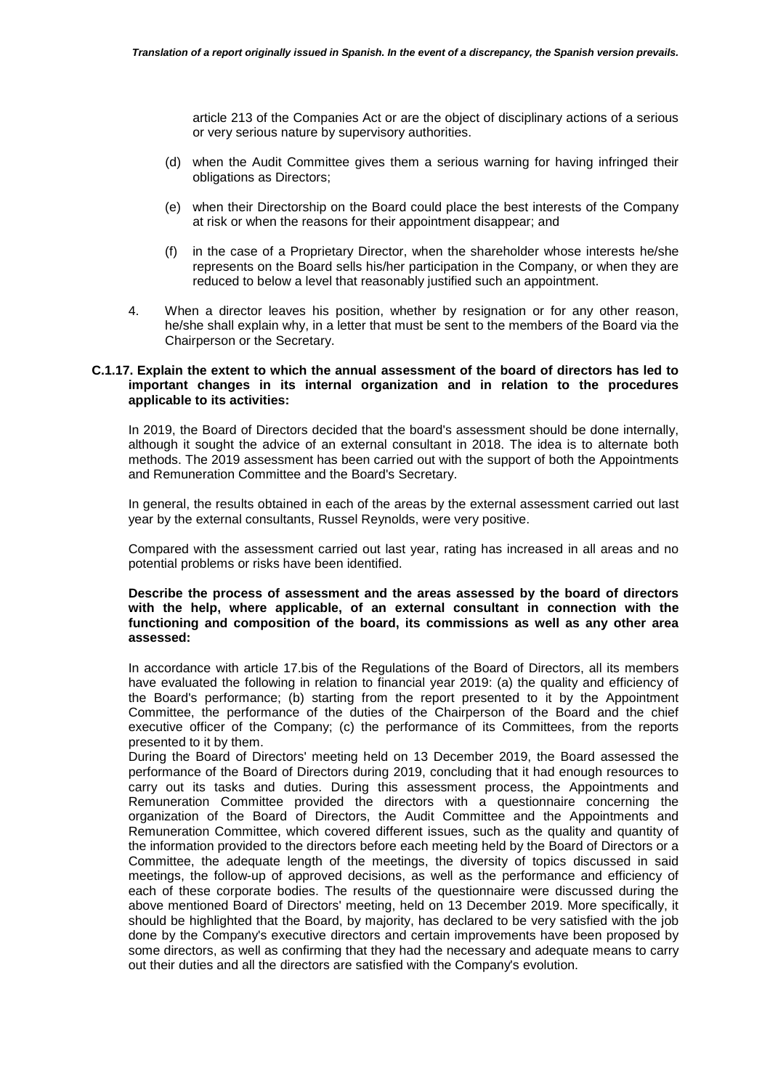article 213 of the Companies Act or are the object of disciplinary actions of a serious or very serious nature by supervisory authorities.

- (d) when the Audit Committee gives them a serious warning for having infringed their obligations as Directors;
- (e) when their Directorship on the Board could place the best interests of the Company at risk or when the reasons for their appointment disappear; and
- (f) in the case of a Proprietary Director, when the shareholder whose interests he/she represents on the Board sells his/her participation in the Company, or when they are reduced to below a level that reasonably justified such an appointment.
- 4. When a director leaves his position, whether by resignation or for any other reason, he/she shall explain why, in a letter that must be sent to the members of the Board via the Chairperson or the Secretary.

#### **C.1.17. Explain the extent to which the annual assessment of the board of directors has led to important changes in its internal organization and in relation to the procedures applicable to its activities:**

In 2019, the Board of Directors decided that the board's assessment should be done internally, although it sought the advice of an external consultant in 2018. The idea is to alternate both methods. The 2019 assessment has been carried out with the support of both the Appointments and Remuneration Committee and the Board's Secretary.

In general, the results obtained in each of the areas by the external assessment carried out last year by the external consultants, Russel Reynolds, were very positive.

Compared with the assessment carried out last year, rating has increased in all areas and no potential problems or risks have been identified.

#### **Describe the process of assessment and the areas assessed by the board of directors with the help, where applicable, of an external consultant in connection with the functioning and composition of the board, its commissions as well as any other area assessed:**

In accordance with article 17.bis of the Regulations of the Board of Directors, all its members have evaluated the following in relation to financial year 2019: (a) the quality and efficiency of the Board's performance; (b) starting from the report presented to it by the Appointment Committee, the performance of the duties of the Chairperson of the Board and the chief executive officer of the Company; (c) the performance of its Committees, from the reports presented to it by them.

During the Board of Directors' meeting held on 13 December 2019, the Board assessed the performance of the Board of Directors during 2019, concluding that it had enough resources to carry out its tasks and duties. During this assessment process, the Appointments and Remuneration Committee provided the directors with a questionnaire concerning the organization of the Board of Directors, the Audit Committee and the Appointments and Remuneration Committee, which covered different issues, such as the quality and quantity of the information provided to the directors before each meeting held by the Board of Directors or a Committee, the adequate length of the meetings, the diversity of topics discussed in said meetings, the follow-up of approved decisions, as well as the performance and efficiency of each of these corporate bodies. The results of the questionnaire were discussed during the above mentioned Board of Directors' meeting, held on 13 December 2019. More specifically, it should be highlighted that the Board, by majority, has declared to be very satisfied with the job done by the Company's executive directors and certain improvements have been proposed by some directors, as well as confirming that they had the necessary and adequate means to carry out their duties and all the directors are satisfied with the Company's evolution.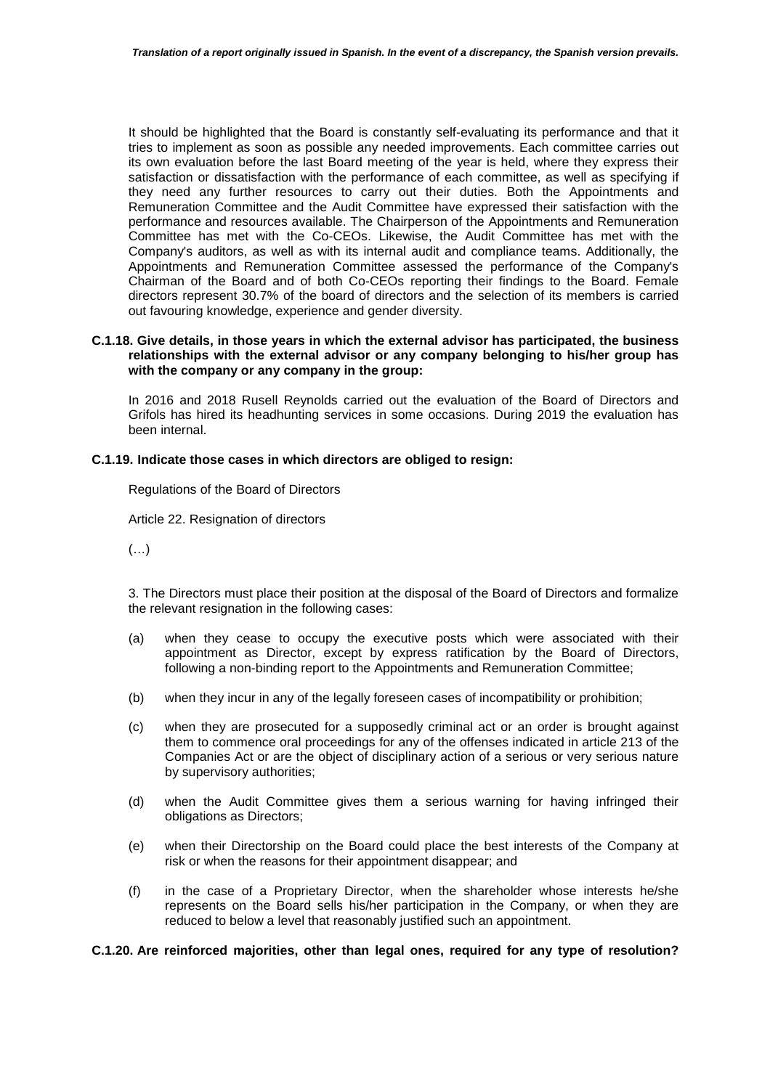It should be highlighted that the Board is constantly self-evaluating its performance and that it tries to implement as soon as possible any needed improvements. Each committee carries out its own evaluation before the last Board meeting of the year is held, where they express their satisfaction or dissatisfaction with the performance of each committee, as well as specifying if they need any further resources to carry out their duties. Both the Appointments and Remuneration Committee and the Audit Committee have expressed their satisfaction with the performance and resources available. The Chairperson of the Appointments and Remuneration Committee has met with the Co-CEOs. Likewise, the Audit Committee has met with the Company's auditors, as well as with its internal audit and compliance teams. Additionally, the Appointments and Remuneration Committee assessed the performance of the Company's Chairman of the Board and of both Co-CEOs reporting their findings to the Board. Female directors represent 30.7% of the board of directors and the selection of its members is carried out favouring knowledge, experience and gender diversity.

## **C.1.18. Give details, in those years in which the external advisor has participated, the business relationships with the external advisor or any company belonging to his/her group has with the company or any company in the group:**

In 2016 and 2018 Rusell Reynolds carried out the evaluation of the Board of Directors and Grifols has hired its headhunting services in some occasions. During 2019 the evaluation has been internal.

# **C.1.19. Indicate those cases in which directors are obliged to resign:**

Regulations of the Board of Directors

Article 22. Resignation of directors

(…)

3. The Directors must place their position at the disposal of the Board of Directors and formalize the relevant resignation in the following cases:

- (a) when they cease to occupy the executive posts which were associated with their appointment as Director, except by express ratification by the Board of Directors, following a non-binding report to the Appointments and Remuneration Committee;
- (b) when they incur in any of the legally foreseen cases of incompatibility or prohibition;
- (c) when they are prosecuted for a supposedly criminal act or an order is brought against them to commence oral proceedings for any of the offenses indicated in article 213 of the Companies Act or are the object of disciplinary action of a serious or very serious nature by supervisory authorities;
- (d) when the Audit Committee gives them a serious warning for having infringed their obligations as Directors;
- (e) when their Directorship on the Board could place the best interests of the Company at risk or when the reasons for their appointment disappear; and
- (f) in the case of a Proprietary Director, when the shareholder whose interests he/she represents on the Board sells his/her participation in the Company, or when they are reduced to below a level that reasonably justified such an appointment.

**C.1.20. Are reinforced majorities, other than legal ones, required for any type of resolution?**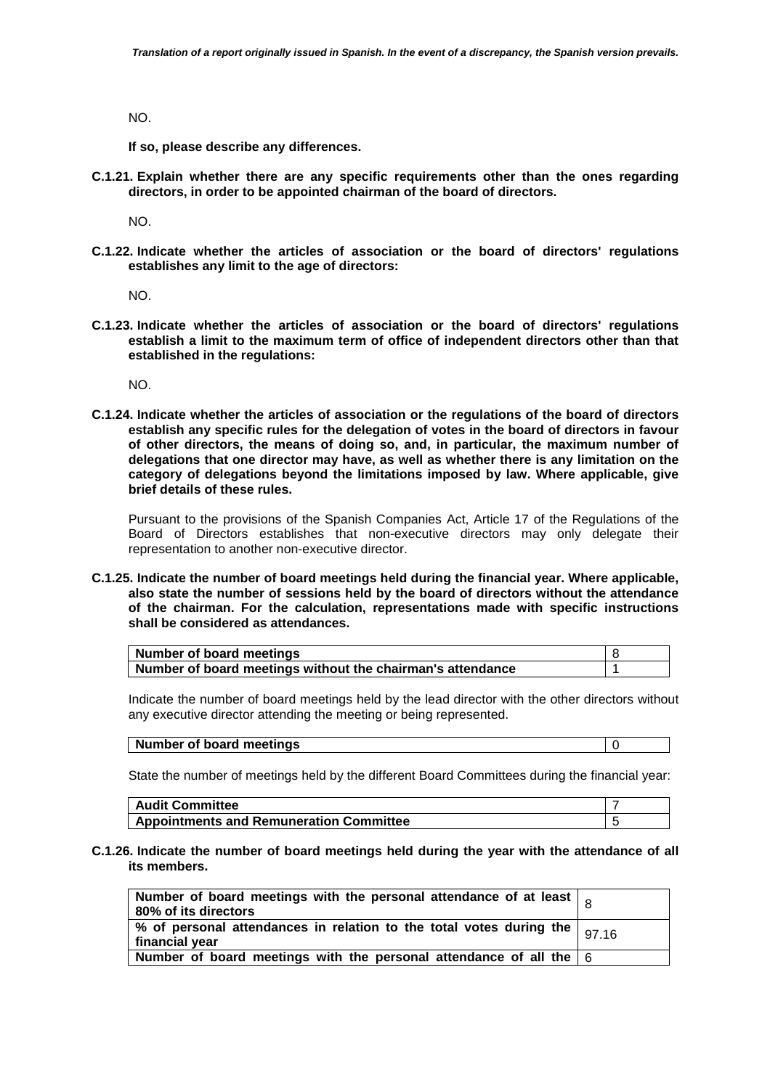NO.

**If so, please describe any differences.** 

**C.1.21. Explain whether there are any specific requirements other than the ones regarding directors, in order to be appointed chairman of the board of directors.** 

NO.

**C.1.22. Indicate whether the articles of association or the board of directors' regulations establishes any limit to the age of directors:** 

NO.

**C.1.23. Indicate whether the articles of association or the board of directors' regulations establish a limit to the maximum term of office of independent directors other than that established in the regulations:** 

NO.

**C.1.24. Indicate whether the articles of association or the regulations of the board of directors establish any specific rules for the delegation of votes in the board of directors in favour of other directors, the means of doing so, and, in particular, the maximum number of delegations that one director may have, as well as whether there is any limitation on the category of delegations beyond the limitations imposed by law. Where applicable, give brief details of these rules.** 

Pursuant to the provisions of the Spanish Companies Act, Article 17 of the Regulations of the Board of Directors establishes that non-executive directors may only delegate their representation to another non-executive director.

**C.1.25. Indicate the number of board meetings held during the financial year. Where applicable, also state the number of sessions held by the board of directors without the attendance of the chairman. For the calculation, representations made with specific instructions shall be considered as attendances.** 

| Number of board meetings                                   |  |
|------------------------------------------------------------|--|
| Number of board meetings without the chairman's attendance |  |

Indicate the number of board meetings held by the lead director with the other directors without any executive director attending the meeting or being represented.

#### **Number of board meetings**  0

State the number of meetings held by the different Board Committees during the financial year:

| <b>Audit Committee</b>                         |  |
|------------------------------------------------|--|
| <b>Appointments and Remuneration Committee</b> |  |

**C.1.26. Indicate the number of board meetings held during the year with the attendance of all its members.** 

| Number of board meetings with the personal attendance of at least $\vert$ of<br>  80% of its directors                |  |
|-----------------------------------------------------------------------------------------------------------------------|--|
| $\frac{1}{2}$ % of personal attendances in relation to the total votes during the $\frac{1}{97.16}$<br>financial year |  |
| Number of board meetings with the personal attendance of all the $6$                                                  |  |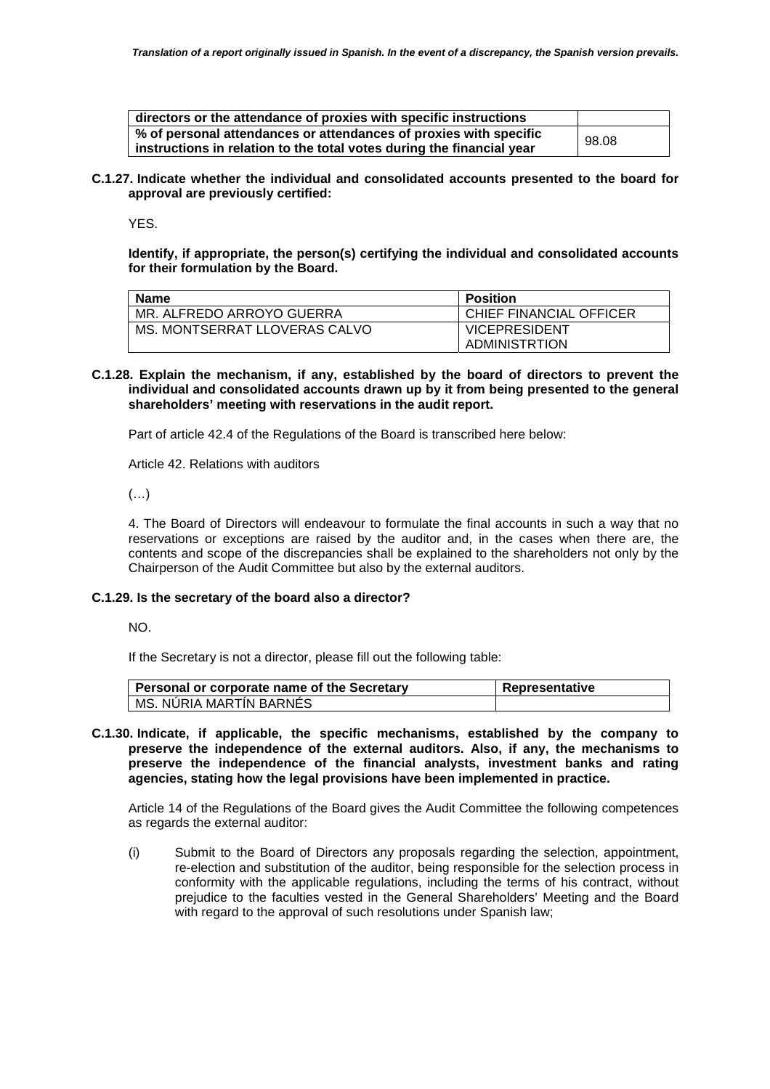| directors or the attendance of proxies with specific instructions     |       |
|-----------------------------------------------------------------------|-------|
| % of personal attendances or attendances of proxies with specific     | 98.08 |
| instructions in relation to the total votes during the financial year |       |

**C.1.27. Indicate whether the individual and consolidated accounts presented to the board for approval are previously certified:** 

YES.

**Identify, if appropriate, the person(s) certifying the individual and consolidated accounts for their formulation by the Board.** 

| <b>Name</b>                   | <b>Position</b>         |
|-------------------------------|-------------------------|
| MR. ALFREDO ARROYO GUERRA     | CHIEF FINANCIAL OFFICER |
| MS. MONTSERRAT LLOVERAS CALVO | <b>VICEPRESIDENT</b>    |
|                               | ADMINISTRTION           |

**C.1.28. Explain the mechanism, if any, established by the board of directors to prevent the individual and consolidated accounts drawn up by it from being presented to the general shareholders' meeting with reservations in the audit report.** 

Part of article 42.4 of the Regulations of the Board is transcribed here below:

Article 42. Relations with auditors

(…)

4. The Board of Directors will endeavour to formulate the final accounts in such a way that no reservations or exceptions are raised by the auditor and, in the cases when there are, the contents and scope of the discrepancies shall be explained to the shareholders not only by the Chairperson of the Audit Committee but also by the external auditors.

# **C.1.29. Is the secretary of the board also a director?**

NO.

If the Secretary is not a director, please fill out the following table:

| Personal or corporate name of the Secretary | Representative |
|---------------------------------------------|----------------|
| MS. NURIA MARTIN BARNES                     |                |

**C.1.30. Indicate, if applicable, the specific mechanisms, established by the company to preserve the independence of the external auditors. Also, if any, the mechanisms to preserve the independence of the financial analysts, investment banks and rating agencies, stating how the legal provisions have been implemented in practice.** 

Article 14 of the Regulations of the Board gives the Audit Committee the following competences as regards the external auditor:

(i) Submit to the Board of Directors any proposals regarding the selection, appointment, re-election and substitution of the auditor, being responsible for the selection process in conformity with the applicable regulations, including the terms of his contract, without prejudice to the faculties vested in the General Shareholders' Meeting and the Board with regard to the approval of such resolutions under Spanish law;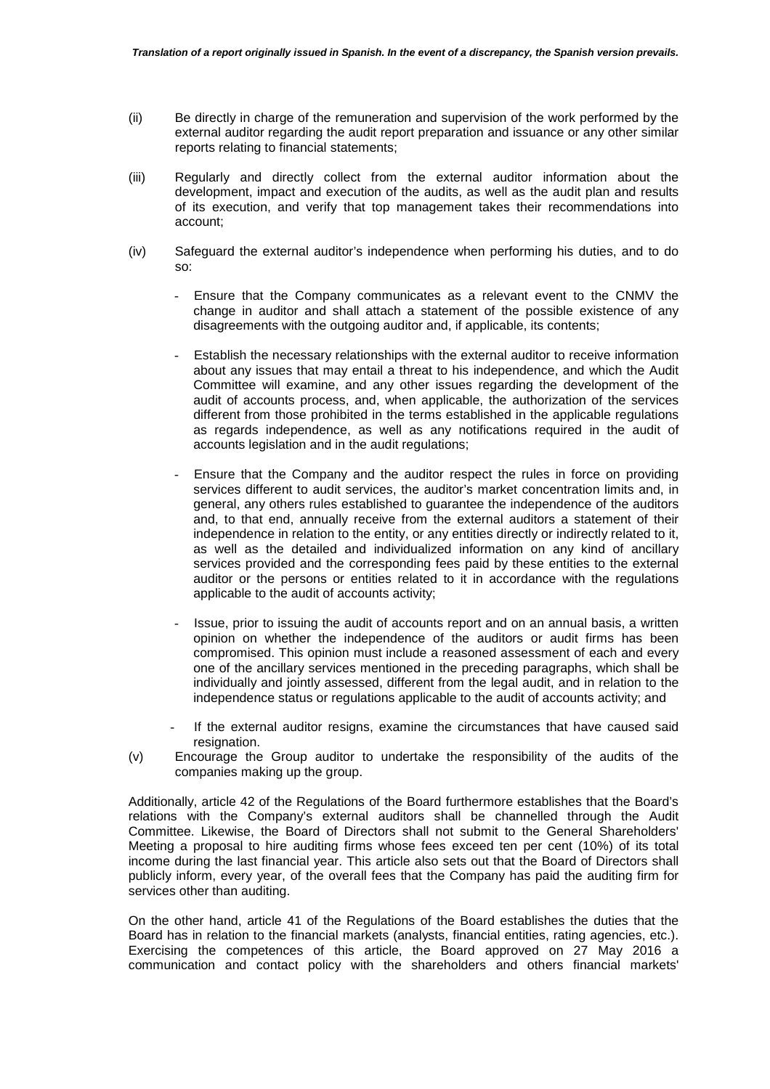- (ii) Be directly in charge of the remuneration and supervision of the work performed by the external auditor regarding the audit report preparation and issuance or any other similar reports relating to financial statements;
- (iii) Regularly and directly collect from the external auditor information about the development, impact and execution of the audits, as well as the audit plan and results of its execution, and verify that top management takes their recommendations into account;
- (iv) Safeguard the external auditor's independence when performing his duties, and to do so:
	- Ensure that the Company communicates as a relevant event to the CNMV the change in auditor and shall attach a statement of the possible existence of any disagreements with the outgoing auditor and, if applicable, its contents;
	- Establish the necessary relationships with the external auditor to receive information about any issues that may entail a threat to his independence, and which the Audit Committee will examine, and any other issues regarding the development of the audit of accounts process, and, when applicable, the authorization of the services different from those prohibited in the terms established in the applicable regulations as regards independence, as well as any notifications required in the audit of accounts legislation and in the audit regulations;
	- Ensure that the Company and the auditor respect the rules in force on providing services different to audit services, the auditor's market concentration limits and, in general, any others rules established to guarantee the independence of the auditors and, to that end, annually receive from the external auditors a statement of their independence in relation to the entity, or any entities directly or indirectly related to it, as well as the detailed and individualized information on any kind of ancillary services provided and the corresponding fees paid by these entities to the external auditor or the persons or entities related to it in accordance with the regulations applicable to the audit of accounts activity;
	- Issue, prior to issuing the audit of accounts report and on an annual basis, a written opinion on whether the independence of the auditors or audit firms has been compromised. This opinion must include a reasoned assessment of each and every one of the ancillary services mentioned in the preceding paragraphs, which shall be individually and jointly assessed, different from the legal audit, and in relation to the independence status or regulations applicable to the audit of accounts activity; and
	- If the external auditor resigns, examine the circumstances that have caused said resignation.
- (v) Encourage the Group auditor to undertake the responsibility of the audits of the companies making up the group.

Additionally, article 42 of the Regulations of the Board furthermore establishes that the Board's relations with the Company's external auditors shall be channelled through the Audit Committee. Likewise, the Board of Directors shall not submit to the General Shareholders' Meeting a proposal to hire auditing firms whose fees exceed ten per cent (10%) of its total income during the last financial year. This article also sets out that the Board of Directors shall publicly inform, every year, of the overall fees that the Company has paid the auditing firm for services other than auditing.

On the other hand, article 41 of the Regulations of the Board establishes the duties that the Board has in relation to the financial markets (analysts, financial entities, rating agencies, etc.). Exercising the competences of this article, the Board approved on 27 May 2016 a communication and contact policy with the shareholders and others financial markets'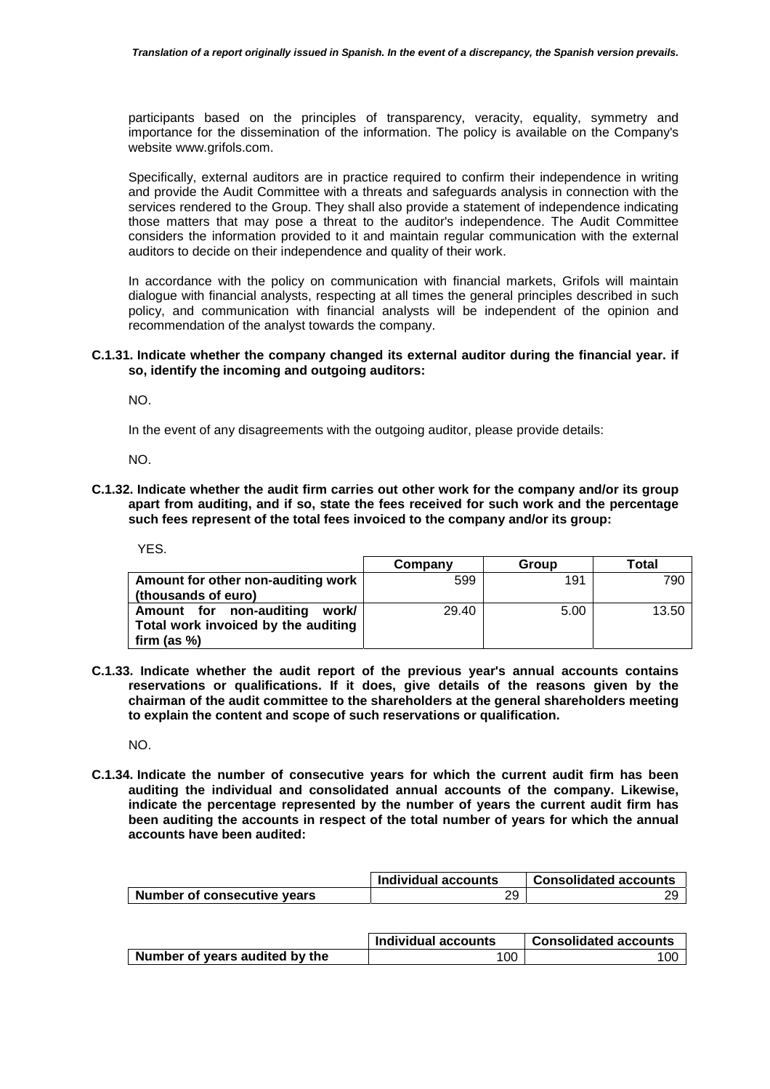participants based on the principles of transparency, veracity, equality, symmetry and importance for the dissemination of the information. The policy is available on the Company's website www.grifols.com.

Specifically, external auditors are in practice required to confirm their independence in writing and provide the Audit Committee with a threats and safeguards analysis in connection with the services rendered to the Group. They shall also provide a statement of independence indicating those matters that may pose a threat to the auditor's independence. The Audit Committee considers the information provided to it and maintain regular communication with the external auditors to decide on their independence and quality of their work.

In accordance with the policy on communication with financial markets, Grifols will maintain dialogue with financial analysts, respecting at all times the general principles described in such policy, and communication with financial analysts will be independent of the opinion and recommendation of the analyst towards the company.

## **C.1.31. Indicate whether the company changed its external auditor during the financial year. if so, identify the incoming and outgoing auditors:**

NO.

In the event of any disagreements with the outgoing auditor, please provide details:

NO.

**C.1.32. Indicate whether the audit firm carries out other work for the company and/or its group apart from auditing, and if so, state the fees received for such work and the percentage such fees represent of the total fees invoiced to the company and/or its group:** 

| I<br>M.<br>۰. |  |
|---------------|--|
|---------------|--|

|                                     | Company | Group | Total |
|-------------------------------------|---------|-------|-------|
| Amount for other non-auditing work  | 599     | 191   | 790   |
| (thousands of euro)                 |         |       |       |
| Amount for non-auditing<br>work/    | 29.40   | 5.00  | 13.50 |
| Total work invoiced by the auditing |         |       |       |
| firm (as $%$ )                      |         |       |       |

**C.1.33. Indicate whether the audit report of the previous year's annual accounts contains reservations or qualifications. If it does, give details of the reasons given by the chairman of the audit committee to the shareholders at the general shareholders meeting to explain the content and scope of such reservations or qualification.** 

NO.

**C.1.34. Indicate the number of consecutive years for which the current audit firm has been auditing the individual and consolidated annual accounts of the company. Likewise, indicate the percentage represented by the number of years the current audit firm has been auditing the accounts in respect of the total number of years for which the annual accounts have been audited:** 

|                             | <b>Individual accounts</b> | <b>Consolidated accounts</b> |
|-----------------------------|----------------------------|------------------------------|
| Number of consecutive years | 29                         | ാവ                           |

|                                | Individual accounts | <b>Consolidated accounts</b> |
|--------------------------------|---------------------|------------------------------|
| Number of years audited by the | 100                 | 100                          |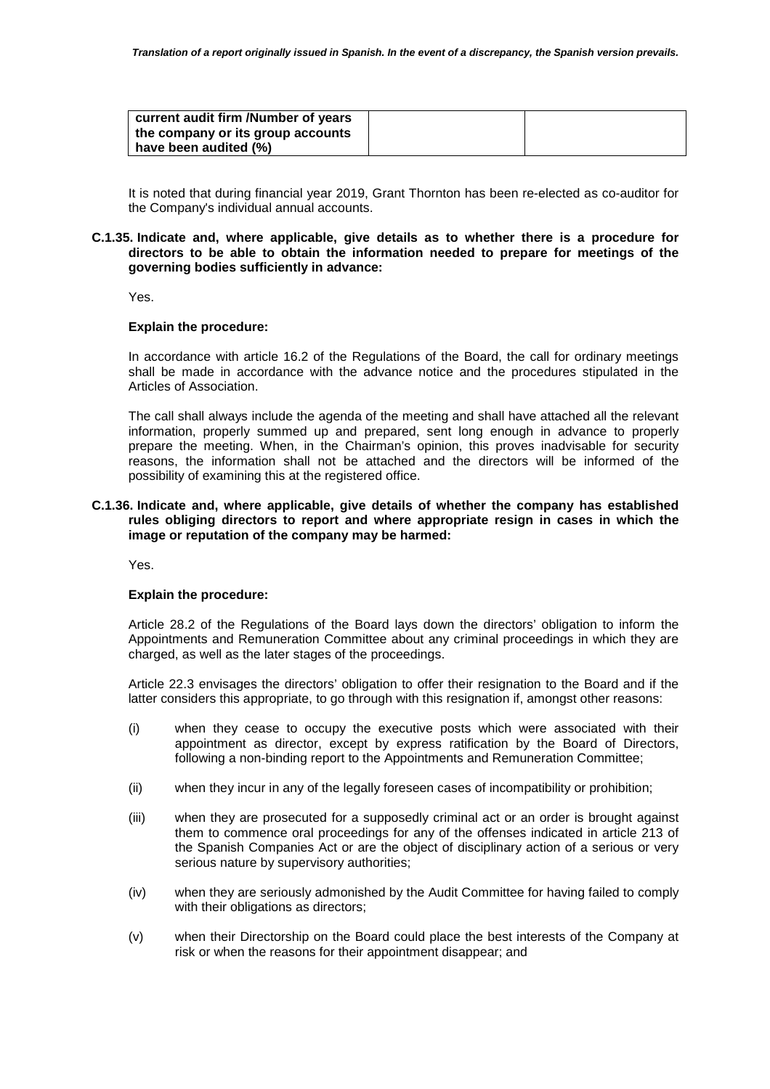| current audit firm /Number of years |  |
|-------------------------------------|--|
| the company or its group accounts   |  |
| have been audited (%)               |  |

It is noted that during financial year 2019, Grant Thornton has been re-elected as co-auditor for the Company's individual annual accounts.

### **C.1.35. Indicate and, where applicable, give details as to whether there is a procedure for directors to be able to obtain the information needed to prepare for meetings of the governing bodies sufficiently in advance:**

Yes.

## **Explain the procedure:**

In accordance with article 16.2 of the Regulations of the Board, the call for ordinary meetings shall be made in accordance with the advance notice and the procedures stipulated in the Articles of Association.

The call shall always include the agenda of the meeting and shall have attached all the relevant information, properly summed up and prepared, sent long enough in advance to properly prepare the meeting. When, in the Chairman's opinion, this proves inadvisable for security reasons, the information shall not be attached and the directors will be informed of the possibility of examining this at the registered office.

## **C.1.36. Indicate and, where applicable, give details of whether the company has established rules obliging directors to report and where appropriate resign in cases in which the image or reputation of the company may be harmed:**

Yes.

## **Explain the procedure:**

Article 28.2 of the Regulations of the Board lays down the directors' obligation to inform the Appointments and Remuneration Committee about any criminal proceedings in which they are charged, as well as the later stages of the proceedings.

Article 22.3 envisages the directors' obligation to offer their resignation to the Board and if the latter considers this appropriate, to go through with this resignation if, amongst other reasons:

- (i) when they cease to occupy the executive posts which were associated with their appointment as director, except by express ratification by the Board of Directors, following a non-binding report to the Appointments and Remuneration Committee;
- (ii) when they incur in any of the legally foreseen cases of incompatibility or prohibition;
- (iii) when they are prosecuted for a supposedly criminal act or an order is brought against them to commence oral proceedings for any of the offenses indicated in article 213 of the Spanish Companies Act or are the object of disciplinary action of a serious or very serious nature by supervisory authorities;
- (iv) when they are seriously admonished by the Audit Committee for having failed to comply with their obligations as directors;
- (v) when their Directorship on the Board could place the best interests of the Company at risk or when the reasons for their appointment disappear; and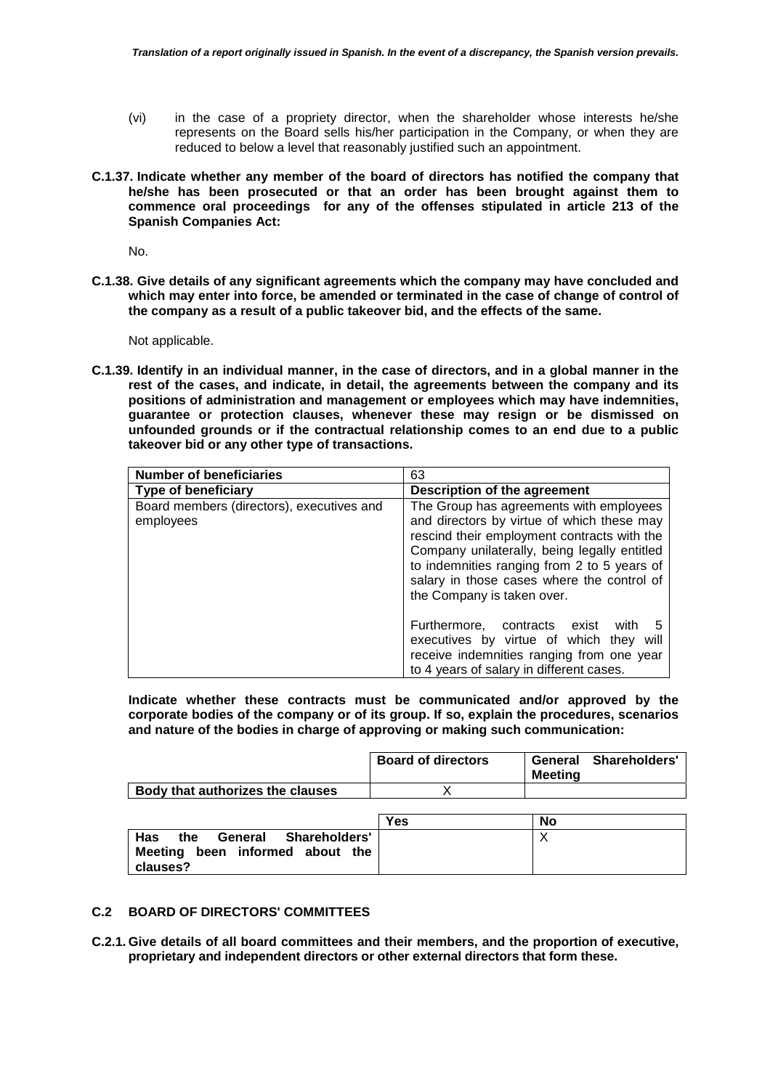- (vi) in the case of a propriety director, when the shareholder whose interests he/she represents on the Board sells his/her participation in the Company, or when they are reduced to below a level that reasonably justified such an appointment.
- **C.1.37. Indicate whether any member of the board of directors has notified the company that he/she has been prosecuted or that an order has been brought against them to commence oral proceedings for any of the offenses stipulated in article 213 of the Spanish Companies Act:**

No.

**C.1.38. Give details of any significant agreements which the company may have concluded and which may enter into force, be amended or terminated in the case of change of control of the company as a result of a public takeover bid, and the effects of the same.** 

Not applicable.

**C.1.39. Identify in an individual manner, in the case of directors, and in a global manner in the rest of the cases, and indicate, in detail, the agreements between the company and its positions of administration and management or employees which may have indemnities, guarantee or protection clauses, whenever these may resign or be dismissed on unfounded grounds or if the contractual relationship comes to an end due to a public takeover bid or any other type of transactions.** 

| <b>Number of beneficiaries</b>                         | 63                                                                                                                                                                                                                                                                                                              |  |
|--------------------------------------------------------|-----------------------------------------------------------------------------------------------------------------------------------------------------------------------------------------------------------------------------------------------------------------------------------------------------------------|--|
| Type of beneficiary                                    | Description of the agreement                                                                                                                                                                                                                                                                                    |  |
| Board members (directors), executives and<br>employees | The Group has agreements with employees<br>and directors by virtue of which these may<br>rescind their employment contracts with the<br>Company unilaterally, being legally entitled<br>to indemnities ranging from 2 to 5 years of<br>salary in those cases where the control of<br>the Company is taken over. |  |
|                                                        | Furthermore, contracts exist<br>with<br>5<br>executives by virtue of which they will<br>receive indemnities ranging from one year<br>to 4 years of salary in different cases.                                                                                                                                   |  |

**Indicate whether these contracts must be communicated and/or approved by the corporate bodies of the company or of its group. If so, explain the procedures, scenarios and nature of the bodies in charge of approving or making such communication:** 

|                                  | <b>Board of directors</b> | General<br>Meetina | <b>Shareholders'</b> |
|----------------------------------|---------------------------|--------------------|----------------------|
| Body that authorizes the clauses |                           |                    |                      |

|                                                                                                     | <b>Yes</b> | No |
|-----------------------------------------------------------------------------------------------------|------------|----|
| <b>Has</b><br><b>Shareholders'</b><br>General<br>the<br>Meeting been informed about the<br>clauses? |            |    |

# **C.2 BOARD OF DIRECTORS' COMMITTEES**

**C.2.1. Give details of all board committees and their members, and the proportion of executive, proprietary and independent directors or other external directors that form these.**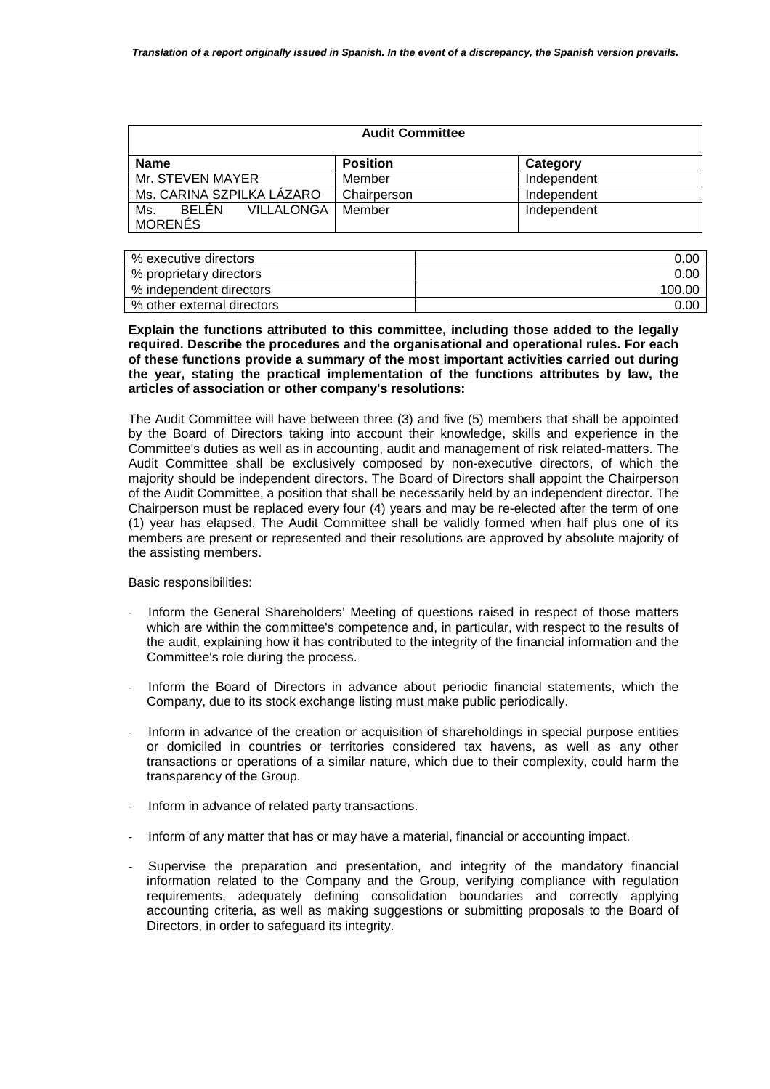| <b>Audit Committee</b>                                     |                 |             |  |
|------------------------------------------------------------|-----------------|-------------|--|
| <b>Name</b>                                                | <b>Position</b> | Category    |  |
| Mr. STEVEN MAYER                                           | Member          | Independent |  |
| Ms. CARINA SZPILKA LÁZARO                                  | Chairperson     | Independent |  |
| <b>BELEN</b><br><b>VILLALONGA</b><br>Ms.<br><b>MORENÉS</b> | Member          | Independent |  |

| % executive directors      | 0.OC    |
|----------------------------|---------|
| % proprietary directors    | 0.00    |
| % independent directors    | -100.00 |
| % other external directors | 0.00    |

**Explain the functions attributed to this committee, including those added to the legally required. Describe the procedures and the organisational and operational rules. For each of these functions provide a summary of the most important activities carried out during the year, stating the practical implementation of the functions attributes by law, the articles of association or other company's resolutions:** 

The Audit Committee will have between three (3) and five (5) members that shall be appointed by the Board of Directors taking into account their knowledge, skills and experience in the Committee's duties as well as in accounting, audit and management of risk related-matters. The Audit Committee shall be exclusively composed by non-executive directors, of which the majority should be independent directors. The Board of Directors shall appoint the Chairperson of the Audit Committee, a position that shall be necessarily held by an independent director. The Chairperson must be replaced every four (4) years and may be re-elected after the term of one (1) year has elapsed. The Audit Committee shall be validly formed when half plus one of its members are present or represented and their resolutions are approved by absolute majority of the assisting members.

Basic responsibilities:

- Inform the General Shareholders' Meeting of questions raised in respect of those matters which are within the committee's competence and, in particular, with respect to the results of the audit, explaining how it has contributed to the integrity of the financial information and the Committee's role during the process.
- Inform the Board of Directors in advance about periodic financial statements, which the Company, due to its stock exchange listing must make public periodically.
- Inform in advance of the creation or acquisition of shareholdings in special purpose entities or domiciled in countries or territories considered tax havens, as well as any other transactions or operations of a similar nature, which due to their complexity, could harm the transparency of the Group.
- Inform in advance of related party transactions.
- Inform of any matter that has or may have a material, financial or accounting impact.
- Supervise the preparation and presentation, and integrity of the mandatory financial information related to the Company and the Group, verifying compliance with regulation requirements, adequately defining consolidation boundaries and correctly applying accounting criteria, as well as making suggestions or submitting proposals to the Board of Directors, in order to safeguard its integrity.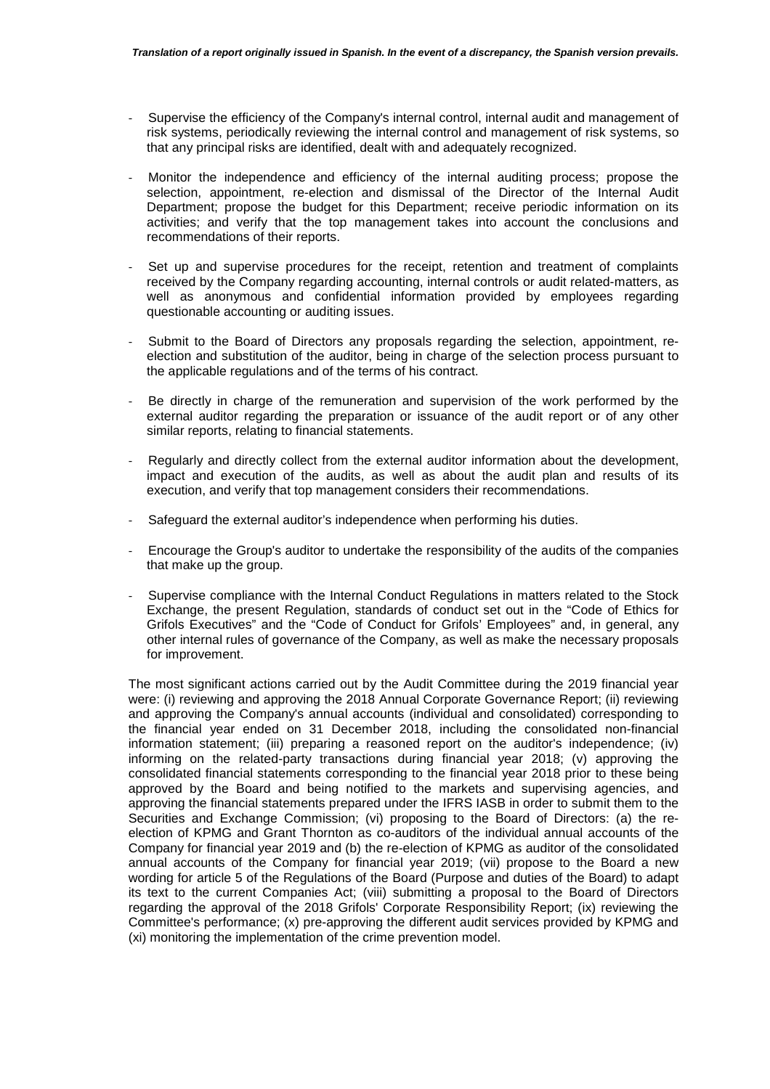- Supervise the efficiency of the Company's internal control, internal audit and management of risk systems, periodically reviewing the internal control and management of risk systems, so that any principal risks are identified, dealt with and adequately recognized.
- Monitor the independence and efficiency of the internal auditing process; propose the selection, appointment, re-election and dismissal of the Director of the Internal Audit Department; propose the budget for this Department; receive periodic information on its activities; and verify that the top management takes into account the conclusions and recommendations of their reports.
- Set up and supervise procedures for the receipt, retention and treatment of complaints received by the Company regarding accounting, internal controls or audit related-matters, as well as anonymous and confidential information provided by employees regarding questionable accounting or auditing issues.
- Submit to the Board of Directors any proposals regarding the selection, appointment, reelection and substitution of the auditor, being in charge of the selection process pursuant to the applicable regulations and of the terms of his contract.
- Be directly in charge of the remuneration and supervision of the work performed by the external auditor regarding the preparation or issuance of the audit report or of any other similar reports, relating to financial statements.
- Regularly and directly collect from the external auditor information about the development, impact and execution of the audits, as well as about the audit plan and results of its execution, and verify that top management considers their recommendations.
- Safeguard the external auditor's independence when performing his duties.
- Encourage the Group's auditor to undertake the responsibility of the audits of the companies that make up the group.
- Supervise compliance with the Internal Conduct Regulations in matters related to the Stock Exchange, the present Regulation, standards of conduct set out in the "Code of Ethics for Grifols Executives" and the "Code of Conduct for Grifols' Employees" and, in general, any other internal rules of governance of the Company, as well as make the necessary proposals for improvement.

The most significant actions carried out by the Audit Committee during the 2019 financial year were: (i) reviewing and approving the 2018 Annual Corporate Governance Report; (ii) reviewing and approving the Company's annual accounts (individual and consolidated) corresponding to the financial year ended on 31 December 2018, including the consolidated non-financial information statement; (iii) preparing a reasoned report on the auditor's independence; (iv) informing on the related-party transactions during financial year 2018; (v) approving the consolidated financial statements corresponding to the financial year 2018 prior to these being approved by the Board and being notified to the markets and supervising agencies, and approving the financial statements prepared under the IFRS IASB in order to submit them to the Securities and Exchange Commission; (vi) proposing to the Board of Directors: (a) the reelection of KPMG and Grant Thornton as co-auditors of the individual annual accounts of the Company for financial year 2019 and (b) the re-election of KPMG as auditor of the consolidated annual accounts of the Company for financial year 2019; (vii) propose to the Board a new wording for article 5 of the Regulations of the Board (Purpose and duties of the Board) to adapt its text to the current Companies Act; (viii) submitting a proposal to the Board of Directors regarding the approval of the 2018 Grifols' Corporate Responsibility Report; (ix) reviewing the Committee's performance; (x) pre-approving the different audit services provided by KPMG and (xi) monitoring the implementation of the crime prevention model.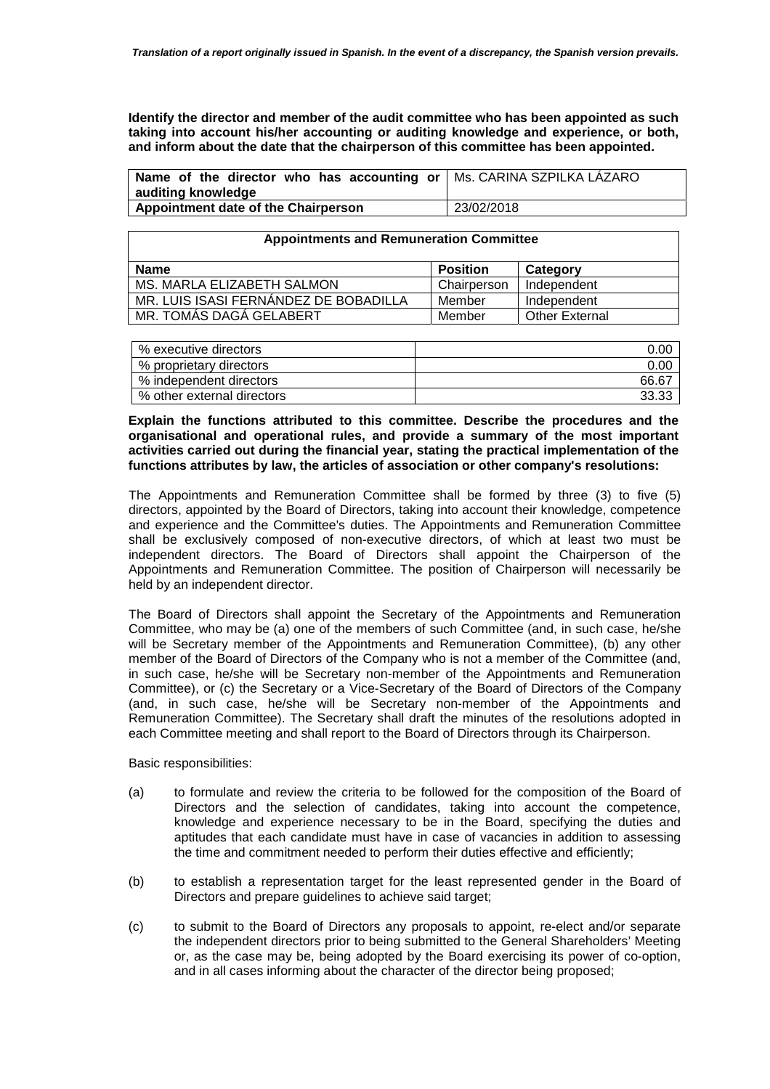**Identify the director and member of the audit committee who has been appointed as such taking into account his/her accounting or auditing knowledge and experience, or both, and inform about the date that the chairperson of this committee has been appointed.** 

| <b>Name of the director who has accounting or <math>\vert</math> Ms. CARINA SZPILKA LAZARO</b> |            |
|------------------------------------------------------------------------------------------------|------------|
| auditing knowledge                                                                             |            |
| Appointment date of the Chairperson                                                            | 23/02/2018 |

#### **Appointments and Remuneration Committee**

| <b>Name</b>                           | Position    | Category              |
|---------------------------------------|-------------|-----------------------|
| MS. MARLA ELIZABETH SALMON            | Chairperson | Independent           |
| MR. LUIS ISASI FERNANDEZ DE BOBADILLA | Member      | Independent           |
| MR. TOMAS DAGA GELABERT               | Member      | <b>Other External</b> |

| % executive directors      | 0.OC  |
|----------------------------|-------|
| % proprietary directors    | 0.00  |
| % independent directors    | 66.67 |
| % other external directors | 33.33 |

**Explain the functions attributed to this committee. Describe the procedures and the organisational and operational rules, and provide a summary of the most important activities carried out during the financial year, stating the practical implementation of the functions attributes by law, the articles of association or other company's resolutions:** 

The Appointments and Remuneration Committee shall be formed by three (3) to five (5) directors, appointed by the Board of Directors, taking into account their knowledge, competence and experience and the Committee's duties. The Appointments and Remuneration Committee shall be exclusively composed of non-executive directors, of which at least two must be independent directors. The Board of Directors shall appoint the Chairperson of the Appointments and Remuneration Committee. The position of Chairperson will necessarily be held by an independent director.

The Board of Directors shall appoint the Secretary of the Appointments and Remuneration Committee, who may be (a) one of the members of such Committee (and, in such case, he/she will be Secretary member of the Appointments and Remuneration Committee), (b) any other member of the Board of Directors of the Company who is not a member of the Committee (and, in such case, he/she will be Secretary non-member of the Appointments and Remuneration Committee), or (c) the Secretary or a Vice-Secretary of the Board of Directors of the Company (and, in such case, he/she will be Secretary non-member of the Appointments and Remuneration Committee). The Secretary shall draft the minutes of the resolutions adopted in each Committee meeting and shall report to the Board of Directors through its Chairperson.

Basic responsibilities:

- (a) to formulate and review the criteria to be followed for the composition of the Board of Directors and the selection of candidates, taking into account the competence, knowledge and experience necessary to be in the Board, specifying the duties and aptitudes that each candidate must have in case of vacancies in addition to assessing the time and commitment needed to perform their duties effective and efficiently;
- (b) to establish a representation target for the least represented gender in the Board of Directors and prepare guidelines to achieve said target;
- (c) to submit to the Board of Directors any proposals to appoint, re-elect and/or separate the independent directors prior to being submitted to the General Shareholders' Meeting or, as the case may be, being adopted by the Board exercising its power of co-option, and in all cases informing about the character of the director being proposed;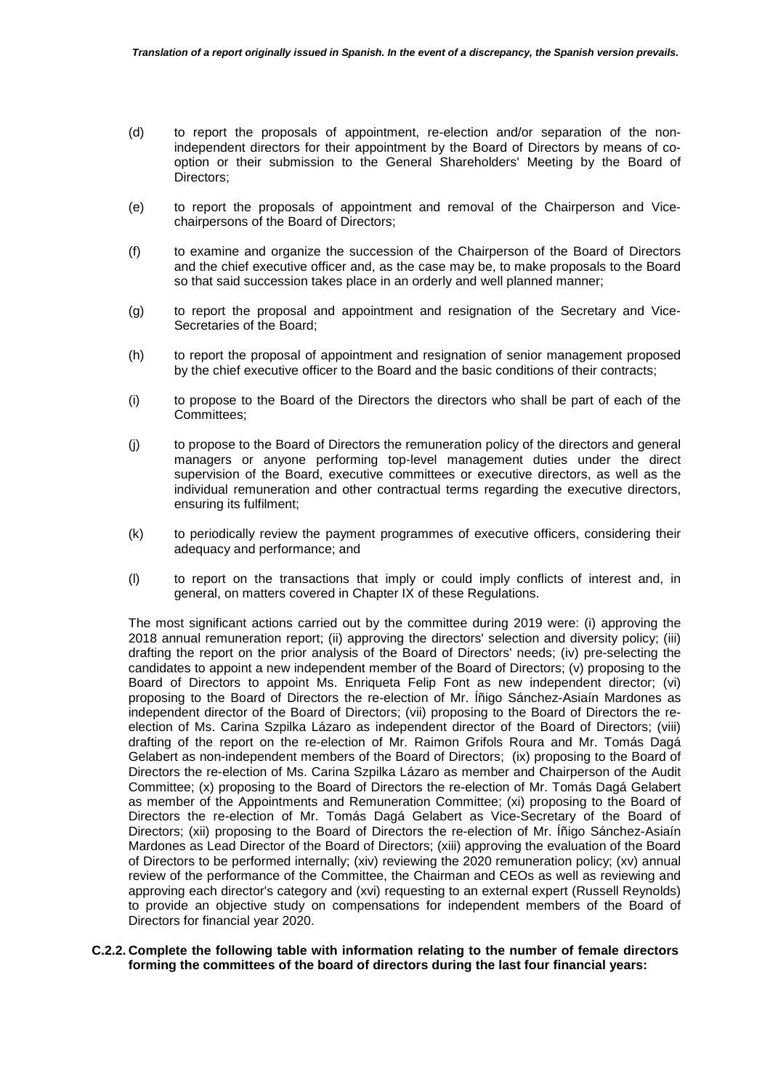- (d) to report the proposals of appointment, re-election and/or separation of the nonindependent directors for their appointment by the Board of Directors by means of cooption or their submission to the General Shareholders' Meeting by the Board of Directors;
- (e) to report the proposals of appointment and removal of the Chairperson and Vicechairpersons of the Board of Directors;
- (f) to examine and organize the succession of the Chairperson of the Board of Directors and the chief executive officer and, as the case may be, to make proposals to the Board so that said succession takes place in an orderly and well planned manner;
- (g) to report the proposal and appointment and resignation of the Secretary and Vice-Secretaries of the Board;
- (h) to report the proposal of appointment and resignation of senior management proposed by the chief executive officer to the Board and the basic conditions of their contracts;
- (i) to propose to the Board of the Directors the directors who shall be part of each of the Committees;
- (j) to propose to the Board of Directors the remuneration policy of the directors and general managers or anyone performing top-level management duties under the direct supervision of the Board, executive committees or executive directors, as well as the individual remuneration and other contractual terms regarding the executive directors, ensuring its fulfilment;
- (k) to periodically review the payment programmes of executive officers, considering their adequacy and performance; and
- (l) to report on the transactions that imply or could imply conflicts of interest and, in general, on matters covered in Chapter IX of these Regulations.

The most significant actions carried out by the committee during 2019 were: (i) approving the 2018 annual remuneration report; (ii) approving the directors' selection and diversity policy; (iii) drafting the report on the prior analysis of the Board of Directors' needs; (iv) pre-selecting the candidates to appoint a new independent member of the Board of Directors; (v) proposing to the Board of Directors to appoint Ms. Enriqueta Felip Font as new independent director; (vi) proposing to the Board of Directors the re-election of Mr. Íñigo Sánchez-Asiaín Mardones as independent director of the Board of Directors; (vii) proposing to the Board of Directors the reelection of Ms. Carina Szpilka Lázaro as independent director of the Board of Directors; (viii) drafting of the report on the re-election of Mr. Raimon Grifols Roura and Mr. Tomás Dagá Gelabert as non-independent members of the Board of Directors; (ix) proposing to the Board of Directors the re-election of Ms. Carina Szpilka Lázaro as member and Chairperson of the Audit Committee; (x) proposing to the Board of Directors the re-election of Mr. Tomás Dagá Gelabert as member of the Appointments and Remuneration Committee; (xi) proposing to the Board of Directors the re-election of Mr. Tomás Dagá Gelabert as Vice-Secretary of the Board of Directors; (xii) proposing to the Board of Directors the re-election of Mr. Íñigo Sánchez-Asiaín Mardones as Lead Director of the Board of Directors; (xiii) approving the evaluation of the Board of Directors to be performed internally; (xiv) reviewing the 2020 remuneration policy; (xv) annual review of the performance of the Committee, the Chairman and CEOs as well as reviewing and approving each director's category and (xvi) requesting to an external expert (Russell Reynolds) to provide an objective study on compensations for independent members of the Board of Directors for financial year 2020.

**C.2.2. Complete the following table with information relating to the number of female directors forming the committees of the board of directors during the last four financial years:**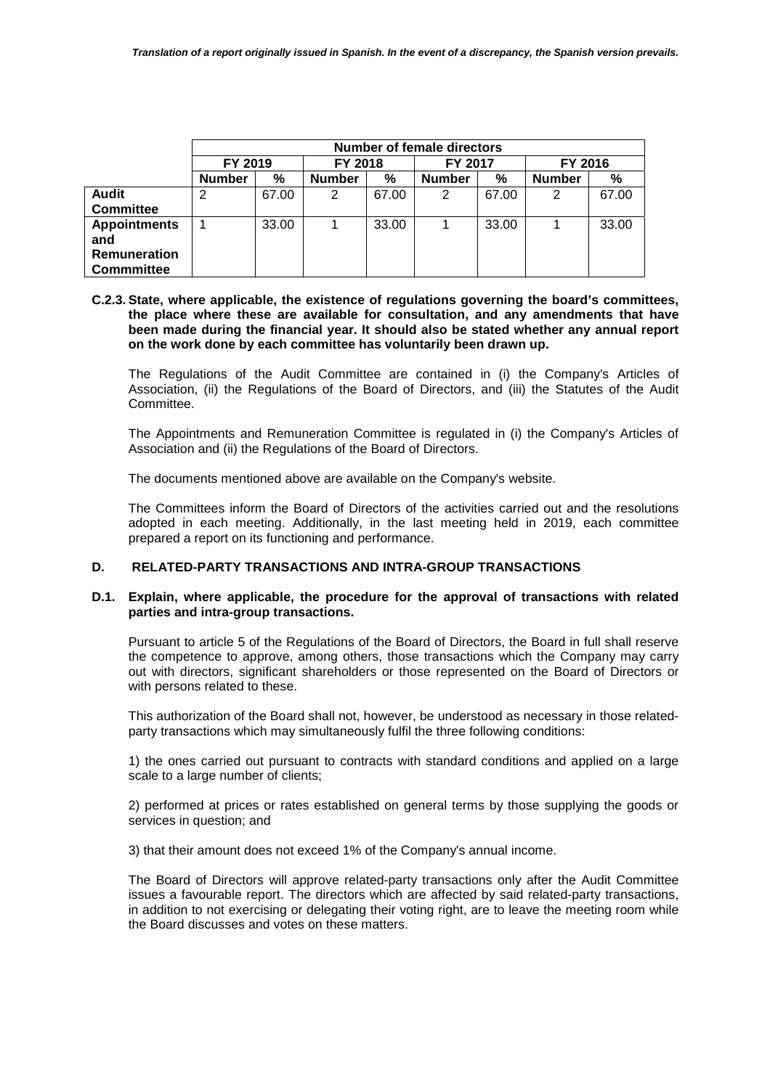|                     | <b>Number of female directors</b>        |       |               |       |               |       |               |       |
|---------------------|------------------------------------------|-------|---------------|-------|---------------|-------|---------------|-------|
|                     | FY 2019<br>FY 2018<br>FY 2016<br>FY 2017 |       |               |       |               |       |               |       |
|                     | <b>Number</b>                            | %     | <b>Number</b> | %     | <b>Number</b> | %     | <b>Number</b> | %     |
| <b>Audit</b>        | 2                                        | 67.00 | 2             | 67.00 | 2             | 67.00 | 2             | 67.00 |
| <b>Committee</b>    |                                          |       |               |       |               |       |               |       |
| <b>Appointments</b> |                                          | 33.00 |               | 33.00 |               | 33.00 |               | 33.00 |
| and                 |                                          |       |               |       |               |       |               |       |
| Remuneration        |                                          |       |               |       |               |       |               |       |
| <b>Commmittee</b>   |                                          |       |               |       |               |       |               |       |

#### **C.2.3. State, where applicable, the existence of regulations governing the board's committees, the place where these are available for consultation, and any amendments that have been made during the financial year. It should also be stated whether any annual report on the work done by each committee has voluntarily been drawn up.**

The Regulations of the Audit Committee are contained in (i) the Company's Articles of Association, (ii) the Regulations of the Board of Directors, and (iii) the Statutes of the Audit Committee.

The Appointments and Remuneration Committee is regulated in (i) the Company's Articles of Association and (ii) the Regulations of the Board of Directors.

The documents mentioned above are available on the Company's website.

The Committees inform the Board of Directors of the activities carried out and the resolutions adopted in each meeting. Additionally, in the last meeting held in 2019, each committee prepared a report on its functioning and performance.

## **D. RELATED-PARTY TRANSACTIONS AND INTRA-GROUP TRANSACTIONS**

## **D.1. Explain, where applicable, the procedure for the approval of transactions with related parties and intra-group transactions.**

Pursuant to article 5 of the Regulations of the Board of Directors, the Board in full shall reserve the competence to approve, among others, those transactions which the Company may carry out with directors, significant shareholders or those represented on the Board of Directors or with persons related to these.

This authorization of the Board shall not, however, be understood as necessary in those relatedparty transactions which may simultaneously fulfil the three following conditions:

1) the ones carried out pursuant to contracts with standard conditions and applied on a large scale to a large number of clients;

2) performed at prices or rates established on general terms by those supplying the goods or services in question; and

3) that their amount does not exceed 1% of the Company's annual income.

The Board of Directors will approve related-party transactions only after the Audit Committee issues a favourable report. The directors which are affected by said related-party transactions, in addition to not exercising or delegating their voting right, are to leave the meeting room while the Board discusses and votes on these matters.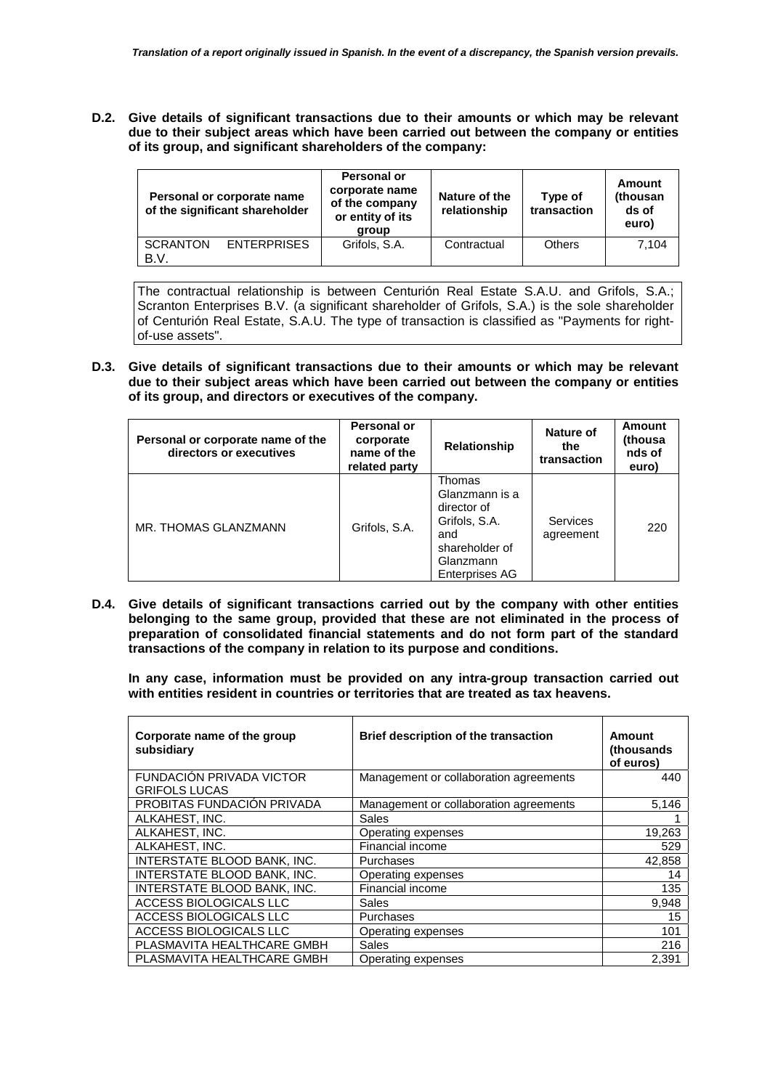**D.2. Give details of significant transactions due to their amounts or which may be relevant due to their subject areas which have been carried out between the company or entities of its group, and significant shareholders of the company:** 

| Personal or corporate name<br>of the significant shareholder |                    | Personal or<br>corporate name<br>of the company<br>or entity of its<br>group | Nature of the<br>relationship | Type of<br>transaction | Amount<br>(thousan<br>ds of<br>euro) |
|--------------------------------------------------------------|--------------------|------------------------------------------------------------------------------|-------------------------------|------------------------|--------------------------------------|
| <b>SCRANTON</b><br>B.V.                                      | <b>ENTERPRISES</b> | Grifols, S.A.                                                                | Contractual                   | Others                 | 7.104                                |

The contractual relationship is between Centurión Real Estate S.A.U. and Grifols, S.A.; Scranton Enterprises B.V. (a significant shareholder of Grifols, S.A.) is the sole shareholder of Centurión Real Estate, S.A.U. The type of transaction is classified as "Payments for rightof-use assets".

**D.3. Give details of significant transactions due to their amounts or which may be relevant due to their subject areas which have been carried out between the company or entities of its group, and directors or executives of the company.** 

| Personal or corporate name of the<br>directors or executives | Personal or<br>corporate<br>name of the<br>related party | <b>Relationship</b>                                                                                                     | Nature of<br>the<br>transaction | Amount<br>(thousa<br>nds of<br>euro) |
|--------------------------------------------------------------|----------------------------------------------------------|-------------------------------------------------------------------------------------------------------------------------|---------------------------------|--------------------------------------|
| MR. THOMAS GLANZMANN                                         | Grifols, S.A.                                            | Thomas<br>Glanzmann is a<br>director of<br>Grifols, S.A.<br>and<br>shareholder of<br>Glanzmann<br><b>Enterprises AG</b> | <b>Services</b><br>agreement    | 220                                  |

**D.4. Give details of significant transactions carried out by the company with other entities belonging to the same group, provided that these are not eliminated in the process of preparation of consolidated financial statements and do not form part of the standard transactions of the company in relation to its purpose and conditions.** 

**In any case, information must be provided on any intra-group transaction carried out with entities resident in countries or territories that are treated as tax heavens.**

| Corporate name of the group<br>subsidiary | Brief description of the transaction   | Amount<br>(thousands)<br>of euros) |
|-------------------------------------------|----------------------------------------|------------------------------------|
| FUNDACIÓN PRIVADA VICTOR                  | Management or collaboration agreements | 440                                |
| <b>GRIFOLS LUCAS</b>                      |                                        |                                    |
| PROBITAS FUNDACIÓN PRIVADA                | Management or collaboration agreements | 5,146                              |
| ALKAHEST, INC.                            | Sales                                  |                                    |
| ALKAHEST, INC.                            | Operating expenses                     | 19,263                             |
| ALKAHEST. INC.                            | Financial income                       | 529                                |
| INTERSTATE BLOOD BANK, INC.               | Purchases                              | 42,858                             |
| INTERSTATE BLOOD BANK, INC.               | Operating expenses                     | 14                                 |
| INTERSTATE BLOOD BANK, INC.               | Financial income                       | 135                                |
| ACCESS BIOLOGICALS LLC                    | Sales                                  | 9,948                              |
| ACCESS BIOLOGICALS LLC                    | Purchases                              | 15                                 |
| ACCESS BIOLOGICALS LLC                    | Operating expenses                     | 101                                |
| PLASMAVITA HEALTHCARE GMBH                | Sales                                  | 216                                |
| PLASMAVITA HEALTHCARE GMBH                | Operating expenses                     | 2.391                              |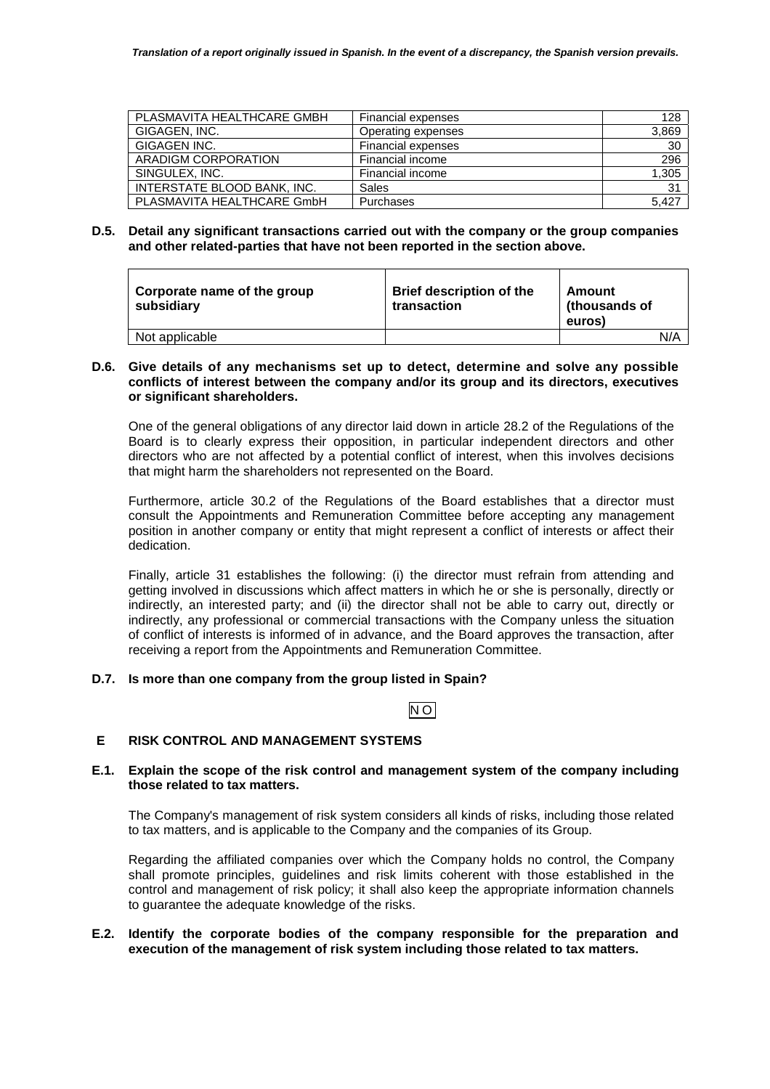| PLASMAVITA HEALTHCARE GMBH  | <b>Financial expenses</b> | 128             |
|-----------------------------|---------------------------|-----------------|
| GIGAGEN, INC.               | Operating expenses        | 3,869           |
| GIGAGEN INC.                | <b>Financial expenses</b> | 30              |
| ARADIGM CORPORATION         | Financial income          | 296             |
| SINGULEX, INC.              | Financial income          | 1,305           |
| INTERSTATE BLOOD BANK, INC. | Sales                     | $\overline{31}$ |
| PLASMAVITA HEALTHCARE GmbH  | Purchases                 | 5.427           |

### **D.5. Detail any significant transactions carried out with the company or the group companies and other related-parties that have not been reported in the section above.**

| Corporate name of the group<br>subsidiary | <b>Brief description of the</b><br>transaction | Amount<br>(thousands of<br>euros) |     |
|-------------------------------------------|------------------------------------------------|-----------------------------------|-----|
| Not applicable                            |                                                |                                   | N/A |

## **D.6. Give details of any mechanisms set up to detect, determine and solve any possible conflicts of interest between the company and/or its group and its directors, executives or significant shareholders.**

One of the general obligations of any director laid down in article 28.2 of the Regulations of the Board is to clearly express their opposition, in particular independent directors and other directors who are not affected by a potential conflict of interest, when this involves decisions that might harm the shareholders not represented on the Board.

Furthermore, article 30.2 of the Regulations of the Board establishes that a director must consult the Appointments and Remuneration Committee before accepting any management position in another company or entity that might represent a conflict of interests or affect their dedication.

Finally, article 31 establishes the following: (i) the director must refrain from attending and getting involved in discussions which affect matters in which he or she is personally, directly or indirectly, an interested party; and (ii) the director shall not be able to carry out, directly or indirectly, any professional or commercial transactions with the Company unless the situation of conflict of interests is informed of in advance, and the Board approves the transaction, after receiving a report from the Appointments and Remuneration Committee.

## **D.7. Is more than one company from the group listed in Spain?**

# NO

## **E RISK CONTROL AND MANAGEMENT SYSTEMS**

## **E.1. Explain the scope of the risk control and management system of the company including those related to tax matters.**

The Company's management of risk system considers all kinds of risks, including those related to tax matters, and is applicable to the Company and the companies of its Group.

Regarding the affiliated companies over which the Company holds no control, the Company shall promote principles, guidelines and risk limits coherent with those established in the control and management of risk policy; it shall also keep the appropriate information channels to guarantee the adequate knowledge of the risks.

#### **E.2. Identify the corporate bodies of the company responsible for the preparation and execution of the management of risk system including those related to tax matters.**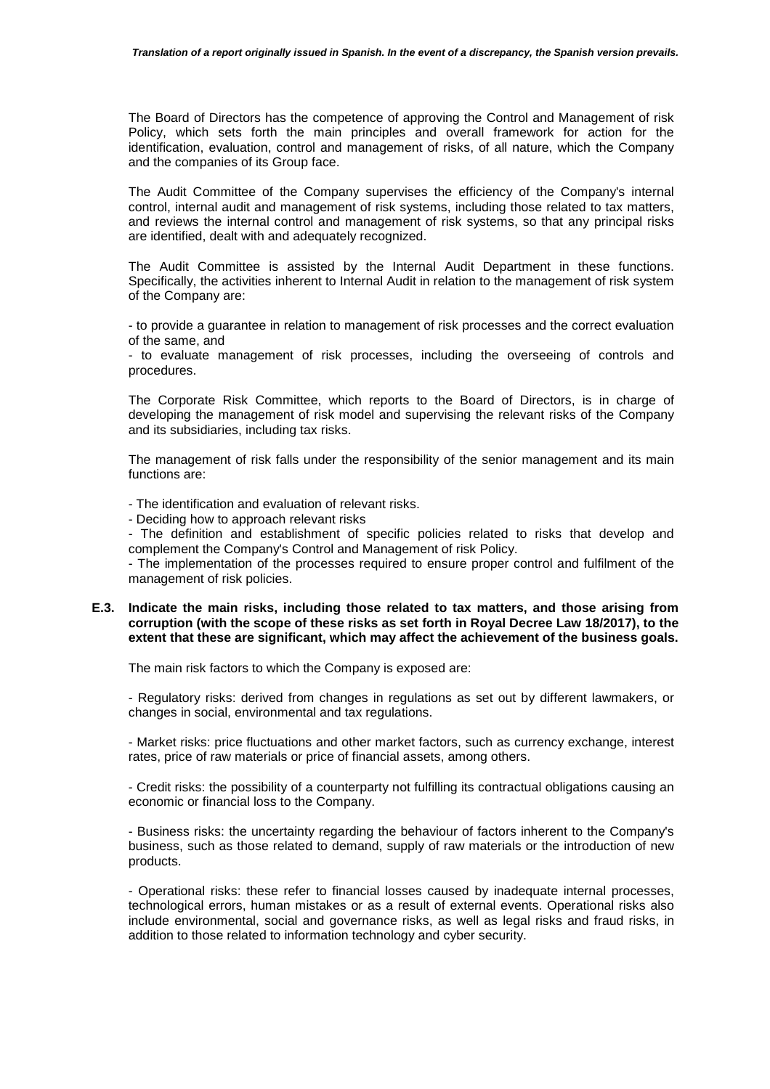The Board of Directors has the competence of approving the Control and Management of risk Policy, which sets forth the main principles and overall framework for action for the identification, evaluation, control and management of risks, of all nature, which the Company and the companies of its Group face.

The Audit Committee of the Company supervises the efficiency of the Company's internal control, internal audit and management of risk systems, including those related to tax matters, and reviews the internal control and management of risk systems, so that any principal risks are identified, dealt with and adequately recognized.

The Audit Committee is assisted by the Internal Audit Department in these functions. Specifically, the activities inherent to Internal Audit in relation to the management of risk system of the Company are:

- to provide a guarantee in relation to management of risk processes and the correct evaluation of the same, and

- to evaluate management of risk processes, including the overseeing of controls and procedures.

The Corporate Risk Committee, which reports to the Board of Directors, is in charge of developing the management of risk model and supervising the relevant risks of the Company and its subsidiaries, including tax risks.

The management of risk falls under the responsibility of the senior management and its main functions are:

- The identification and evaluation of relevant risks.

- Deciding how to approach relevant risks

- The definition and establishment of specific policies related to risks that develop and complement the Company's Control and Management of risk Policy.

- The implementation of the processes required to ensure proper control and fulfilment of the management of risk policies.

#### **E.3. Indicate the main risks, including those related to tax matters, and those arising from corruption (with the scope of these risks as set forth in Royal Decree Law 18/2017), to the extent that these are significant, which may affect the achievement of the business goals.**

The main risk factors to which the Company is exposed are:

- Regulatory risks: derived from changes in regulations as set out by different lawmakers, or changes in social, environmental and tax regulations.

- Market risks: price fluctuations and other market factors, such as currency exchange, interest rates, price of raw materials or price of financial assets, among others.

- Credit risks: the possibility of a counterparty not fulfilling its contractual obligations causing an economic or financial loss to the Company.

- Business risks: the uncertainty regarding the behaviour of factors inherent to the Company's business, such as those related to demand, supply of raw materials or the introduction of new products.

- Operational risks: these refer to financial losses caused by inadequate internal processes, technological errors, human mistakes or as a result of external events. Operational risks also include environmental, social and governance risks, as well as legal risks and fraud risks, in addition to those related to information technology and cyber security.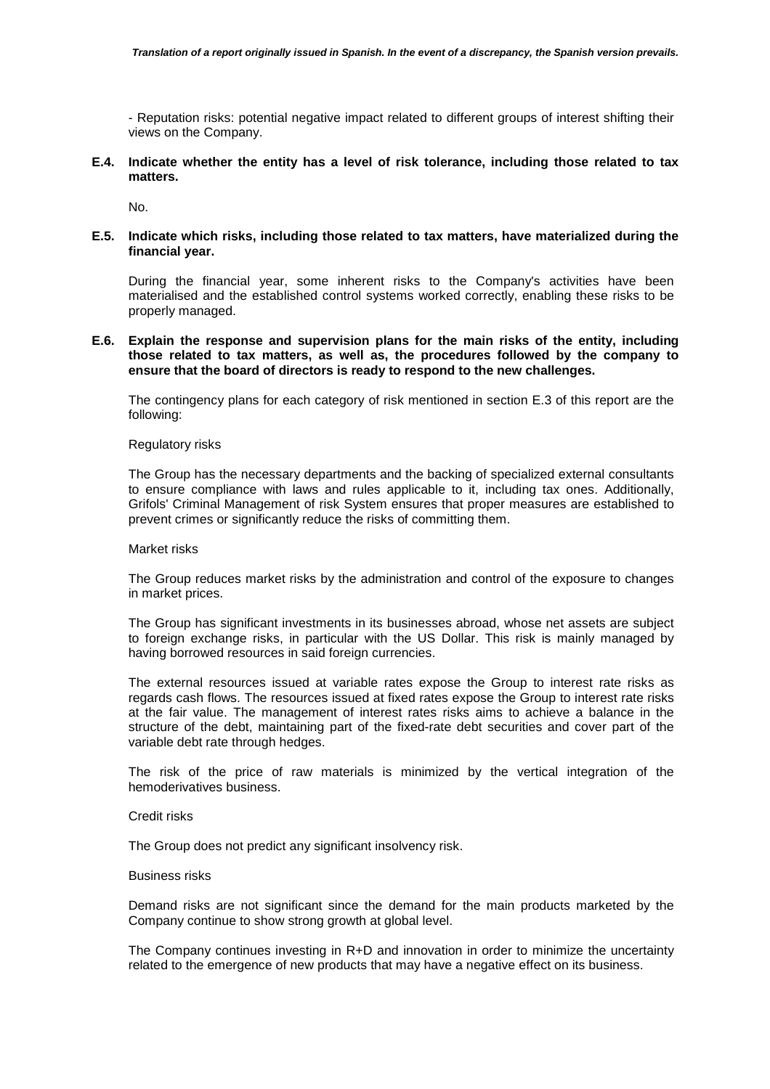- Reputation risks: potential negative impact related to different groups of interest shifting their views on the Company.

**E.4. Indicate whether the entity has a level of risk tolerance, including those related to tax matters.** 

No.

**E.5. Indicate which risks, including those related to tax matters, have materialized during the financial year.** 

During the financial year, some inherent risks to the Company's activities have been materialised and the established control systems worked correctly, enabling these risks to be properly managed.

**E.6. Explain the response and supervision plans for the main risks of the entity, including those related to tax matters, as well as, the procedures followed by the company to ensure that the board of directors is ready to respond to the new challenges.** 

The contingency plans for each category of risk mentioned in section E.3 of this report are the following:

#### Regulatory risks

The Group has the necessary departments and the backing of specialized external consultants to ensure compliance with laws and rules applicable to it, including tax ones. Additionally, Grifols' Criminal Management of risk System ensures that proper measures are established to prevent crimes or significantly reduce the risks of committing them.

#### Market risks

The Group reduces market risks by the administration and control of the exposure to changes in market prices.

The Group has significant investments in its businesses abroad, whose net assets are subject to foreign exchange risks, in particular with the US Dollar. This risk is mainly managed by having borrowed resources in said foreign currencies.

The external resources issued at variable rates expose the Group to interest rate risks as regards cash flows. The resources issued at fixed rates expose the Group to interest rate risks at the fair value. The management of interest rates risks aims to achieve a balance in the structure of the debt, maintaining part of the fixed-rate debt securities and cover part of the variable debt rate through hedges.

The risk of the price of raw materials is minimized by the vertical integration of the hemoderivatives business.

#### Credit risks

The Group does not predict any significant insolvency risk.

#### Business risks

Demand risks are not significant since the demand for the main products marketed by the Company continue to show strong growth at global level.

The Company continues investing in R+D and innovation in order to minimize the uncertainty related to the emergence of new products that may have a negative effect on its business.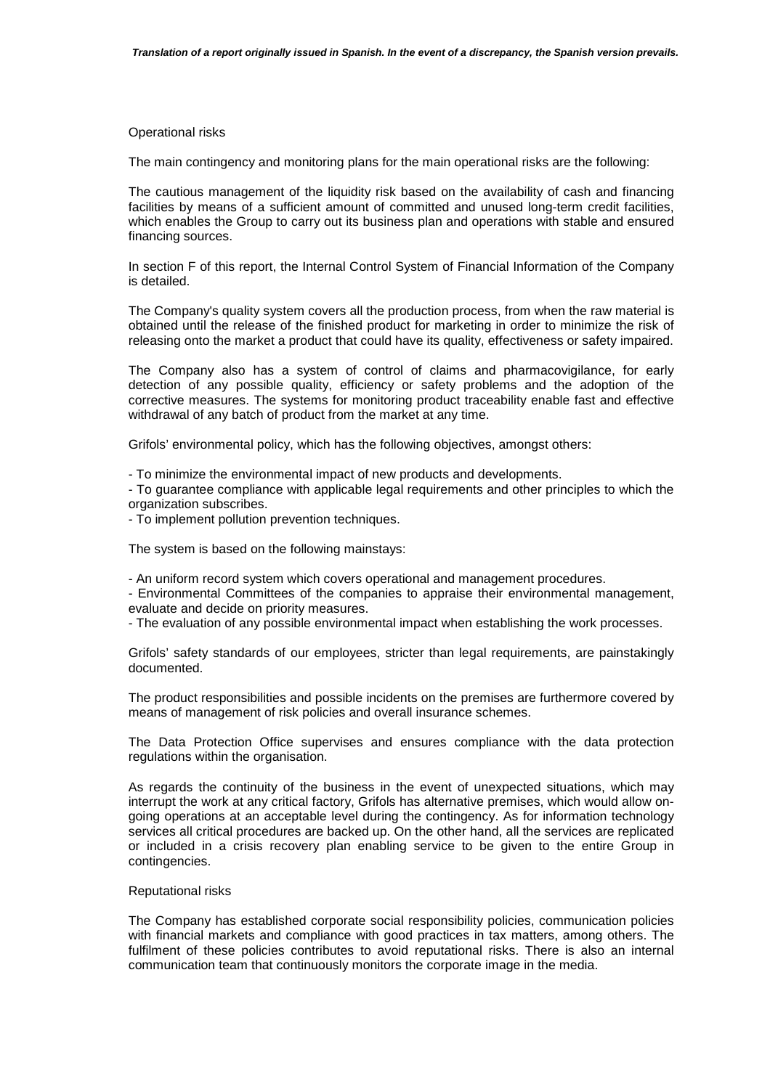#### Operational risks

The main contingency and monitoring plans for the main operational risks are the following:

The cautious management of the liquidity risk based on the availability of cash and financing facilities by means of a sufficient amount of committed and unused long-term credit facilities, which enables the Group to carry out its business plan and operations with stable and ensured financing sources.

In section F of this report, the Internal Control System of Financial Information of the Company is detailed.

The Company's quality system covers all the production process, from when the raw material is obtained until the release of the finished product for marketing in order to minimize the risk of releasing onto the market a product that could have its quality, effectiveness or safety impaired.

The Company also has a system of control of claims and pharmacovigilance, for early detection of any possible quality, efficiency or safety problems and the adoption of the corrective measures. The systems for monitoring product traceability enable fast and effective withdrawal of any batch of product from the market at any time.

Grifols' environmental policy, which has the following objectives, amongst others:

- To minimize the environmental impact of new products and developments.

- To guarantee compliance with applicable legal requirements and other principles to which the organization subscribes.

- To implement pollution prevention techniques.

The system is based on the following mainstays:

- An uniform record system which covers operational and management procedures.

- Environmental Committees of the companies to appraise their environmental management, evaluate and decide on priority measures.

- The evaluation of any possible environmental impact when establishing the work processes.

Grifols' safety standards of our employees, stricter than legal requirements, are painstakingly documented.

The product responsibilities and possible incidents on the premises are furthermore covered by means of management of risk policies and overall insurance schemes.

The Data Protection Office supervises and ensures compliance with the data protection regulations within the organisation.

As regards the continuity of the business in the event of unexpected situations, which may interrupt the work at any critical factory, Grifols has alternative premises, which would allow ongoing operations at an acceptable level during the contingency. As for information technology services all critical procedures are backed up. On the other hand, all the services are replicated or included in a crisis recovery plan enabling service to be given to the entire Group in contingencies.

#### Reputational risks

The Company has established corporate social responsibility policies, communication policies with financial markets and compliance with good practices in tax matters, among others. The fulfilment of these policies contributes to avoid reputational risks. There is also an internal communication team that continuously monitors the corporate image in the media.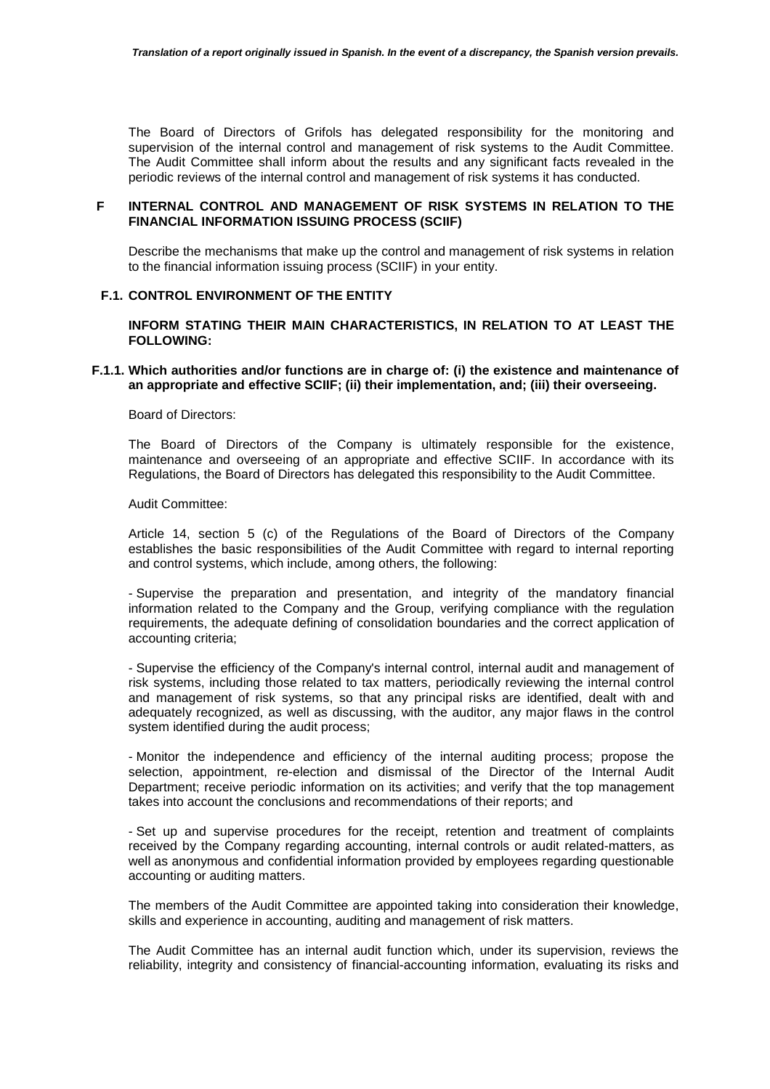The Board of Directors of Grifols has delegated responsibility for the monitoring and supervision of the internal control and management of risk systems to the Audit Committee. The Audit Committee shall inform about the results and any significant facts revealed in the periodic reviews of the internal control and management of risk systems it has conducted.

#### **F INTERNAL CONTROL AND MANAGEMENT OF RISK SYSTEMS IN RELATION TO THE FINANCIAL INFORMATION ISSUING PROCESS (SCIIF)**

 Describe the mechanisms that make up the control and management of risk systems in relation to the financial information issuing process (SCIIF) in your entity.

#### **F.1. CONTROL ENVIRONMENT OF THE ENTITY**

 **INFORM STATING THEIR MAIN CHARACTERISTICS, IN RELATION TO AT LEAST THE FOLLOWING:** 

#### **F.1.1. Which authorities and/or functions are in charge of: (i) the existence and maintenance of an appropriate and effective SCIIF; (ii) their implementation, and; (iii) their overseeing.**

#### Board of Directors:

The Board of Directors of the Company is ultimately responsible for the existence, maintenance and overseeing of an appropriate and effective SCIIF. In accordance with its Regulations, the Board of Directors has delegated this responsibility to the Audit Committee.

#### Audit Committee:

Article 14, section 5 (c) of the Regulations of the Board of Directors of the Company establishes the basic responsibilities of the Audit Committee with regard to internal reporting and control systems, which include, among others, the following:

- Supervise the preparation and presentation, and integrity of the mandatory financial information related to the Company and the Group, verifying compliance with the regulation requirements, the adequate defining of consolidation boundaries and the correct application of accounting criteria;

- Supervise the efficiency of the Company's internal control, internal audit and management of risk systems, including those related to tax matters, periodically reviewing the internal control and management of risk systems, so that any principal risks are identified, dealt with and adequately recognized, as well as discussing, with the auditor, any major flaws in the control system identified during the audit process;

- Monitor the independence and efficiency of the internal auditing process; propose the selection, appointment, re-election and dismissal of the Director of the Internal Audit Department; receive periodic information on its activities; and verify that the top management takes into account the conclusions and recommendations of their reports; and

- Set up and supervise procedures for the receipt, retention and treatment of complaints received by the Company regarding accounting, internal controls or audit related-matters, as well as anonymous and confidential information provided by employees regarding questionable accounting or auditing matters.

The members of the Audit Committee are appointed taking into consideration their knowledge, skills and experience in accounting, auditing and management of risk matters.

The Audit Committee has an internal audit function which, under its supervision, reviews the reliability, integrity and consistency of financial-accounting information, evaluating its risks and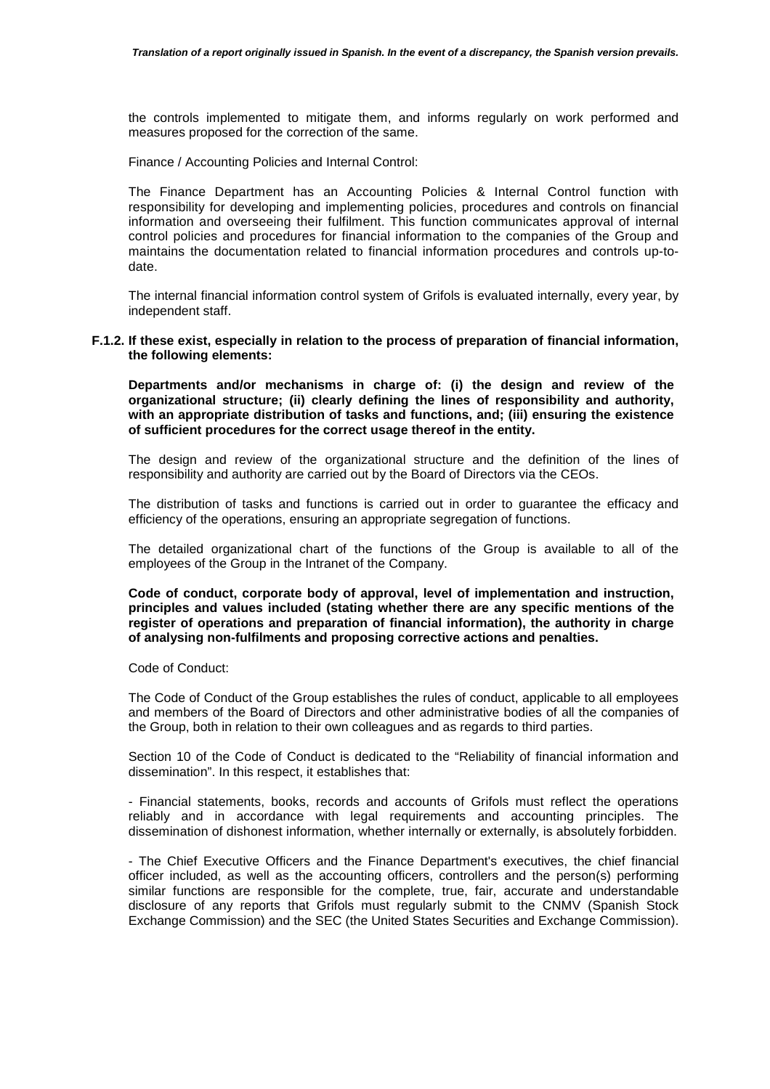the controls implemented to mitigate them, and informs regularly on work performed and measures proposed for the correction of the same.

Finance / Accounting Policies and Internal Control:

The Finance Department has an Accounting Policies & Internal Control function with responsibility for developing and implementing policies, procedures and controls on financial information and overseeing their fulfilment. This function communicates approval of internal control policies and procedures for financial information to the companies of the Group and maintains the documentation related to financial information procedures and controls up-todate.

The internal financial information control system of Grifols is evaluated internally, every year, by independent staff.

#### **F.1.2. If these exist, especially in relation to the process of preparation of financial information, the following elements:**

**Departments and/or mechanisms in charge of: (i) the design and review of the organizational structure; (ii) clearly defining the lines of responsibility and authority, with an appropriate distribution of tasks and functions, and; (iii) ensuring the existence of sufficient procedures for the correct usage thereof in the entity.** 

The design and review of the organizational structure and the definition of the lines of responsibility and authority are carried out by the Board of Directors via the CEOs.

The distribution of tasks and functions is carried out in order to guarantee the efficacy and efficiency of the operations, ensuring an appropriate segregation of functions.

The detailed organizational chart of the functions of the Group is available to all of the employees of the Group in the Intranet of the Company.

**Code of conduct, corporate body of approval, level of implementation and instruction, principles and values included (stating whether there are any specific mentions of the register of operations and preparation of financial information), the authority in charge of analysing non-fulfilments and proposing corrective actions and penalties.** 

Code of Conduct:

The Code of Conduct of the Group establishes the rules of conduct, applicable to all employees and members of the Board of Directors and other administrative bodies of all the companies of the Group, both in relation to their own colleagues and as regards to third parties.

Section 10 of the Code of Conduct is dedicated to the "Reliability of financial information and dissemination". In this respect, it establishes that:

- Financial statements, books, records and accounts of Grifols must reflect the operations reliably and in accordance with legal requirements and accounting principles. The dissemination of dishonest information, whether internally or externally, is absolutely forbidden.

- The Chief Executive Officers and the Finance Department's executives, the chief financial officer included, as well as the accounting officers, controllers and the person(s) performing similar functions are responsible for the complete, true, fair, accurate and understandable disclosure of any reports that Grifols must regularly submit to the CNMV (Spanish Stock Exchange Commission) and the SEC (the United States Securities and Exchange Commission).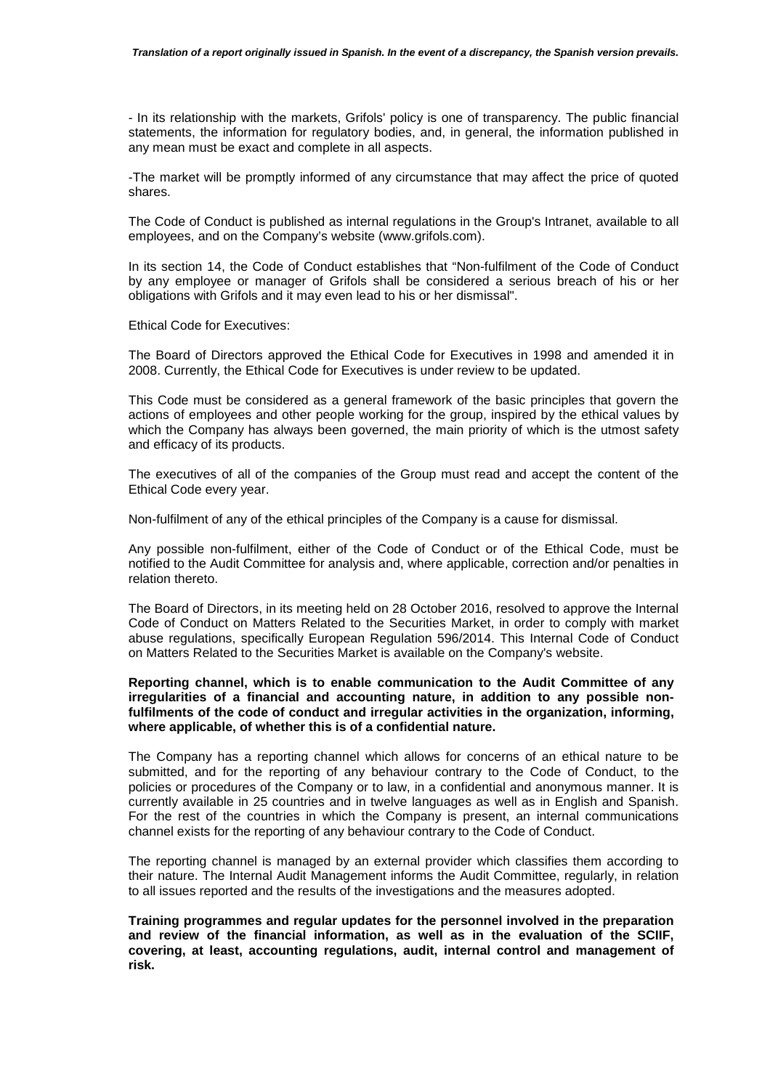- In its relationship with the markets, Grifols' policy is one of transparency. The public financial statements, the information for regulatory bodies, and, in general, the information published in any mean must be exact and complete in all aspects.

-The market will be promptly informed of any circumstance that may affect the price of quoted shares.

The Code of Conduct is published as internal regulations in the Group's Intranet, available to all employees, and on the Company's website (www.grifols.com).

In its section 14, the Code of Conduct establishes that "Non-fulfilment of the Code of Conduct by any employee or manager of Grifols shall be considered a serious breach of his or her obligations with Grifols and it may even lead to his or her dismissal".

Ethical Code for Executives:

The Board of Directors approved the Ethical Code for Executives in 1998 and amended it in 2008. Currently, the Ethical Code for Executives is under review to be updated.

This Code must be considered as a general framework of the basic principles that govern the actions of employees and other people working for the group, inspired by the ethical values by which the Company has always been governed, the main priority of which is the utmost safety and efficacy of its products.

The executives of all of the companies of the Group must read and accept the content of the Ethical Code every year.

Non-fulfilment of any of the ethical principles of the Company is a cause for dismissal.

Any possible non-fulfilment, either of the Code of Conduct or of the Ethical Code, must be notified to the Audit Committee for analysis and, where applicable, correction and/or penalties in relation thereto.

The Board of Directors, in its meeting held on 28 October 2016, resolved to approve the Internal Code of Conduct on Matters Related to the Securities Market, in order to comply with market abuse regulations, specifically European Regulation 596/2014. This Internal Code of Conduct on Matters Related to the Securities Market is available on the Company's website.

### **Reporting channel, which is to enable communication to the Audit Committee of any irregularities of a financial and accounting nature, in addition to any possible nonfulfilments of the code of conduct and irregular activities in the organization, informing, where applicable, of whether this is of a confidential nature.**

The Company has a reporting channel which allows for concerns of an ethical nature to be submitted, and for the reporting of any behaviour contrary to the Code of Conduct, to the policies or procedures of the Company or to law, in a confidential and anonymous manner. It is currently available in 25 countries and in twelve languages as well as in English and Spanish. For the rest of the countries in which the Company is present, an internal communications channel exists for the reporting of any behaviour contrary to the Code of Conduct.

The reporting channel is managed by an external provider which classifies them according to their nature. The Internal Audit Management informs the Audit Committee, regularly, in relation to all issues reported and the results of the investigations and the measures adopted.

**Training programmes and regular updates for the personnel involved in the preparation and review of the financial information, as well as in the evaluation of the SCIIF, covering, at least, accounting regulations, audit, internal control and management of risk.**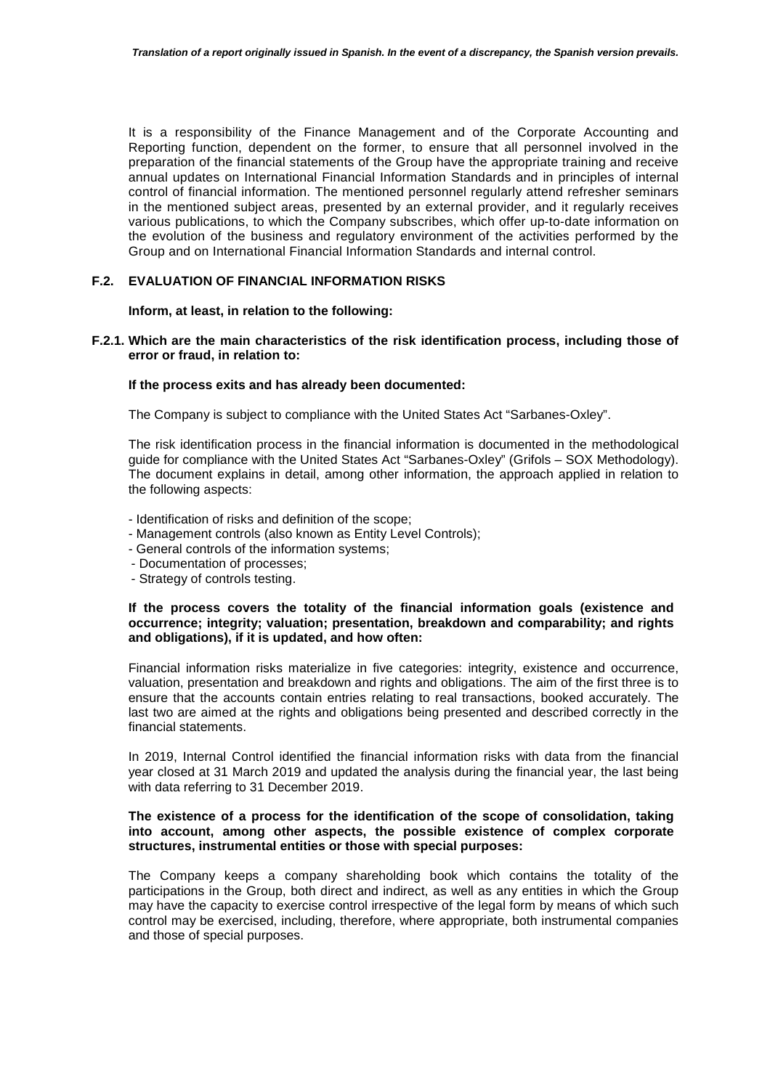It is a responsibility of the Finance Management and of the Corporate Accounting and Reporting function, dependent on the former, to ensure that all personnel involved in the preparation of the financial statements of the Group have the appropriate training and receive annual updates on International Financial Information Standards and in principles of internal control of financial information. The mentioned personnel regularly attend refresher seminars in the mentioned subject areas, presented by an external provider, and it regularly receives various publications, to which the Company subscribes, which offer up-to-date information on the evolution of the business and regulatory environment of the activities performed by the Group and on International Financial Information Standards and internal control.

## **F.2. EVALUATION OF FINANCIAL INFORMATION RISKS**

#### **Inform, at least, in relation to the following:**

**F.2.1. Which are the main characteristics of the risk identification process, including those of error or fraud, in relation to:**

#### **If the process exits and has already been documented:**

The Company is subject to compliance with the United States Act "Sarbanes-Oxley".

The risk identification process in the financial information is documented in the methodological guide for compliance with the United States Act "Sarbanes-Oxley" (Grifols – SOX Methodology). The document explains in detail, among other information, the approach applied in relation to the following aspects:

- Identification of risks and definition of the scope;
- Management controls (also known as Entity Level Controls);
- General controls of the information systems;
- Documentation of processes;
- Strategy of controls testing.

#### **If the process covers the totality of the financial information goals (existence and occurrence; integrity; valuation; presentation, breakdown and comparability; and rights and obligations), if it is updated, and how often:**

Financial information risks materialize in five categories: integrity, existence and occurrence, valuation, presentation and breakdown and rights and obligations. The aim of the first three is to ensure that the accounts contain entries relating to real transactions, booked accurately. The last two are aimed at the rights and obligations being presented and described correctly in the financial statements.

In 2019, Internal Control identified the financial information risks with data from the financial year closed at 31 March 2019 and updated the analysis during the financial year, the last being with data referring to 31 December 2019.

#### **The existence of a process for the identification of the scope of consolidation, taking into account, among other aspects, the possible existence of complex corporate structures, instrumental entities or those with special purposes:**

The Company keeps a company shareholding book which contains the totality of the participations in the Group, both direct and indirect, as well as any entities in which the Group may have the capacity to exercise control irrespective of the legal form by means of which such control may be exercised, including, therefore, where appropriate, both instrumental companies and those of special purposes.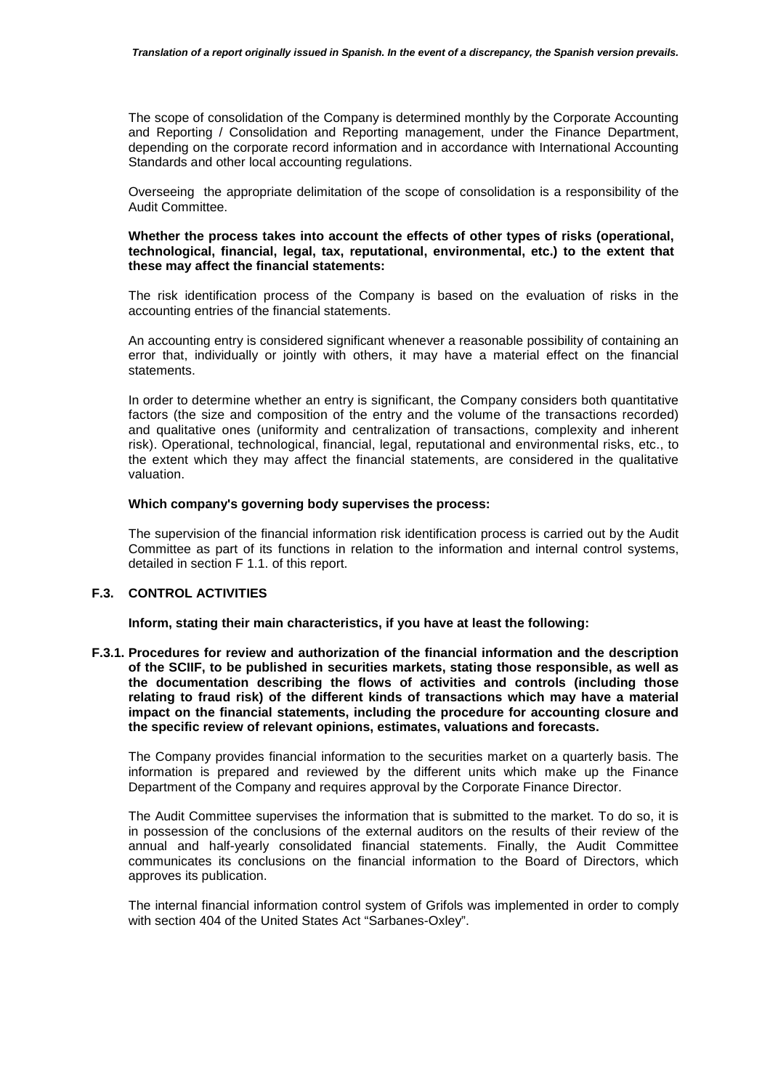The scope of consolidation of the Company is determined monthly by the Corporate Accounting and Reporting / Consolidation and Reporting management, under the Finance Department, depending on the corporate record information and in accordance with International Accounting Standards and other local accounting regulations.

Overseeing the appropriate delimitation of the scope of consolidation is a responsibility of the Audit Committee.

#### **Whether the process takes into account the effects of other types of risks (operational, technological, financial, legal, tax, reputational, environmental, etc.) to the extent that these may affect the financial statements:**

The risk identification process of the Company is based on the evaluation of risks in the accounting entries of the financial statements.

An accounting entry is considered significant whenever a reasonable possibility of containing an error that, individually or jointly with others, it may have a material effect on the financial statements.

In order to determine whether an entry is significant, the Company considers both quantitative factors (the size and composition of the entry and the volume of the transactions recorded) and qualitative ones (uniformity and centralization of transactions, complexity and inherent risk). Operational, technological, financial, legal, reputational and environmental risks, etc., to the extent which they may affect the financial statements, are considered in the qualitative valuation.

#### **Which company's governing body supervises the process:**

The supervision of the financial information risk identification process is carried out by the Audit Committee as part of its functions in relation to the information and internal control systems, detailed in section F 1.1. of this report.

# **F.3. CONTROL ACTIVITIES**

**Inform, stating their main characteristics, if you have at least the following:** 

**F.3.1. Procedures for review and authorization of the financial information and the description of the SCIIF, to be published in securities markets, stating those responsible, as well as the documentation describing the flows of activities and controls (including those relating to fraud risk) of the different kinds of transactions which may have a material impact on the financial statements, including the procedure for accounting closure and the specific review of relevant opinions, estimates, valuations and forecasts.** 

The Company provides financial information to the securities market on a quarterly basis. The information is prepared and reviewed by the different units which make up the Finance Department of the Company and requires approval by the Corporate Finance Director.

The Audit Committee supervises the information that is submitted to the market. To do so, it is in possession of the conclusions of the external auditors on the results of their review of the annual and half-yearly consolidated financial statements. Finally, the Audit Committee communicates its conclusions on the financial information to the Board of Directors, which approves its publication.

The internal financial information control system of Grifols was implemented in order to comply with section 404 of the United States Act "Sarbanes-Oxley".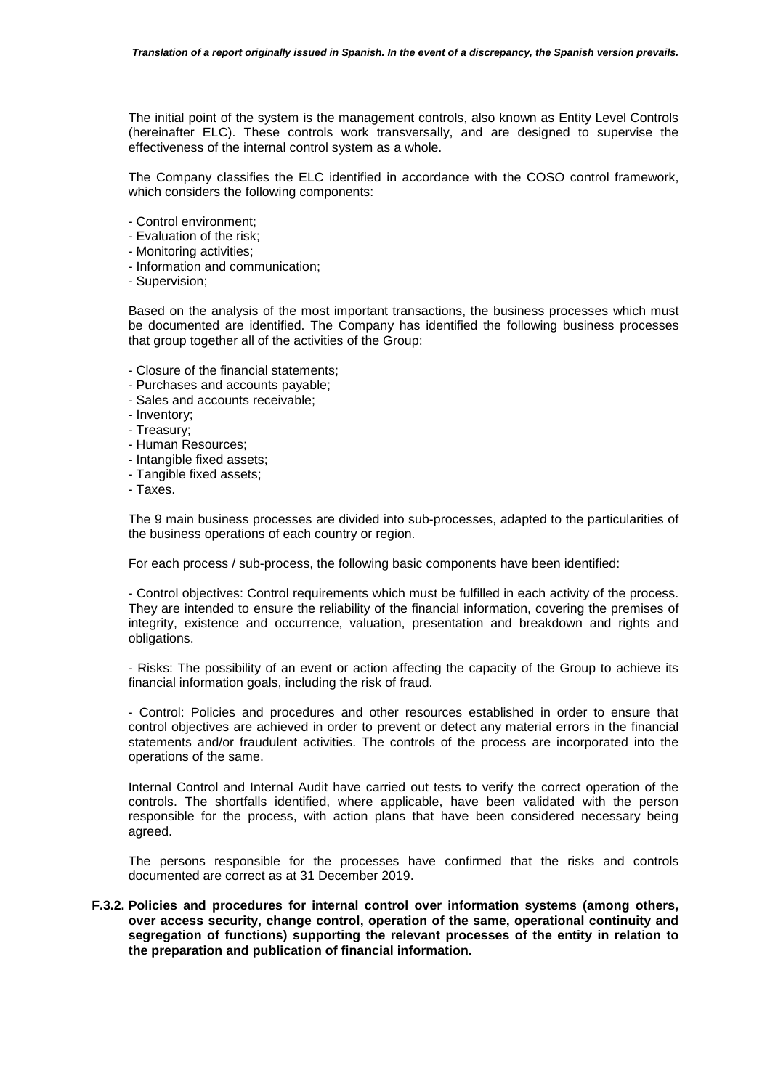The initial point of the system is the management controls, also known as Entity Level Controls (hereinafter ELC). These controls work transversally, and are designed to supervise the effectiveness of the internal control system as a whole.

The Company classifies the ELC identified in accordance with the COSO control framework, which considers the following components:

- Control environment;
- Evaluation of the risk;
- Monitoring activities;
- Information and communication;
- Supervision;

Based on the analysis of the most important transactions, the business processes which must be documented are identified. The Company has identified the following business processes that group together all of the activities of the Group:

- Closure of the financial statements;
- Purchases and accounts payable;
- Sales and accounts receivable;
- Inventory;
- Treasury;
- Human Resources;
- Intangible fixed assets;
- Tangible fixed assets;
- Taxes.

The 9 main business processes are divided into sub-processes, adapted to the particularities of the business operations of each country or region.

For each process / sub-process, the following basic components have been identified:

- Control objectives: Control requirements which must be fulfilled in each activity of the process. They are intended to ensure the reliability of the financial information, covering the premises of integrity, existence and occurrence, valuation, presentation and breakdown and rights and obligations.

- Risks: The possibility of an event or action affecting the capacity of the Group to achieve its financial information goals, including the risk of fraud.

- Control: Policies and procedures and other resources established in order to ensure that control objectives are achieved in order to prevent or detect any material errors in the financial statements and/or fraudulent activities. The controls of the process are incorporated into the operations of the same.

Internal Control and Internal Audit have carried out tests to verify the correct operation of the controls. The shortfalls identified, where applicable, have been validated with the person responsible for the process, with action plans that have been considered necessary being agreed.

The persons responsible for the processes have confirmed that the risks and controls documented are correct as at 31 December 2019.

**F.3.2. Policies and procedures for internal control over information systems (among others, over access security, change control, operation of the same, operational continuity and segregation of functions) supporting the relevant processes of the entity in relation to the preparation and publication of financial information.**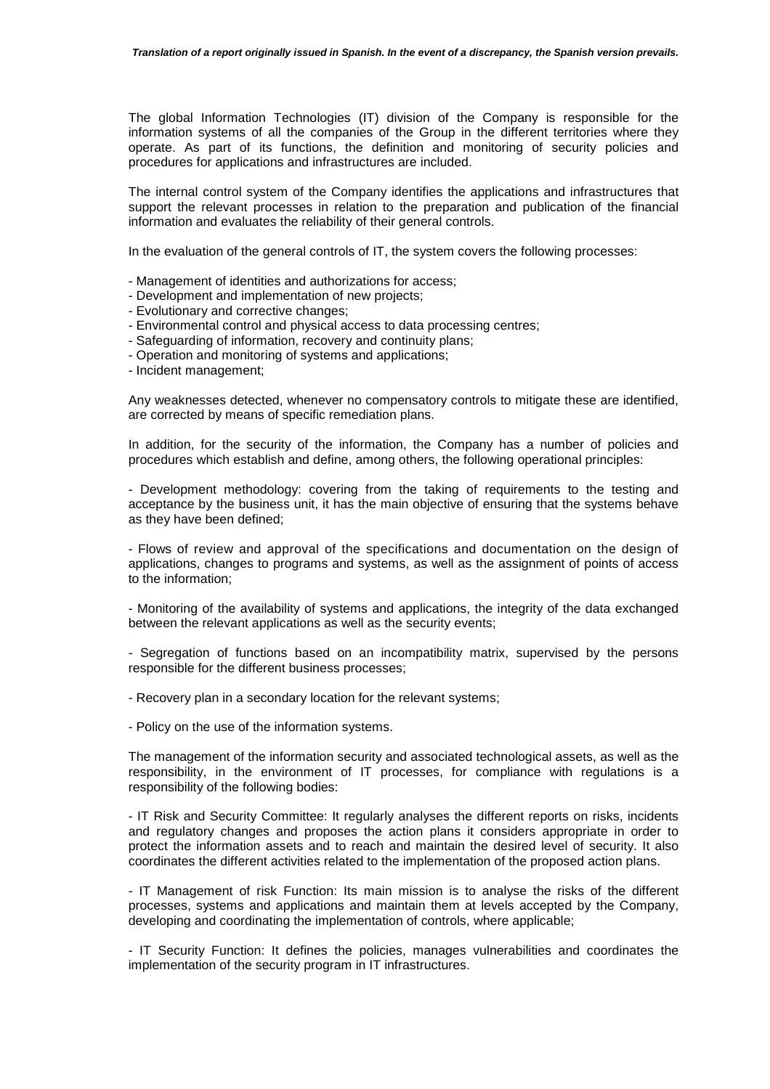The global Information Technologies (IT) division of the Company is responsible for the information systems of all the companies of the Group in the different territories where they operate. As part of its functions, the definition and monitoring of security policies and procedures for applications and infrastructures are included.

The internal control system of the Company identifies the applications and infrastructures that support the relevant processes in relation to the preparation and publication of the financial information and evaluates the reliability of their general controls.

In the evaluation of the general controls of IT, the system covers the following processes:

- Management of identities and authorizations for access;
- Development and implementation of new projects;
- Evolutionary and corrective changes;
- Environmental control and physical access to data processing centres;
- Safeguarding of information, recovery and continuity plans;
- Operation and monitoring of systems and applications;
- Incident management;

Any weaknesses detected, whenever no compensatory controls to mitigate these are identified, are corrected by means of specific remediation plans.

In addition, for the security of the information, the Company has a number of policies and procedures which establish and define, among others, the following operational principles:

- Development methodology: covering from the taking of requirements to the testing and acceptance by the business unit, it has the main objective of ensuring that the systems behave as they have been defined;

- Flows of review and approval of the specifications and documentation on the design of applications, changes to programs and systems, as well as the assignment of points of access to the information;

- Monitoring of the availability of systems and applications, the integrity of the data exchanged between the relevant applications as well as the security events;

- Segregation of functions based on an incompatibility matrix, supervised by the persons responsible for the different business processes;

- Recovery plan in a secondary location for the relevant systems;

- Policy on the use of the information systems.

The management of the information security and associated technological assets, as well as the responsibility, in the environment of IT processes, for compliance with regulations is a responsibility of the following bodies:

- IT Risk and Security Committee: It regularly analyses the different reports on risks, incidents and regulatory changes and proposes the action plans it considers appropriate in order to protect the information assets and to reach and maintain the desired level of security. It also coordinates the different activities related to the implementation of the proposed action plans.

- IT Management of risk Function: Its main mission is to analyse the risks of the different processes, systems and applications and maintain them at levels accepted by the Company, developing and coordinating the implementation of controls, where applicable;

- IT Security Function: It defines the policies, manages vulnerabilities and coordinates the implementation of the security program in IT infrastructures.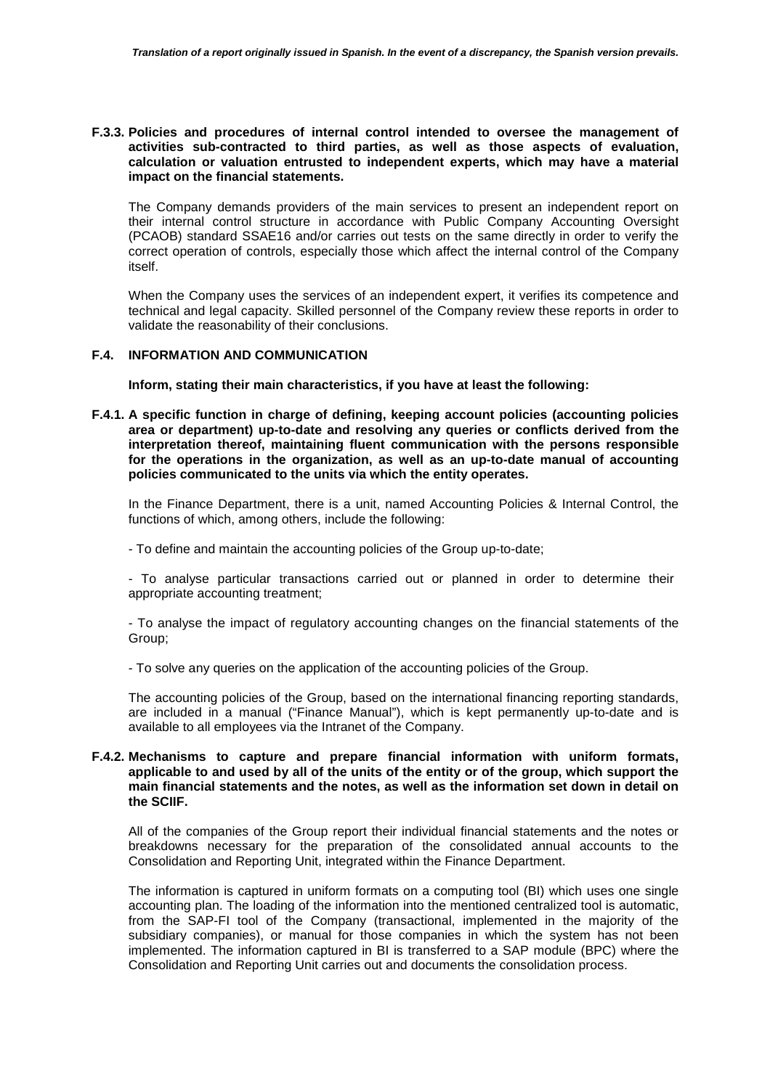## **F.3.3. Policies and procedures of internal control intended to oversee the management of activities sub-contracted to third parties, as well as those aspects of evaluation, calculation or valuation entrusted to independent experts, which may have a material impact on the financial statements.**

The Company demands providers of the main services to present an independent report on their internal control structure in accordance with Public Company Accounting Oversight (PCAOB) standard SSAE16 and/or carries out tests on the same directly in order to verify the correct operation of controls, especially those which affect the internal control of the Company itself.

When the Company uses the services of an independent expert, it verifies its competence and technical and legal capacity. Skilled personnel of the Company review these reports in order to validate the reasonability of their conclusions.

## **F.4. INFORMATION AND COMMUNICATION**

**Inform, stating their main characteristics, if you have at least the following:** 

**F.4.1. A specific function in charge of defining, keeping account policies (accounting policies area or department) up-to-date and resolving any queries or conflicts derived from the interpretation thereof, maintaining fluent communication with the persons responsible for the operations in the organization, as well as an up-to-date manual of accounting policies communicated to the units via which the entity operates.** 

In the Finance Department, there is a unit, named Accounting Policies & Internal Control, the functions of which, among others, include the following:

- To define and maintain the accounting policies of the Group up-to-date;

- To analyse particular transactions carried out or planned in order to determine their appropriate accounting treatment;

- To analyse the impact of regulatory accounting changes on the financial statements of the Group;

- To solve any queries on the application of the accounting policies of the Group.

The accounting policies of the Group, based on the international financing reporting standards, are included in a manual ("Finance Manual"), which is kept permanently up-to-date and is available to all employees via the Intranet of the Company.

## **F.4.2. Mechanisms to capture and prepare financial information with uniform formats, applicable to and used by all of the units of the entity or of the group, which support the main financial statements and the notes, as well as the information set down in detail on the SCIIF.**

All of the companies of the Group report their individual financial statements and the notes or breakdowns necessary for the preparation of the consolidated annual accounts to the Consolidation and Reporting Unit, integrated within the Finance Department.

The information is captured in uniform formats on a computing tool (BI) which uses one single accounting plan. The loading of the information into the mentioned centralized tool is automatic, from the SAP-FI tool of the Company (transactional, implemented in the majority of the subsidiary companies), or manual for those companies in which the system has not been implemented. The information captured in BI is transferred to a SAP module (BPC) where the Consolidation and Reporting Unit carries out and documents the consolidation process.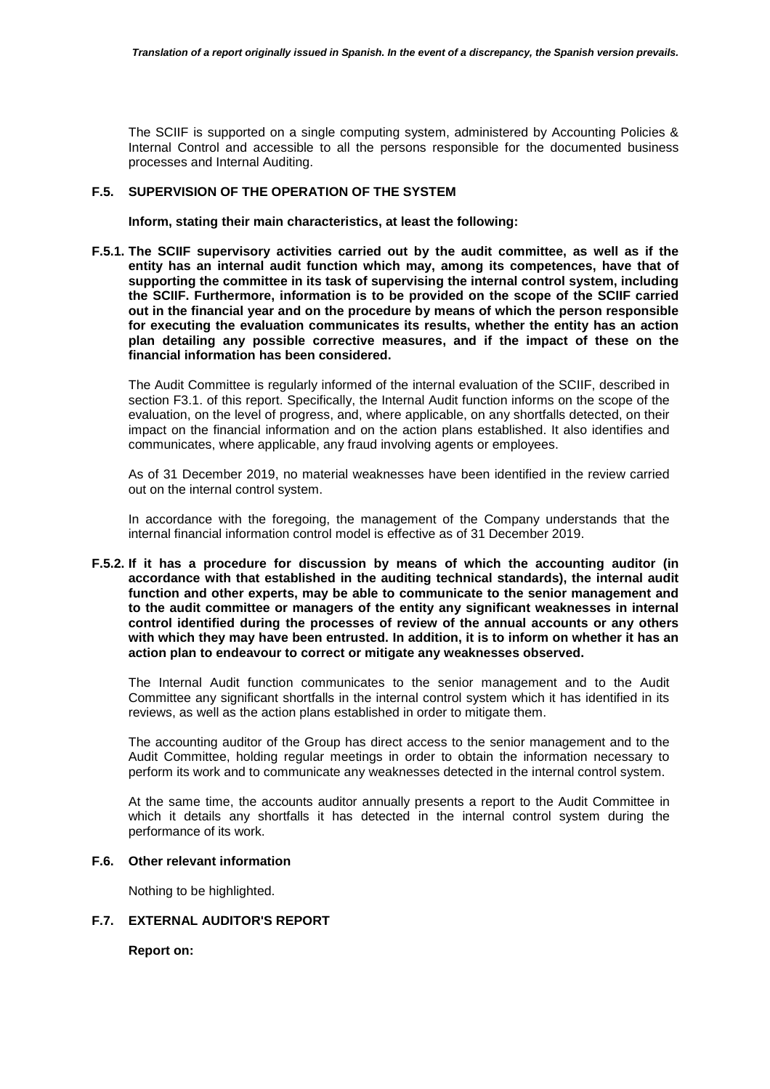The SCIIF is supported on a single computing system, administered by Accounting Policies & Internal Control and accessible to all the persons responsible for the documented business processes and Internal Auditing.

## **F.5. SUPERVISION OF THE OPERATION OF THE SYSTEM**

**Inform, stating their main characteristics, at least the following:** 

**F.5.1. The SCIIF supervisory activities carried out by the audit committee, as well as if the entity has an internal audit function which may, among its competences, have that of supporting the committee in its task of supervising the internal control system, including the SCIIF. Furthermore, information is to be provided on the scope of the SCIIF carried out in the financial year and on the procedure by means of which the person responsible for executing the evaluation communicates its results, whether the entity has an action plan detailing any possible corrective measures, and if the impact of these on the financial information has been considered.** 

The Audit Committee is regularly informed of the internal evaluation of the SCIIF, described in section F3.1. of this report. Specifically, the Internal Audit function informs on the scope of the evaluation, on the level of progress, and, where applicable, on any shortfalls detected, on their impact on the financial information and on the action plans established. It also identifies and communicates, where applicable, any fraud involving agents or employees.

As of 31 December 2019, no material weaknesses have been identified in the review carried out on the internal control system.

In accordance with the foregoing, the management of the Company understands that the internal financial information control model is effective as of 31 December 2019.

**F.5.2. If it has a procedure for discussion by means of which the accounting auditor (in accordance with that established in the auditing technical standards), the internal audit function and other experts, may be able to communicate to the senior management and to the audit committee or managers of the entity any significant weaknesses in internal control identified during the processes of review of the annual accounts or any others with which they may have been entrusted. In addition, it is to inform on whether it has an action plan to endeavour to correct or mitigate any weaknesses observed.** 

The Internal Audit function communicates to the senior management and to the Audit Committee any significant shortfalls in the internal control system which it has identified in its reviews, as well as the action plans established in order to mitigate them.

The accounting auditor of the Group has direct access to the senior management and to the Audit Committee, holding regular meetings in order to obtain the information necessary to perform its work and to communicate any weaknesses detected in the internal control system.

At the same time, the accounts auditor annually presents a report to the Audit Committee in which it details any shortfalls it has detected in the internal control system during the performance of its work.

#### **F.6. Other relevant information**

Nothing to be highlighted.

## **F.7. EXTERNAL AUDITOR'S REPORT**

**Report on:**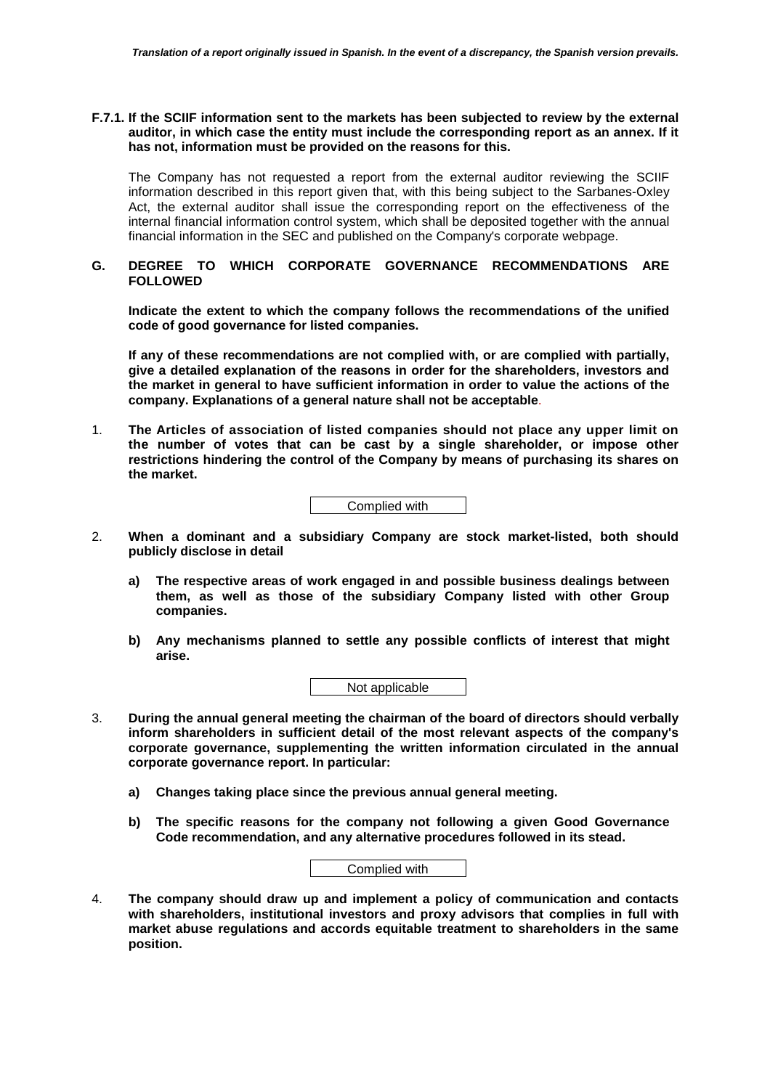## **F.7.1. If the SCIIF information sent to the markets has been subjected to review by the external auditor, in which case the entity must include the corresponding report as an annex. If it has not, information must be provided on the reasons for this.**

The Company has not requested a report from the external auditor reviewing the SCIIF information described in this report given that, with this being subject to the Sarbanes-Oxley Act, the external auditor shall issue the corresponding report on the effectiveness of the internal financial information control system, which shall be deposited together with the annual financial information in the SEC and published on the Company's corporate webpage.

## **G. DEGREE TO WHICH CORPORATE GOVERNANCE RECOMMENDATIONS ARE FOLLOWED**

**Indicate the extent to which the company follows the recommendations of the unified code of good governance for listed companies.** 

**If any of these recommendations are not complied with, or are complied with partially, give a detailed explanation of the reasons in order for the shareholders, investors and the market in general to have sufficient information in order to value the actions of the company. Explanations of a general nature shall not be acceptable**.

1. **The Articles of association of listed companies should not place any upper limit on the number of votes that can be cast by a single shareholder, or impose other restrictions hindering the control of the Company by means of purchasing its shares on the market.** 

Complied with

- 2. **When a dominant and a subsidiary Company are stock market-listed, both should publicly disclose in detail** 
	- **a) The respective areas of work engaged in and possible business dealings between them, as well as those of the subsidiary Company listed with other Group companies.**
	- **b) Any mechanisms planned to settle any possible conflicts of interest that might arise.**

Not applicable

- 3. **During the annual general meeting the chairman of the board of directors should verbally inform shareholders in sufficient detail of the most relevant aspects of the company's corporate governance, supplementing the written information circulated in the annual corporate governance report. In particular:** 
	- **a) Changes taking place since the previous annual general meeting.**
	- **b) The specific reasons for the company not following a given Good Governance Code recommendation, and any alternative procedures followed in its stead.**

| Complied with |  |
|---------------|--|
|               |  |

4. **The company should draw up and implement a policy of communication and contacts with shareholders, institutional investors and proxy advisors that complies in full with market abuse regulations and accords equitable treatment to shareholders in the same position.**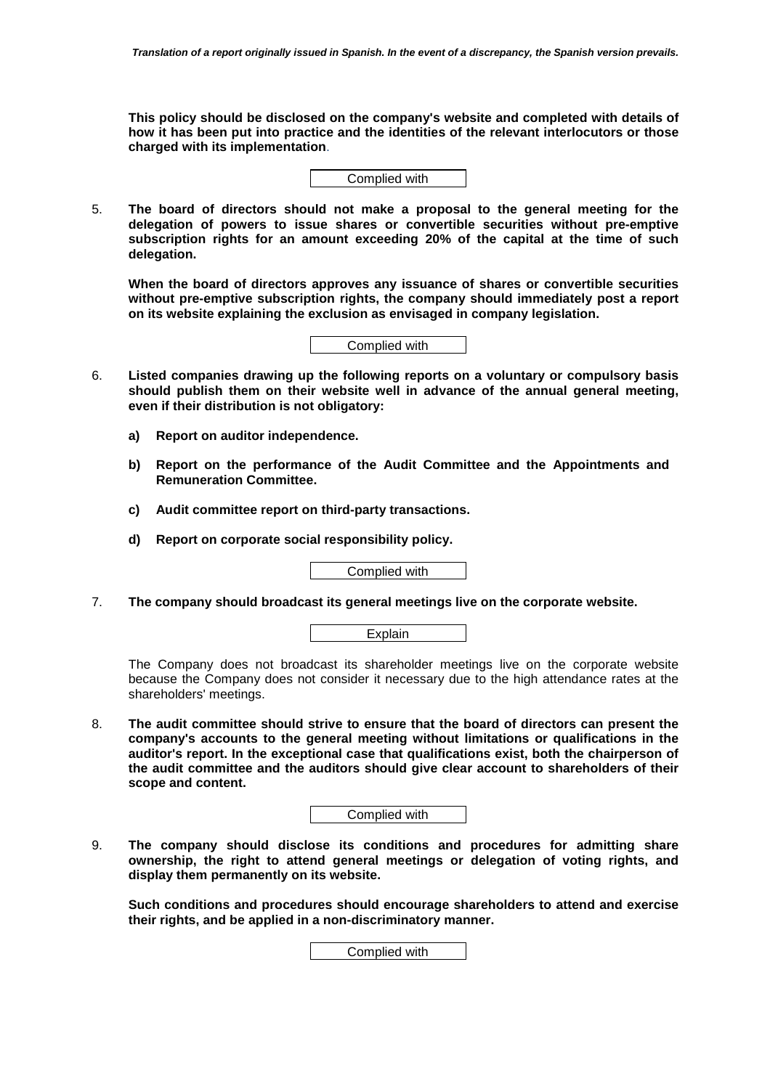**This policy should be disclosed on the company's website and completed with details of how it has been put into practice and the identities of the relevant interlocutors or those charged with its implementation**.

Complied with

5. **The board of directors should not make a proposal to the general meeting for the delegation of powers to issue shares or convertible securities without pre-emptive subscription rights for an amount exceeding 20% of the capital at the time of such delegation.** 

**When the board of directors approves any issuance of shares or convertible securities without pre-emptive subscription rights, the company should immediately post a report on its website explaining the exclusion as envisaged in company legislation.** 



- 6. **Listed companies drawing up the following reports on a voluntary or compulsory basis should publish them on their website well in advance of the annual general meeting, even if their distribution is not obligatory:** 
	- **a) Report on auditor independence.**
	- **b) Report on the performance of the Audit Committee and the Appointments and Remuneration Committee.**
	- **c) Audit committee report on third-party transactions.**
	- **d) Report on corporate social responsibility policy.**

Complied with

7. **The company should broadcast its general meetings live on the corporate website.** 



The Company does not broadcast its shareholder meetings live on the corporate website because the Company does not consider it necessary due to the high attendance rates at the shareholders' meetings.

8. **The audit committee should strive to ensure that the board of directors can present the company's accounts to the general meeting without limitations or qualifications in the auditor's report. In the exceptional case that qualifications exist, both the chairperson of the audit committee and the auditors should give clear account to shareholders of their scope and content.** 

Complied with

9. **The company should disclose its conditions and procedures for admitting share ownership, the right to attend general meetings or delegation of voting rights, and display them permanently on its website.** 

**Such conditions and procedures should encourage shareholders to attend and exercise their rights, and be applied in a non-discriminatory manner.** 

Complied with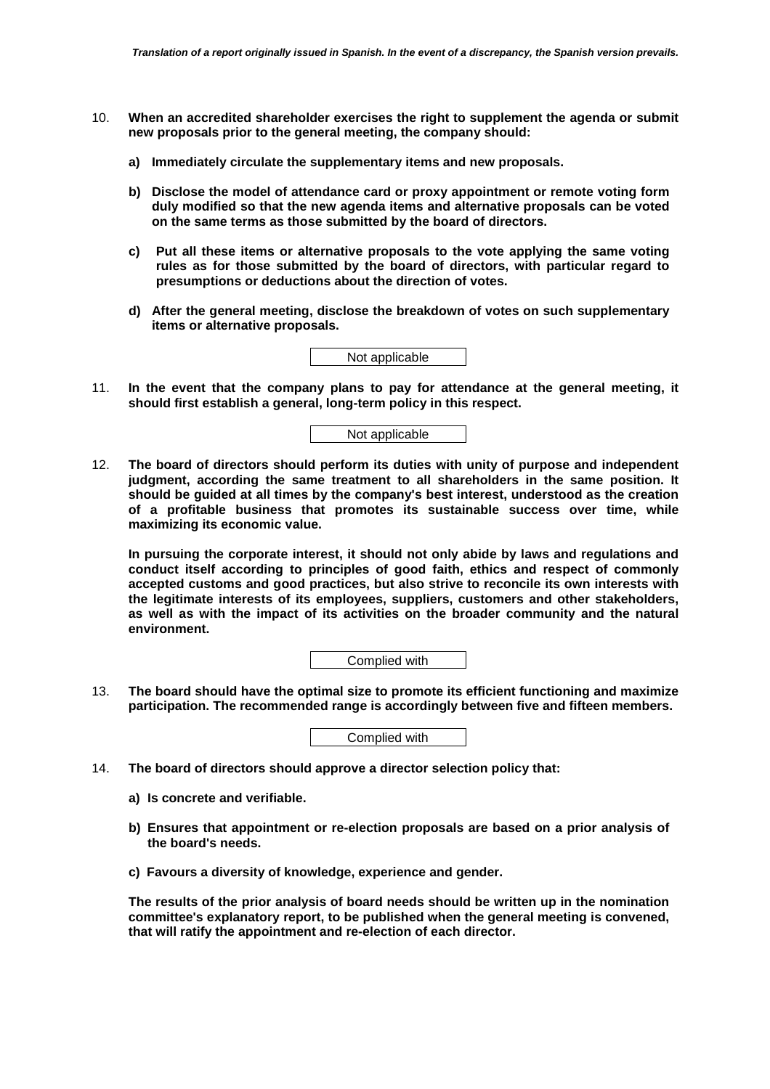- 10. **When an accredited shareholder exercises the right to supplement the agenda or submit new proposals prior to the general meeting, the company should:** 
	- **a) Immediately circulate the supplementary items and new proposals.**
	- **b) Disclose the model of attendance card or proxy appointment or remote voting form duly modified so that the new agenda items and alternative proposals can be voted on the same terms as those submitted by the board of directors.**
	- **c) Put all these items or alternative proposals to the vote applying the same voting rules as for those submitted by the board of directors, with particular regard to presumptions or deductions about the direction of votes.**
	- **d) After the general meeting, disclose the breakdown of votes on such supplementary items or alternative proposals.**

Not applicable

11. **In the event that the company plans to pay for attendance at the general meeting, it should first establish a general, long-term policy in this respect.** 

Not applicable

12. **The board of directors should perform its duties with unity of purpose and independent judgment, according the same treatment to all shareholders in the same position. It should be guided at all times by the company's best interest, understood as the creation of a profitable business that promotes its sustainable success over time, while maximizing its economic value.** 

**In pursuing the corporate interest, it should not only abide by laws and regulations and conduct itself according to principles of good faith, ethics and respect of commonly accepted customs and good practices, but also strive to reconcile its own interests with the legitimate interests of its employees, suppliers, customers and other stakeholders, as well as with the impact of its activities on the broader community and the natural environment.** 

Complied with

13. **The board should have the optimal size to promote its efficient functioning and maximize participation. The recommended range is accordingly between five and fifteen members.** 

Complied with

- 14. **The board of directors should approve a director selection policy that:** 
	- **a) Is concrete and verifiable.**
	- **b) Ensures that appointment or re-election proposals are based on a prior analysis of the board's needs.**
	- **c) Favours a diversity of knowledge, experience and gender.**

**The results of the prior analysis of board needs should be written up in the nomination committee's explanatory report, to be published when the general meeting is convened, that will ratify the appointment and re-election of each director.**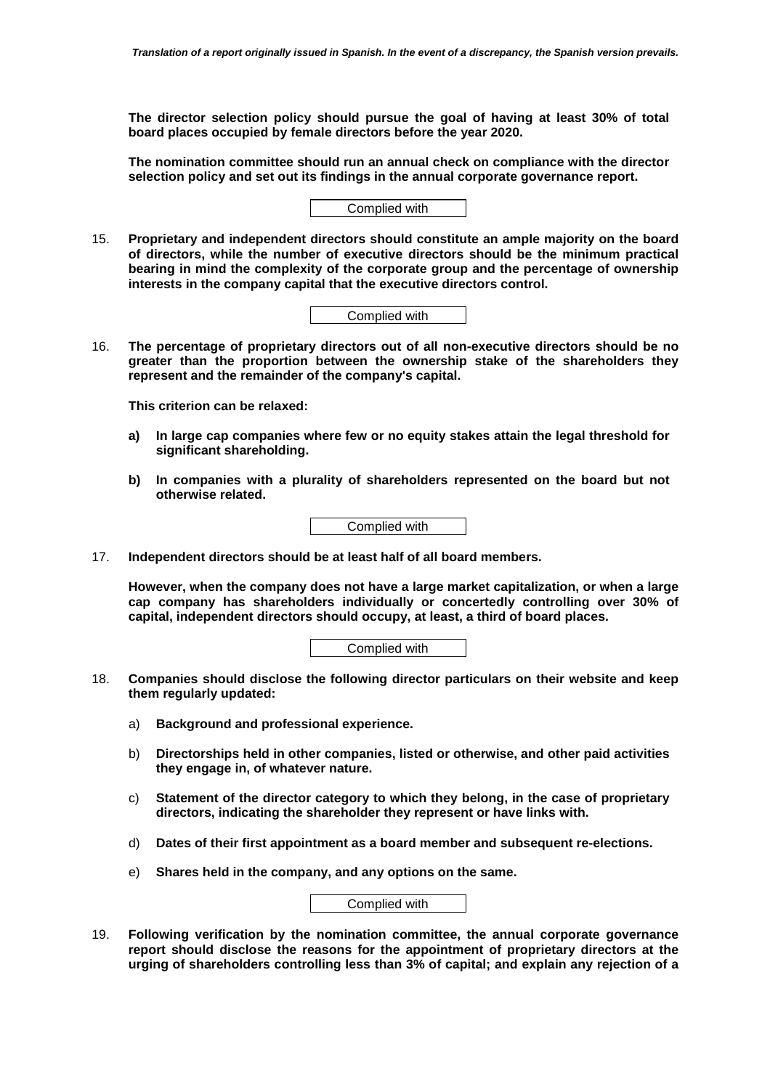**The director selection policy should pursue the goal of having at least 30% of total board places occupied by female directors before the year 2020.** 

**The nomination committee should run an annual check on compliance with the director selection policy and set out its findings in the annual corporate governance report.** 

| Complied with |
|---------------|
|---------------|

15. **Proprietary and independent directors should constitute an ample majority on the board of directors, while the number of executive directors should be the minimum practical bearing in mind the complexity of the corporate group and the percentage of ownership interests in the company capital that the executive directors control.** 

Complied with

16. **The percentage of proprietary directors out of all non-executive directors should be no greater than the proportion between the ownership stake of the shareholders they represent and the remainder of the company's capital.** 

**This criterion can be relaxed:** 

- **a) In large cap companies where few or no equity stakes attain the legal threshold for significant shareholding.**
- **b) In companies with a plurality of shareholders represented on the board but not otherwise related.**



17. **Independent directors should be at least half of all board members.** 

**However, when the company does not have a large market capitalization, or when a large cap company has shareholders individually or concertedly controlling over 30% of capital, independent directors should occupy, at least, a third of board places.** 

Complied with

- 18. **Companies should disclose the following director particulars on their website and keep them regularly updated:** 
	- a) **Background and professional experience.**
	- b) **Directorships held in other companies, listed or otherwise, and other paid activities they engage in, of whatever nature.**
	- c) **Statement of the director category to which they belong, in the case of proprietary directors, indicating the shareholder they represent or have links with.**
	- d) **Dates of their first appointment as a board member and subsequent re-elections.**
	- e) **Shares held in the company, and any options on the same.**

Complied with

19. **Following verification by the nomination committee, the annual corporate governance report should disclose the reasons for the appointment of proprietary directors at the urging of shareholders controlling less than 3% of capital; and explain any rejection of a**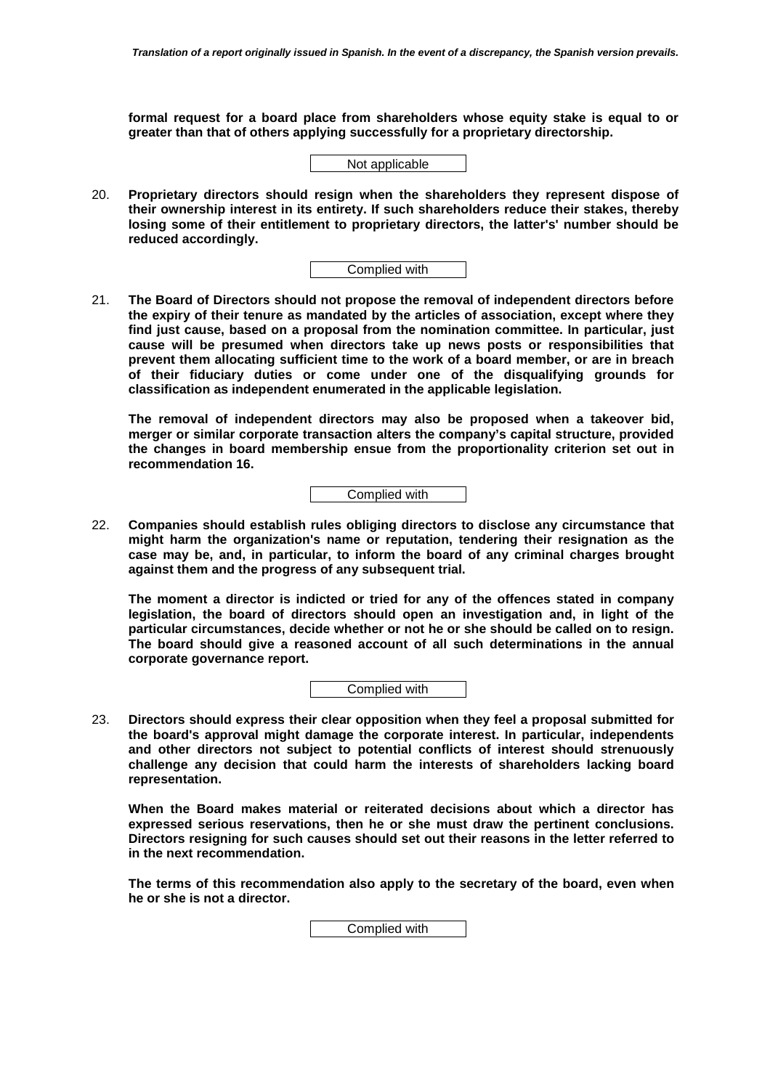**formal request for a board place from shareholders whose equity stake is equal to or greater than that of others applying successfully for a proprietary directorship.** 

Not applicable

20. **Proprietary directors should resign when the shareholders they represent dispose of their ownership interest in its entirety. If such shareholders reduce their stakes, thereby losing some of their entitlement to proprietary directors, the latter's' number should be reduced accordingly.** 

Complied with

21. **The Board of Directors should not propose the removal of independent directors before the expiry of their tenure as mandated by the articles of association, except where they find just cause, based on a proposal from the nomination committee. In particular, just cause will be presumed when directors take up news posts or responsibilities that prevent them allocating sufficient time to the work of a board member, or are in breach of their fiduciary duties or come under one of the disqualifying grounds for classification as independent enumerated in the applicable legislation.** 

**The removal of independent directors may also be proposed when a takeover bid, merger or similar corporate transaction alters the company's capital structure, provided the changes in board membership ensue from the proportionality criterion set out in recommendation 16.** 

Complied with

22. **Companies should establish rules obliging directors to disclose any circumstance that might harm the organization's name or reputation, tendering their resignation as the case may be, and, in particular, to inform the board of any criminal charges brought against them and the progress of any subsequent trial.** 

**The moment a director is indicted or tried for any of the offences stated in company legislation, the board of directors should open an investigation and, in light of the particular circumstances, decide whether or not he or she should be called on to resign. The board should give a reasoned account of all such determinations in the annual corporate governance report.** 

Complied with

23. **Directors should express their clear opposition when they feel a proposal submitted for the board's approval might damage the corporate interest. In particular, independents and other directors not subject to potential conflicts of interest should strenuously challenge any decision that could harm the interests of shareholders lacking board representation.** 

**When the Board makes material or reiterated decisions about which a director has expressed serious reservations, then he or she must draw the pertinent conclusions. Directors resigning for such causes should set out their reasons in the letter referred to in the next recommendation.** 

**The terms of this recommendation also apply to the secretary of the board, even when he or she is not a director.** 

Complied with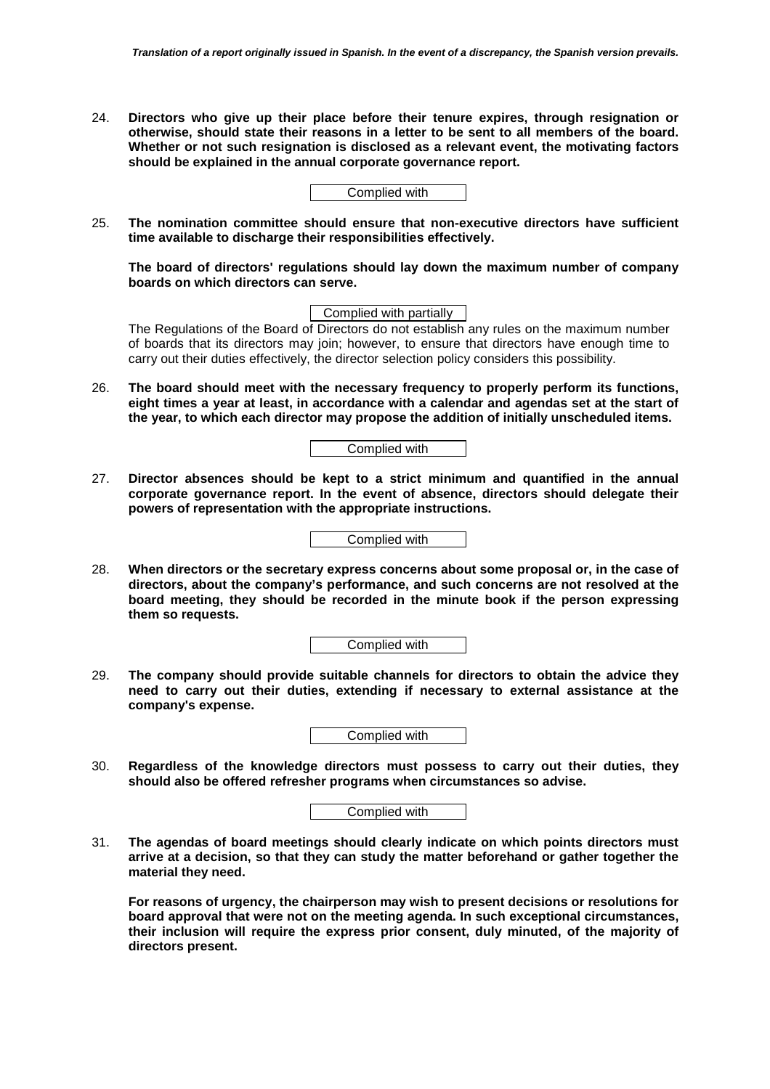24. **Directors who give up their place before their tenure expires, through resignation or otherwise, should state their reasons in a letter to be sent to all members of the board. Whether or not such resignation is disclosed as a relevant event, the motivating factors should be explained in the annual corporate governance report.** 

Complied with

25. **The nomination committee should ensure that non-executive directors have sufficient time available to discharge their responsibilities effectively.** 

**The board of directors' regulations should lay down the maximum number of company boards on which directors can serve.** 

Complied with partially

The Regulations of the Board of Directors do not establish any rules on the maximum number of boards that its directors may join; however, to ensure that directors have enough time to carry out their duties effectively, the director selection policy considers this possibility.

26. **The board should meet with the necessary frequency to properly perform its functions, eight times a year at least, in accordance with a calendar and agendas set at the start of the year, to which each director may propose the addition of initially unscheduled items.** 

Complied with

27. **Director absences should be kept to a strict minimum and quantified in the annual corporate governance report. In the event of absence, directors should delegate their powers of representation with the appropriate instructions.** 

Complied with

28. **When directors or the secretary express concerns about some proposal or, in the case of directors, about the company's performance, and such concerns are not resolved at the board meeting, they should be recorded in the minute book if the person expressing them so requests.** 

| Complied with |
|---------------|
|---------------|

29. **The company should provide suitable channels for directors to obtain the advice they need to carry out their duties, extending if necessary to external assistance at the company's expense.** 

| Complied with |  |
|---------------|--|
|---------------|--|

30. **Regardless of the knowledge directors must possess to carry out their duties, they should also be offered refresher programs when circumstances so advise.** 

| Complied with |  |
|---------------|--|
|---------------|--|

31. **The agendas of board meetings should clearly indicate on which points directors must arrive at a decision, so that they can study the matter beforehand or gather together the material they need.** 

**For reasons of urgency, the chairperson may wish to present decisions or resolutions for board approval that were not on the meeting agenda. In such exceptional circumstances, their inclusion will require the express prior consent, duly minuted, of the majority of directors present.**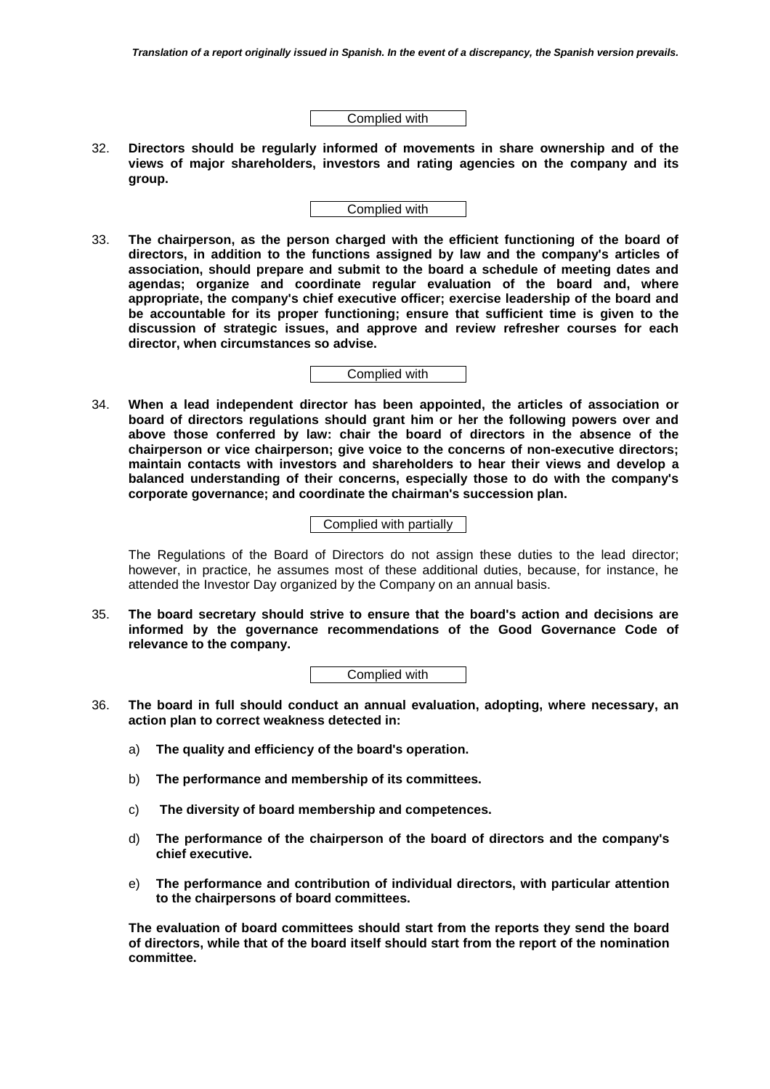Complied with

32. **Directors should be regularly informed of movements in share ownership and of the views of major shareholders, investors and rating agencies on the company and its group.** 

Complied with

33. **The chairperson, as the person charged with the efficient functioning of the board of directors, in addition to the functions assigned by law and the company's articles of association, should prepare and submit to the board a schedule of meeting dates and agendas; organize and coordinate regular evaluation of the board and, where appropriate, the company's chief executive officer; exercise leadership of the board and be accountable for its proper functioning; ensure that sufficient time is given to the discussion of strategic issues, and approve and review refresher courses for each director, when circumstances so advise.** 

Complied with

34. **When a lead independent director has been appointed, the articles of association or board of directors regulations should grant him or her the following powers over and above those conferred by law: chair the board of directors in the absence of the chairperson or vice chairperson; give voice to the concerns of non-executive directors; maintain contacts with investors and shareholders to hear their views and develop a balanced understanding of their concerns, especially those to do with the company's corporate governance; and coordinate the chairman's succession plan.** 

Complied with partially

The Regulations of the Board of Directors do not assign these duties to the lead director; however, in practice, he assumes most of these additional duties, because, for instance, he attended the Investor Day organized by the Company on an annual basis.

35. **The board secretary should strive to ensure that the board's action and decisions are informed by the governance recommendations of the Good Governance Code of relevance to the company.** 

Complied with

- 36. **The board in full should conduct an annual evaluation, adopting, where necessary, an action plan to correct weakness detected in:** 
	- a) **The quality and efficiency of the board's operation.**
	- b) **The performance and membership of its committees.**
	- c) **The diversity of board membership and competences.**
	- d) **The performance of the chairperson of the board of directors and the company's chief executive.**
	- e) **The performance and contribution of individual directors, with particular attention to the chairpersons of board committees.**

**The evaluation of board committees should start from the reports they send the board of directors, while that of the board itself should start from the report of the nomination committee.**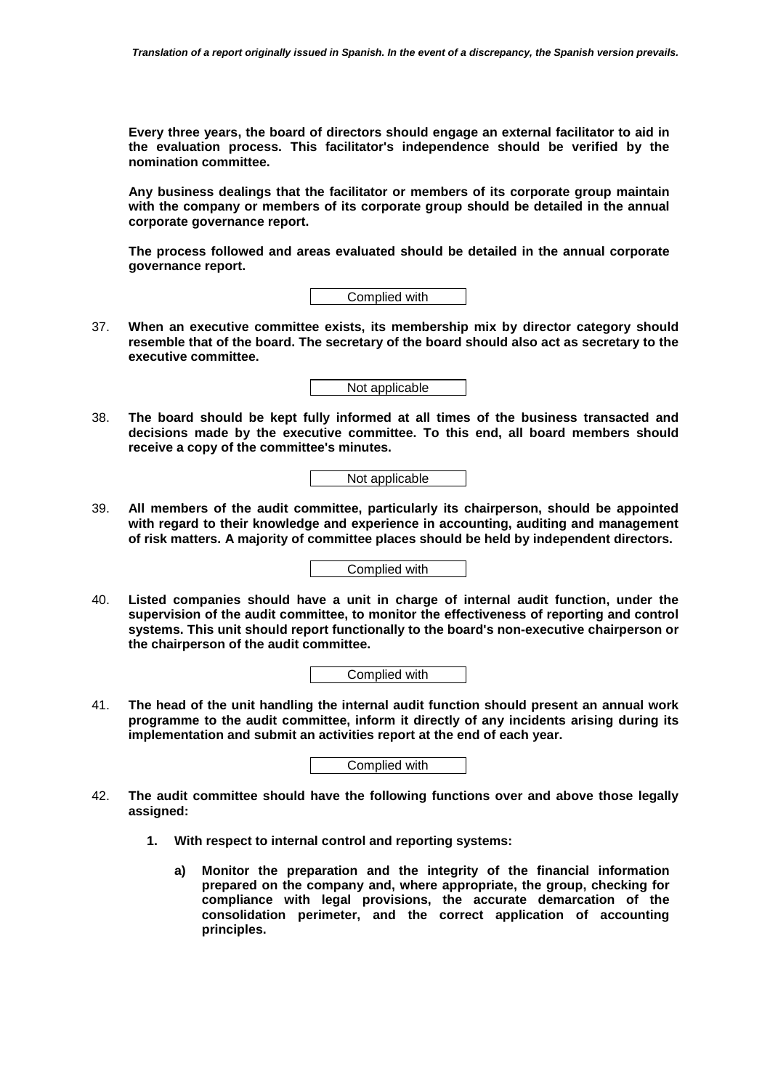**Every three years, the board of directors should engage an external facilitator to aid in the evaluation process. This facilitator's independence should be verified by the nomination committee.** 

**Any business dealings that the facilitator or members of its corporate group maintain with the company or members of its corporate group should be detailed in the annual corporate governance report.** 

**The process followed and areas evaluated should be detailed in the annual corporate governance report.** 

Complied with

37. **When an executive committee exists, its membership mix by director category should resemble that of the board. The secretary of the board should also act as secretary to the executive committee.** 

Not applicable

38. **The board should be kept fully informed at all times of the business transacted and decisions made by the executive committee. To this end, all board members should receive a copy of the committee's minutes.** 

Not applicable

39. **All members of the audit committee, particularly its chairperson, should be appointed with regard to their knowledge and experience in accounting, auditing and management of risk matters. A majority of committee places should be held by independent directors.** 

Complied with

40. **Listed companies should have a unit in charge of internal audit function, under the supervision of the audit committee, to monitor the effectiveness of reporting and control systems. This unit should report functionally to the board's non-executive chairperson or the chairperson of the audit committee.** 

Complied with

41. **The head of the unit handling the internal audit function should present an annual work programme to the audit committee, inform it directly of any incidents arising during its implementation and submit an activities report at the end of each year.** 

Complied with

- 42. **The audit committee should have the following functions over and above those legally assigned:** 
	- **1. With respect to internal control and reporting systems:** 
		- **a) Monitor the preparation and the integrity of the financial information prepared on the company and, where appropriate, the group, checking for compliance with legal provisions, the accurate demarcation of the consolidation perimeter, and the correct application of accounting principles.**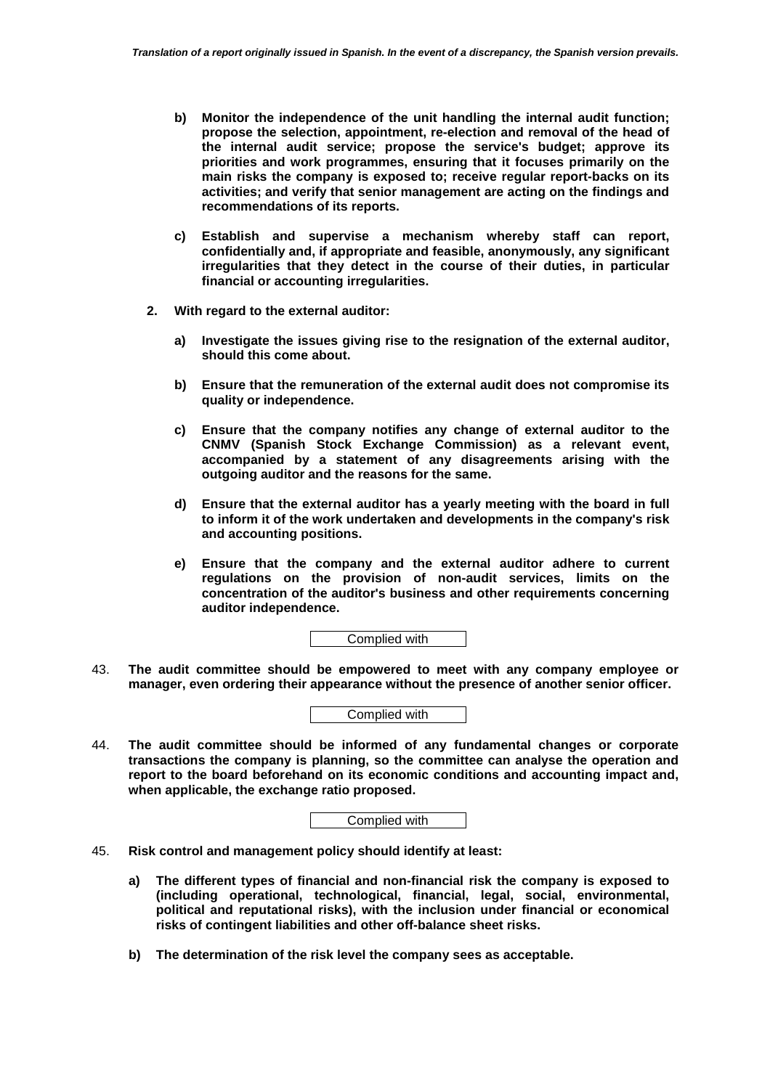- **b) Monitor the independence of the unit handling the internal audit function; propose the selection, appointment, re-election and removal of the head of the internal audit service; propose the service's budget; approve its priorities and work programmes, ensuring that it focuses primarily on the main risks the company is exposed to; receive regular report-backs on its activities; and verify that senior management are acting on the findings and recommendations of its reports.**
- **c) Establish and supervise a mechanism whereby staff can report, confidentially and, if appropriate and feasible, anonymously, any significant irregularities that they detect in the course of their duties, in particular financial or accounting irregularities.**
- **2. With regard to the external auditor:** 
	- **a) Investigate the issues giving rise to the resignation of the external auditor, should this come about.**
	- **b) Ensure that the remuneration of the external audit does not compromise its quality or independence.**
	- **c) Ensure that the company notifies any change of external auditor to the CNMV (Spanish Stock Exchange Commission) as a relevant event, accompanied by a statement of any disagreements arising with the outgoing auditor and the reasons for the same.**
	- **d) Ensure that the external auditor has a yearly meeting with the board in full to inform it of the work undertaken and developments in the company's risk and accounting positions.**
	- **e) Ensure that the company and the external auditor adhere to current regulations on the provision of non-audit services, limits on the concentration of the auditor's business and other requirements concerning auditor independence.**

Complied with

43. **The audit committee should be empowered to meet with any company employee or manager, even ordering their appearance without the presence of another senior officer.** 



44. **The audit committee should be informed of any fundamental changes or corporate transactions the company is planning, so the committee can analyse the operation and report to the board beforehand on its economic conditions and accounting impact and, when applicable, the exchange ratio proposed.** 

- 45. **Risk control and management policy should identify at least:** 
	- **a) The different types of financial and non-financial risk the company is exposed to (including operational, technological, financial, legal, social, environmental, political and reputational risks), with the inclusion under financial or economical risks of contingent liabilities and other off-balance sheet risks.**
	- **b) The determination of the risk level the company sees as acceptable.**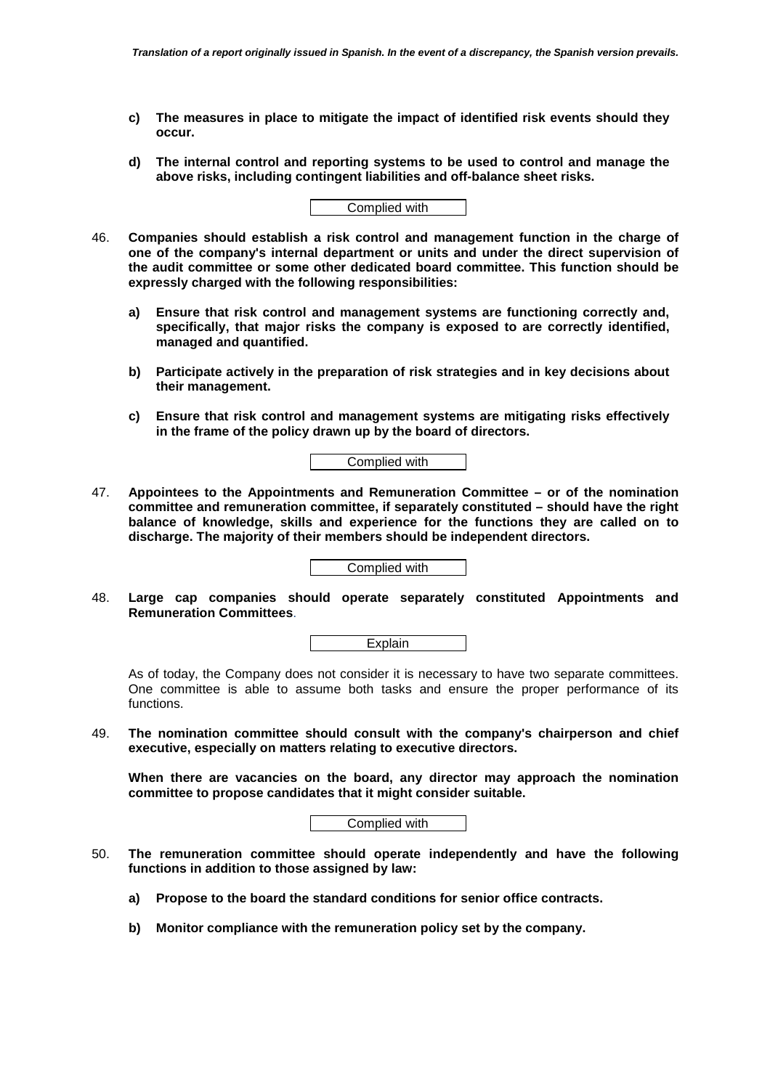- **c) The measures in place to mitigate the impact of identified risk events should they occur.**
- **d) The internal control and reporting systems to be used to control and manage the above risks, including contingent liabilities and off-balance sheet risks.**

|--|

- 46. **Companies should establish a risk control and management function in the charge of one of the company's internal department or units and under the direct supervision of the audit committee or some other dedicated board committee. This function should be expressly charged with the following responsibilities:** 
	- **a) Ensure that risk control and management systems are functioning correctly and, specifically, that major risks the company is exposed to are correctly identified, managed and quantified.**
	- **b) Participate actively in the preparation of risk strategies and in key decisions about their management.**
	- **c) Ensure that risk control and management systems are mitigating risks effectively in the frame of the policy drawn up by the board of directors.**



47. **Appointees to the Appointments and Remuneration Committee – or of the nomination committee and remuneration committee, if separately constituted – should have the right balance of knowledge, skills and experience for the functions they are called on to discharge. The majority of their members should be independent directors.** 

Complied with

48. **Large cap companies should operate separately constituted Appointments and Remuneration Committees**.

As of today, the Company does not consider it is necessary to have two separate committees. One committee is able to assume both tasks and ensure the proper performance of its functions.

49. **The nomination committee should consult with the company's chairperson and chief executive, especially on matters relating to executive directors.** 

**When there are vacancies on the board, any director may approach the nomination committee to propose candidates that it might consider suitable.** 

- 50. **The remuneration committee should operate independently and have the following functions in addition to those assigned by law:** 
	- **a) Propose to the board the standard conditions for senior office contracts.**
	- **b) Monitor compliance with the remuneration policy set by the company.**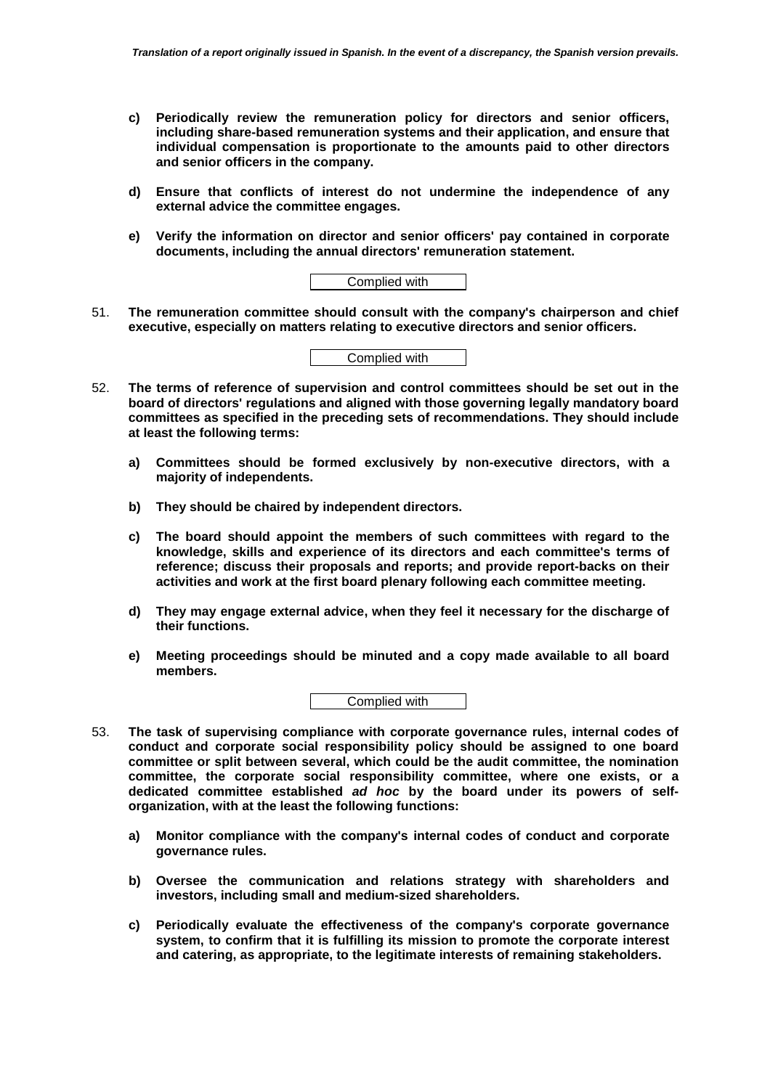- **c) Periodically review the remuneration policy for directors and senior officers, including share-based remuneration systems and their application, and ensure that individual compensation is proportionate to the amounts paid to other directors and senior officers in the company.**
- **d) Ensure that conflicts of interest do not undermine the independence of any external advice the committee engages.**
- **e) Verify the information on director and senior officers' pay contained in corporate documents, including the annual directors' remuneration statement.**

| Complied with |
|---------------|
|---------------|

51. **The remuneration committee should consult with the company's chairperson and chief executive, especially on matters relating to executive directors and senior officers.** 

Complied with

- 52. **The terms of reference of supervision and control committees should be set out in the board of directors' regulations and aligned with those governing legally mandatory board committees as specified in the preceding sets of recommendations. They should include at least the following terms:** 
	- **a) Committees should be formed exclusively by non-executive directors, with a majority of independents.**
	- **b) They should be chaired by independent directors.**
	- **c) The board should appoint the members of such committees with regard to the knowledge, skills and experience of its directors and each committee's terms of reference; discuss their proposals and reports; and provide report-backs on their activities and work at the first board plenary following each committee meeting.**
	- **d) They may engage external advice, when they feel it necessary for the discharge of their functions.**
	- **e) Meeting proceedings should be minuted and a copy made available to all board members.**



- 53. **The task of supervising compliance with corporate governance rules, internal codes of conduct and corporate social responsibility policy should be assigned to one board committee or split between several, which could be the audit committee, the nomination committee, the corporate social responsibility committee, where one exists, or a dedicated committee established** *ad hoc* **by the board under its powers of selforganization, with at the least the following functions:** 
	- **a) Monitor compliance with the company's internal codes of conduct and corporate governance rules.**
	- **b) Oversee the communication and relations strategy with shareholders and investors, including small and medium-sized shareholders.**
	- **c) Periodically evaluate the effectiveness of the company's corporate governance system, to confirm that it is fulfilling its mission to promote the corporate interest and catering, as appropriate, to the legitimate interests of remaining stakeholders.**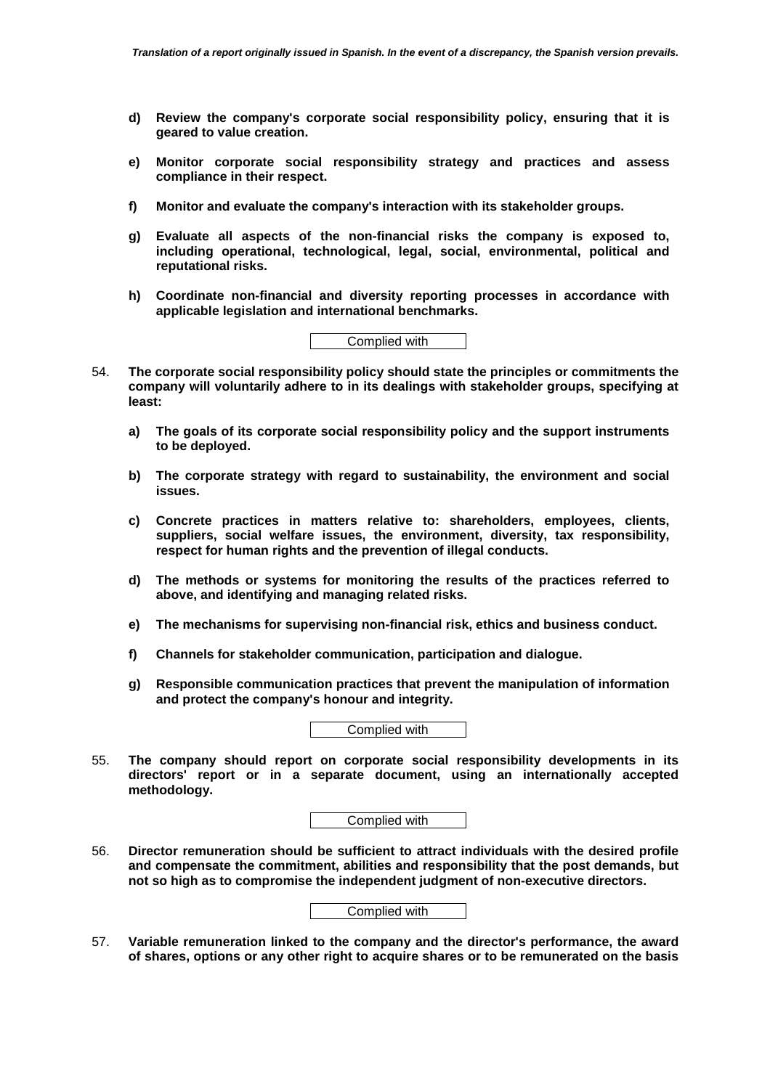- **d) Review the company's corporate social responsibility policy, ensuring that it is geared to value creation.**
- **e) Monitor corporate social responsibility strategy and practices and assess compliance in their respect.**
- **f) Monitor and evaluate the company's interaction with its stakeholder groups.**
- **g) Evaluate all aspects of the non-financial risks the company is exposed to, including operational, technological, legal, social, environmental, political and reputational risks.**
- **h) Coordinate non-financial and diversity reporting processes in accordance with applicable legislation and international benchmarks.**



- 54. **The corporate social responsibility policy should state the principles or commitments the company will voluntarily adhere to in its dealings with stakeholder groups, specifying at least:** 
	- **a) The goals of its corporate social responsibility policy and the support instruments to be deployed.**
	- **b) The corporate strategy with regard to sustainability, the environment and social issues.**
	- **c) Concrete practices in matters relative to: shareholders, employees, clients, suppliers, social welfare issues, the environment, diversity, tax responsibility, respect for human rights and the prevention of illegal conducts.**
	- **d) The methods or systems for monitoring the results of the practices referred to above, and identifying and managing related risks.**
	- **e) The mechanisms for supervising non-financial risk, ethics and business conduct.**
	- **f) Channels for stakeholder communication, participation and dialogue.**
	- **g) Responsible communication practices that prevent the manipulation of information and protect the company's honour and integrity.**

55. **The company should report on corporate social responsibility developments in its directors' report or in a separate document, using an internationally accepted methodology.** 

Complied with

56. **Director remuneration should be sufficient to attract individuals with the desired profile and compensate the commitment, abilities and responsibility that the post demands, but not so high as to compromise the independent judgment of non-executive directors.** 



57. **Variable remuneration linked to the company and the director's performance, the award of shares, options or any other right to acquire shares or to be remunerated on the basis**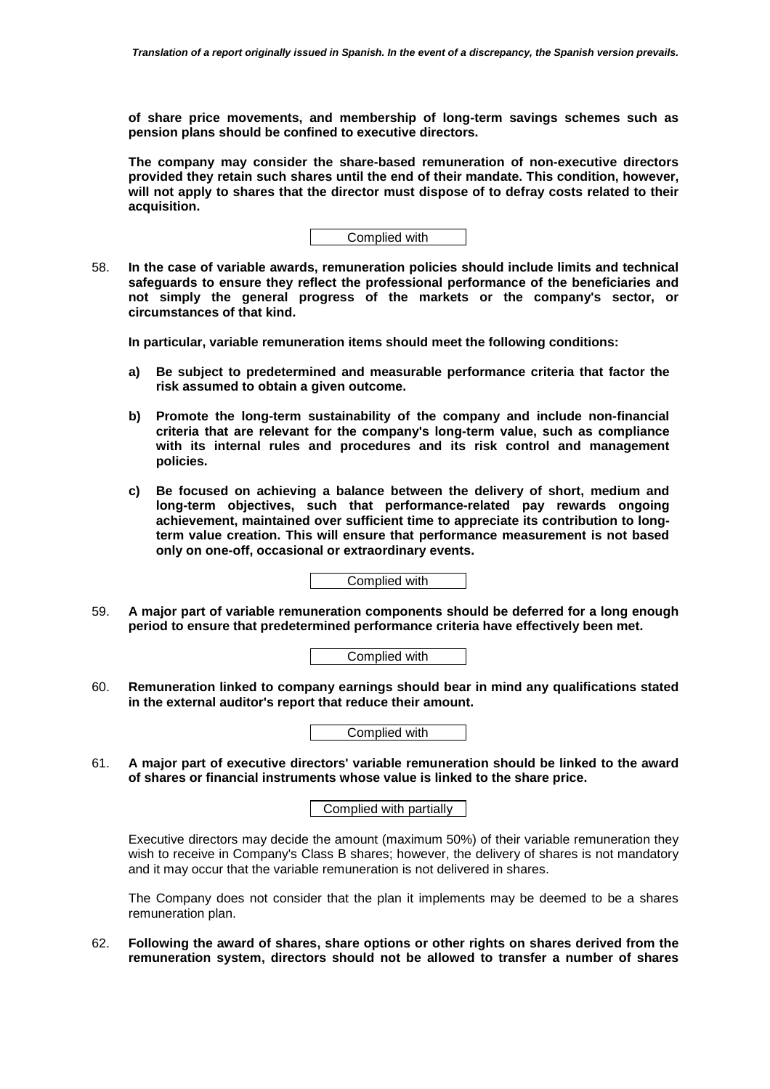**of share price movements, and membership of long-term savings schemes such as pension plans should be confined to executive directors.** 

**The company may consider the share-based remuneration of non-executive directors provided they retain such shares until the end of their mandate. This condition, however, will not apply to shares that the director must dispose of to defray costs related to their acquisition.** 



58. **In the case of variable awards, remuneration policies should include limits and technical safeguards to ensure they reflect the professional performance of the beneficiaries and not simply the general progress of the markets or the company's sector, or circumstances of that kind.** 

**In particular, variable remuneration items should meet the following conditions:** 

- **a) Be subject to predetermined and measurable performance criteria that factor the risk assumed to obtain a given outcome.**
- **b) Promote the long-term sustainability of the company and include non-financial criteria that are relevant for the company's long-term value, such as compliance with its internal rules and procedures and its risk control and management policies.**
- **c) Be focused on achieving a balance between the delivery of short, medium and long-term objectives, such that performance-related pay rewards ongoing achievement, maintained over sufficient time to appreciate its contribution to longterm value creation. This will ensure that performance measurement is not based only on one-off, occasional or extraordinary events.**

Complied with

59. **A major part of variable remuneration components should be deferred for a long enough period to ensure that predetermined performance criteria have effectively been met.** 

Complied with

60. **Remuneration linked to company earnings should bear in mind any qualifications stated in the external auditor's report that reduce their amount.** 

Complied with

61. **A major part of executive directors' variable remuneration should be linked to the award of shares or financial instruments whose value is linked to the share price.** 

Complied with partially

Executive directors may decide the amount (maximum 50%) of their variable remuneration they wish to receive in Company's Class B shares; however, the delivery of shares is not mandatory and it may occur that the variable remuneration is not delivered in shares.

The Company does not consider that the plan it implements may be deemed to be a shares remuneration plan.

62. **Following the award of shares, share options or other rights on shares derived from the remuneration system, directors should not be allowed to transfer a number of shares**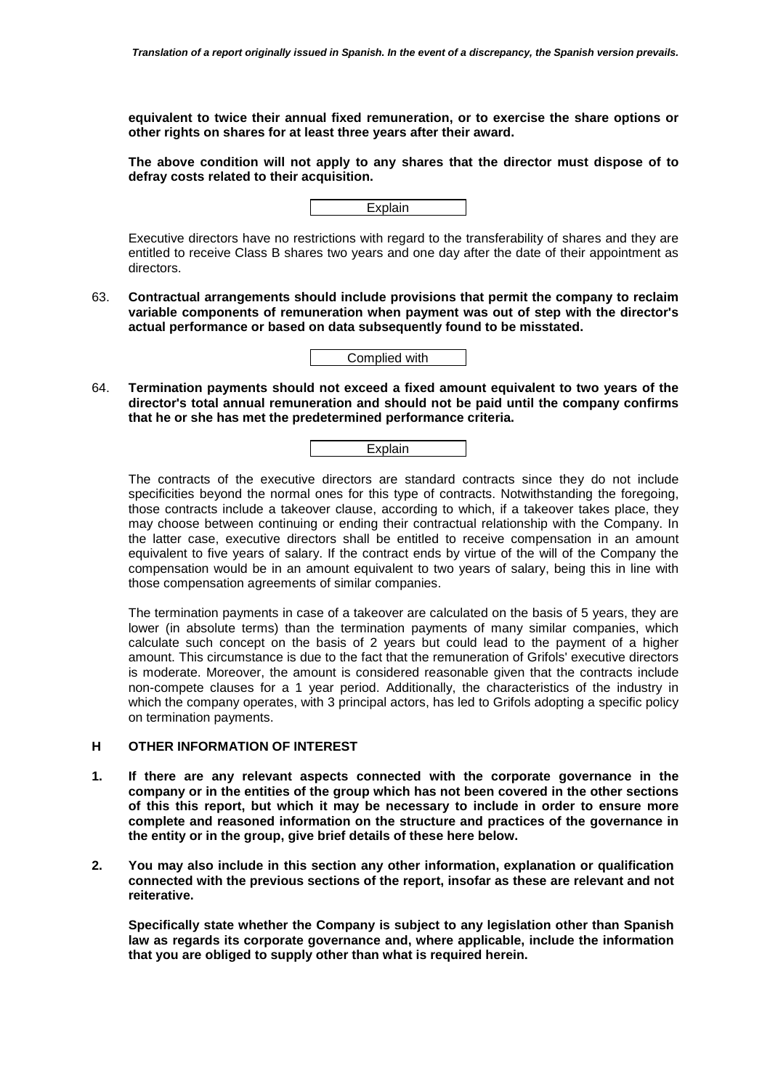**equivalent to twice their annual fixed remuneration, or to exercise the share options or other rights on shares for at least three years after their award.** 

**The above condition will not apply to any shares that the director must dispose of to defray costs related to their acquisition.** 

| aın<br>- r |  |
|------------|--|
|            |  |

Executive directors have no restrictions with regard to the transferability of shares and they are entitled to receive Class B shares two years and one day after the date of their appointment as directors.

63. **Contractual arrangements should include provisions that permit the company to reclaim variable components of remuneration when payment was out of step with the director's actual performance or based on data subsequently found to be misstated.** 

Complied with

64. **Termination payments should not exceed a fixed amount equivalent to two years of the director's total annual remuneration and should not be paid until the company confirms that he or she has met the predetermined performance criteria.** 



The contracts of the executive directors are standard contracts since they do not include specificities beyond the normal ones for this type of contracts. Notwithstanding the foregoing, those contracts include a takeover clause, according to which, if a takeover takes place, they may choose between continuing or ending their contractual relationship with the Company. In the latter case, executive directors shall be entitled to receive compensation in an amount equivalent to five years of salary. If the contract ends by virtue of the will of the Company the compensation would be in an amount equivalent to two years of salary, being this in line with those compensation agreements of similar companies.

The termination payments in case of a takeover are calculated on the basis of 5 years, they are lower (in absolute terms) than the termination payments of many similar companies, which calculate such concept on the basis of 2 years but could lead to the payment of a higher amount. This circumstance is due to the fact that the remuneration of Grifols' executive directors is moderate. Moreover, the amount is considered reasonable given that the contracts include non-compete clauses for a 1 year period. Additionally, the characteristics of the industry in which the company operates, with 3 principal actors, has led to Grifols adopting a specific policy on termination payments.

# **H OTHER INFORMATION OF INTEREST**

- **1. If there are any relevant aspects connected with the corporate governance in the company or in the entities of the group which has not been covered in the other sections of this this report, but which it may be necessary to include in order to ensure more complete and reasoned information on the structure and practices of the governance in the entity or in the group, give brief details of these here below.**
- **2. You may also include in this section any other information, explanation or qualification connected with the previous sections of the report, insofar as these are relevant and not reiterative.**

**Specifically state whether the Company is subject to any legislation other than Spanish law as regards its corporate governance and, where applicable, include the information that you are obliged to supply other than what is required herein.**